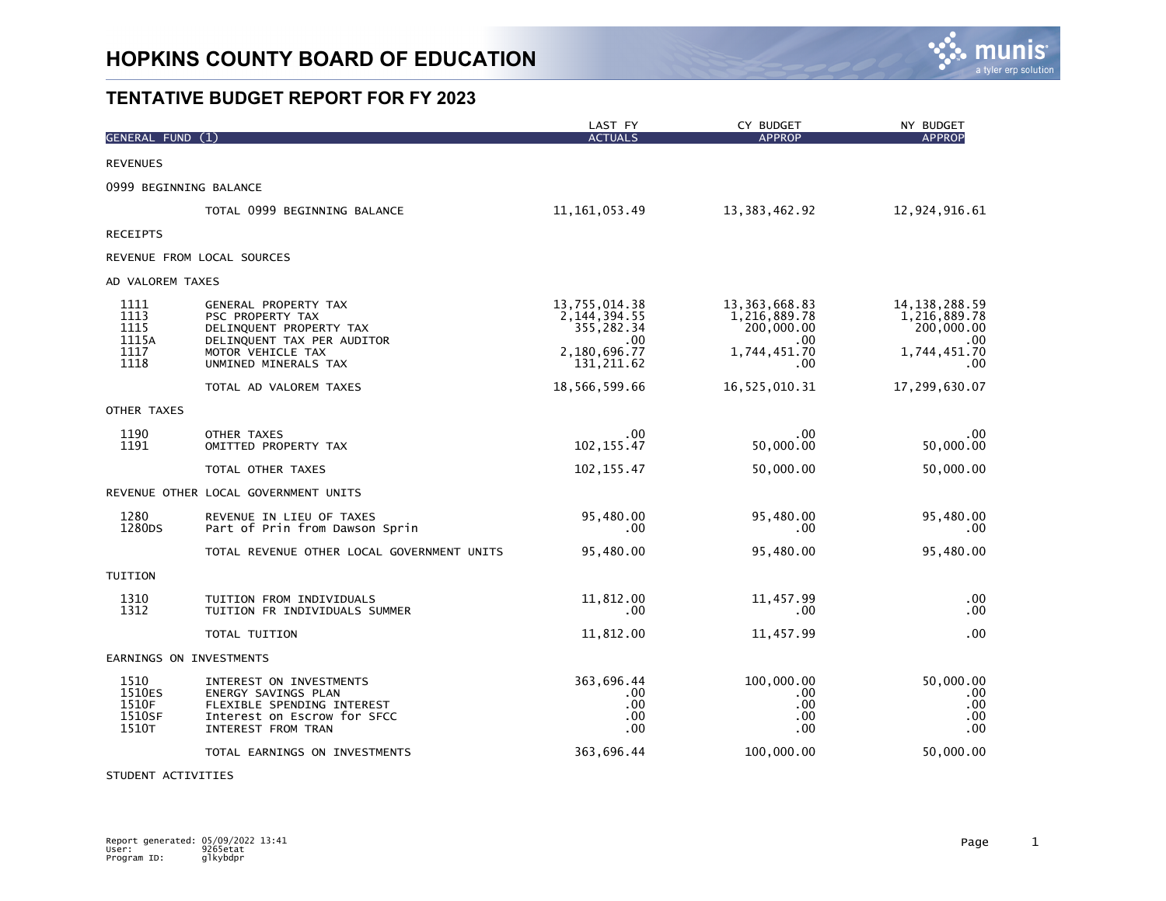

|                                               |                                                                                                                                                | LAST FY                                                                             | CY BUDGET                                                                 | NY BUDGET                                                                    |
|-----------------------------------------------|------------------------------------------------------------------------------------------------------------------------------------------------|-------------------------------------------------------------------------------------|---------------------------------------------------------------------------|------------------------------------------------------------------------------|
| GENERAL FUND (1)                              |                                                                                                                                                | <b>ACTUALS</b>                                                                      | <b>APPROP</b>                                                             | <b>APPROP</b>                                                                |
| <b>REVENUES</b>                               |                                                                                                                                                |                                                                                     |                                                                           |                                                                              |
|                                               | 0999 BEGINNING BALANCE                                                                                                                         |                                                                                     |                                                                           |                                                                              |
|                                               | TOTAL 0999 BEGINNING BALANCE                                                                                                                   | 11, 161, 053.49                                                                     | 13,383,462.92                                                             | 12,924,916.61                                                                |
| <b>RECEIPTS</b>                               |                                                                                                                                                |                                                                                     |                                                                           |                                                                              |
|                                               | REVENUE FROM LOCAL SOURCES                                                                                                                     |                                                                                     |                                                                           |                                                                              |
| AD VALOREM TAXES                              |                                                                                                                                                |                                                                                     |                                                                           |                                                                              |
| 1111<br>1113<br>1115<br>1115A<br>1117<br>1118 | GENERAL PROPERTY TAX<br>PSC PROPERTY TAX<br>DELINQUENT PROPERTY TAX<br>DELINQUENT TAX PER AUDITOR<br>MOTOR VEHICLE TAX<br>UNMINED MINERALS TAX | 13,755,014.38<br>2, 144, 394.55<br>355,282.34<br>.00<br>2,180,696.77<br>131, 211.62 | 13,363,668.83<br>1,216,889.78<br>200,000.00<br>.00<br>1,744,451.70<br>.00 | 14, 138, 288. 59<br>1,216,889.78<br>200,000.00<br>.00<br>1,744,451.70<br>.00 |
|                                               | TOTAL AD VALOREM TAXES                                                                                                                         | 18,566,599.66                                                                       | 16,525,010.31                                                             | 17,299,630.07                                                                |
| OTHER TAXES                                   |                                                                                                                                                |                                                                                     |                                                                           |                                                                              |
| 1190<br>1191                                  | OTHER TAXES<br>OMITTED PROPERTY TAX                                                                                                            | .00<br>102, 155.47                                                                  | .00<br>50,000.00                                                          | .00<br>50,000.00                                                             |
|                                               | TOTAL OTHER TAXES                                                                                                                              | 102, 155.47                                                                         | 50,000.00                                                                 | 50,000.00                                                                    |
|                                               | REVENUE OTHER LOCAL GOVERNMENT UNITS                                                                                                           |                                                                                     |                                                                           |                                                                              |
| 1280<br>1280 <sub>DS</sub>                    | REVENUE IN LIEU OF TAXES<br>Part of Prin from Dawson Sprin                                                                                     | 95,480.00<br>.00                                                                    | 95,480.00<br>$.00 \,$                                                     | 95,480.00<br>.00                                                             |
|                                               | TOTAL REVENUE OTHER LOCAL GOVERNMENT UNITS                                                                                                     | 95,480.00                                                                           | 95,480.00                                                                 | 95,480.00                                                                    |
| TUITION                                       |                                                                                                                                                |                                                                                     |                                                                           |                                                                              |
| 1310<br>1312                                  | TUITION FROM INDIVIDUALS<br>TUITION FR INDIVIDUALS SUMMER                                                                                      | 11,812.00<br>.00                                                                    | 11,457.99<br>.00                                                          | .00<br>.00                                                                   |
|                                               | TOTAL TUITION                                                                                                                                  | 11,812.00                                                                           | 11,457.99                                                                 | .00                                                                          |
|                                               | EARNINGS ON INVESTMENTS                                                                                                                        |                                                                                     |                                                                           |                                                                              |
| 1510<br>1510ES<br>1510F<br>1510SF<br>1510T    | INTEREST ON INVESTMENTS<br><b>ENERGY SAVINGS PLAN</b><br>FLEXIBLE SPENDING INTEREST<br>Interest on Escrow for SFCC<br>INTEREST FROM TRAN       | 363,696.44<br>.00<br>.00<br>.00<br>.00                                              | 100,000.00<br>.00.<br>.00.<br>.00.<br>.00                                 | 50,000.00<br>.00<br>.00<br>.00<br>.00                                        |
|                                               | TOTAL EARNINGS ON INVESTMENTS                                                                                                                  | 363,696.44                                                                          | 100,000.00                                                                | 50,000.00                                                                    |

STUDENT ACTIVITIES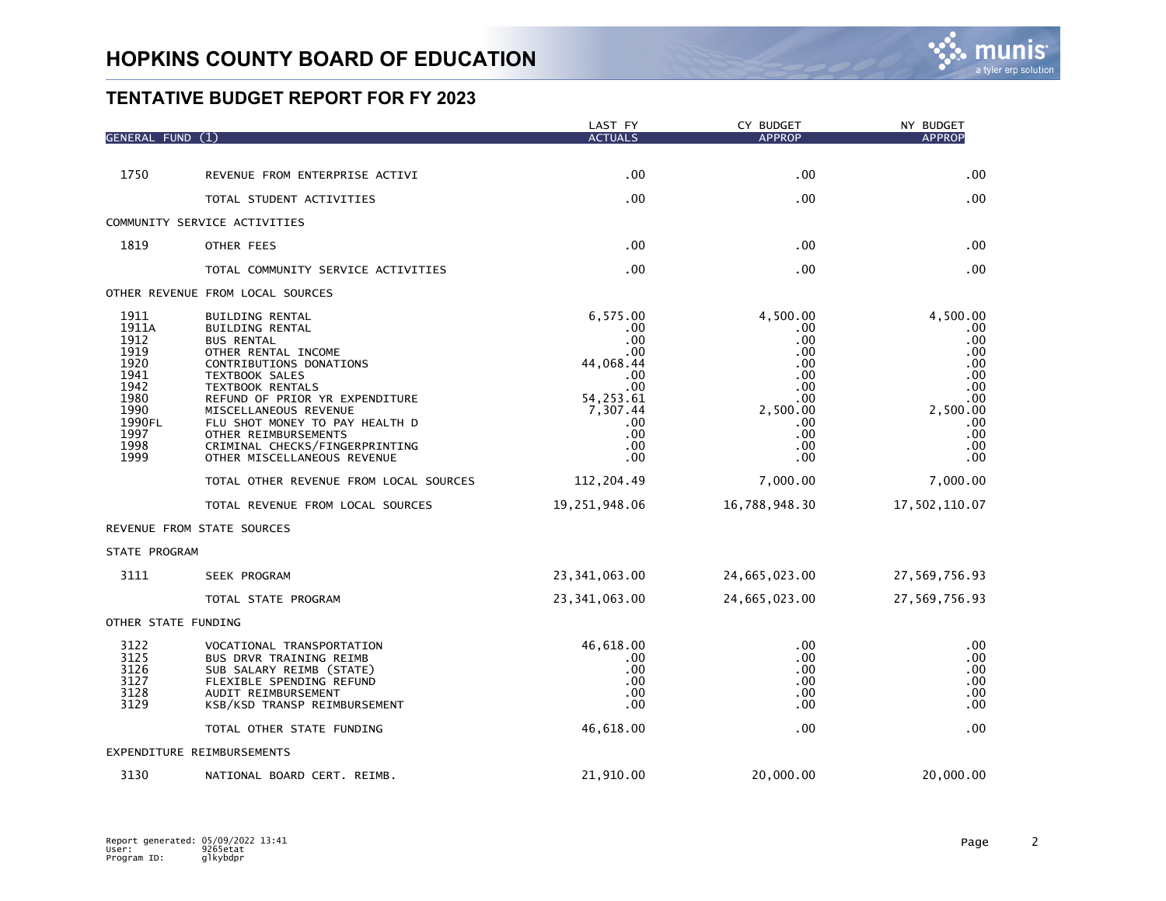| <b>GENERAL FUND</b>                                                                                     |                                                                                                                                                                                                                                                                                                                                                     | LAST FY<br><b>ACTUALS</b>                                                                                           | CY BUDGET<br><b>APPROP</b>                                                                        | NY BUDGET<br><b>APPROP</b>                                                                        |
|---------------------------------------------------------------------------------------------------------|-----------------------------------------------------------------------------------------------------------------------------------------------------------------------------------------------------------------------------------------------------------------------------------------------------------------------------------------------------|---------------------------------------------------------------------------------------------------------------------|---------------------------------------------------------------------------------------------------|---------------------------------------------------------------------------------------------------|
|                                                                                                         |                                                                                                                                                                                                                                                                                                                                                     |                                                                                                                     |                                                                                                   |                                                                                                   |
| 1750                                                                                                    | REVENUE FROM ENTERPRISE ACTIVI                                                                                                                                                                                                                                                                                                                      | .00                                                                                                                 | .00                                                                                               | .00                                                                                               |
|                                                                                                         | TOTAL STUDENT ACTIVITIES                                                                                                                                                                                                                                                                                                                            | .00                                                                                                                 | .00                                                                                               | .00                                                                                               |
|                                                                                                         | COMMUNITY SERVICE ACTIVITIES                                                                                                                                                                                                                                                                                                                        |                                                                                                                     |                                                                                                   |                                                                                                   |
| 1819                                                                                                    | OTHER FEES                                                                                                                                                                                                                                                                                                                                          | .00                                                                                                                 | .00                                                                                               | .00                                                                                               |
|                                                                                                         | TOTAL COMMUNITY SERVICE ACTIVITIES                                                                                                                                                                                                                                                                                                                  | .00                                                                                                                 | .00                                                                                               | .00                                                                                               |
|                                                                                                         | OTHER REVENUE FROM LOCAL SOURCES                                                                                                                                                                                                                                                                                                                    |                                                                                                                     |                                                                                                   |                                                                                                   |
| 1911<br>1911A<br>1912<br>1919<br>1920<br>1941<br>1942<br>1980<br>1990<br>1990FL<br>1997<br>1998<br>1999 | BUILDING RENTAL<br><b>BUILDING RENTAL</b><br><b>BUS RENTAL</b><br>OTHER RENTAL INCOME<br>CONTRIBUTIONS DONATIONS<br><b>TEXTBOOK SALES</b><br>TEXTBOOK RENTALS<br>REFUND OF PRIOR YR EXPENDITURE<br>MISCELLANEOUS REVENUE<br>FLU SHOT MONEY TO PAY HEALTH D<br>OTHER REIMBURSEMENTS<br>CRIMINAL CHECKS/FINGERPRINTING<br>OTHER MISCELLANEOUS REVENUE | 6,575.00<br>.00<br>.00<br>.00<br>44,068.44<br>.00<br>.00<br>54, 253.61<br>7,307.44<br>.00<br>.00<br>.00<br>$.00 \,$ | 4,500.00<br>.00<br>.00<br>.00<br>.00<br>.00<br>.00<br>.00<br>2,500.00<br>.00<br>.00<br>.00<br>.00 | 4,500.00<br>.00<br>.00<br>.00<br>.00<br>.00<br>.00<br>.00<br>2,500.00<br>.00<br>.00<br>.00<br>.00 |
|                                                                                                         | TOTAL OTHER REVENUE FROM LOCAL SOURCES                                                                                                                                                                                                                                                                                                              | 112,204.49                                                                                                          | 7,000.00                                                                                          | 7,000.00                                                                                          |
|                                                                                                         | TOTAL REVENUE FROM LOCAL SOURCES                                                                                                                                                                                                                                                                                                                    | 19,251,948.06                                                                                                       | 16,788,948.30                                                                                     | 17,502,110.07                                                                                     |
|                                                                                                         | REVENUE FROM STATE SOURCES                                                                                                                                                                                                                                                                                                                          |                                                                                                                     |                                                                                                   |                                                                                                   |
| STATE PROGRAM                                                                                           |                                                                                                                                                                                                                                                                                                                                                     |                                                                                                                     |                                                                                                   |                                                                                                   |
| 3111                                                                                                    | SEEK PROGRAM                                                                                                                                                                                                                                                                                                                                        | 23, 341, 063.00                                                                                                     | 24,665,023.00                                                                                     | 27,569,756.93                                                                                     |
|                                                                                                         | TOTAL STATE PROGRAM                                                                                                                                                                                                                                                                                                                                 | 23, 341, 063.00                                                                                                     | 24,665,023.00                                                                                     | 27,569,756.93                                                                                     |
| OTHER STATE FUNDING                                                                                     |                                                                                                                                                                                                                                                                                                                                                     |                                                                                                                     |                                                                                                   |                                                                                                   |
| 3122<br>3125<br>3126<br>3127<br>3128<br>3129                                                            | VOCATIONAL TRANSPORTATION<br>BUS DRVR TRAINING REIMB<br>SUB SALARY REIMB (STATE)<br>FLEXIBLE SPENDING REFUND<br>AUDIT REIMBURSEMENT<br>KSB/KSD TRANSP REIMBURSEMENT                                                                                                                                                                                 | 46,618.00<br>.00<br>.00<br>.00<br>.00<br>.00                                                                        | .00<br>.00<br>.00<br>.00<br>.00<br>.00                                                            | .00<br>.00<br>.00<br>.00<br>.00<br>.00                                                            |
|                                                                                                         | TOTAL OTHER STATE FUNDING                                                                                                                                                                                                                                                                                                                           | 46,618.00                                                                                                           | .00                                                                                               | .00                                                                                               |
|                                                                                                         | EXPENDITURE REIMBURSEMENTS                                                                                                                                                                                                                                                                                                                          |                                                                                                                     |                                                                                                   |                                                                                                   |
| 3130                                                                                                    | NATIONAL BOARD CERT. REIMB.                                                                                                                                                                                                                                                                                                                         | 21,910.00                                                                                                           | 20,000.00                                                                                         | 20,000,00                                                                                         |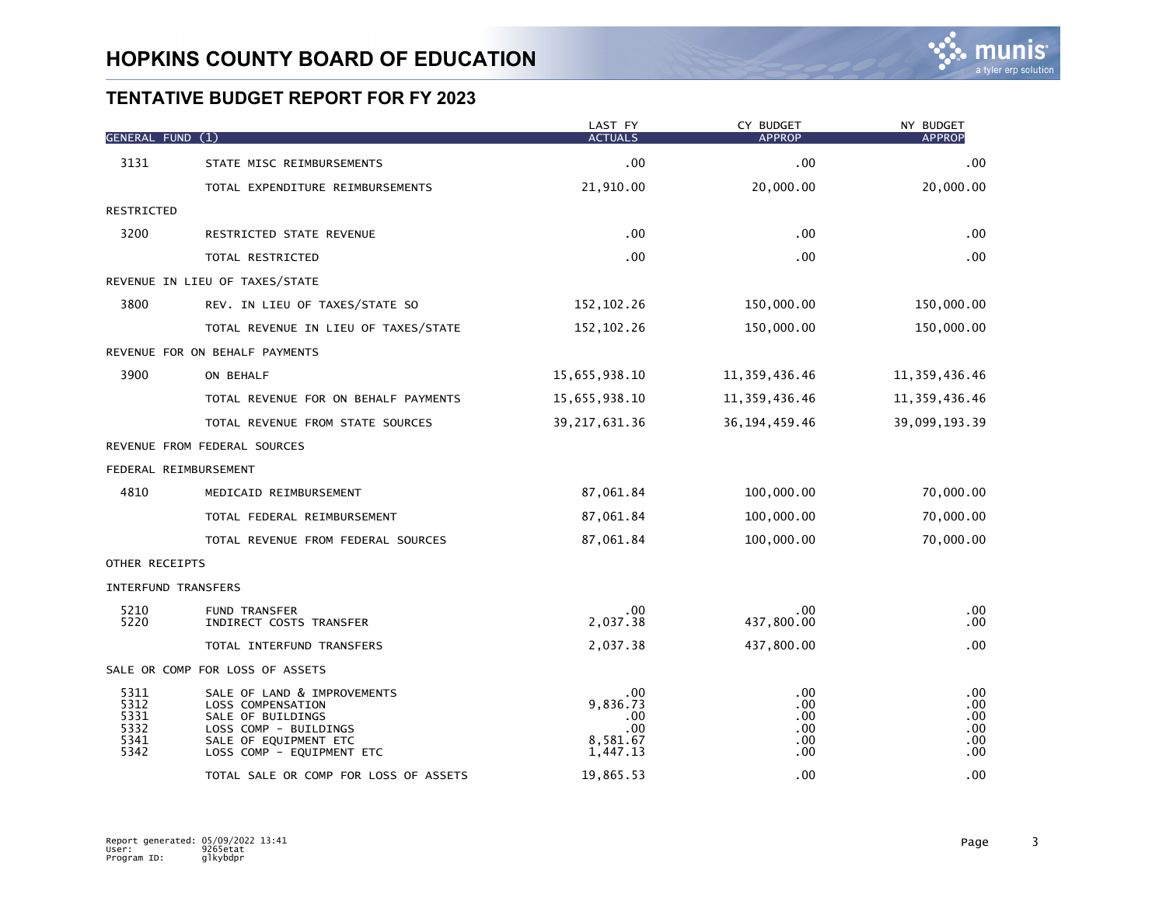| GENERAL FUND (1)                             |                                                                                                                                                      | LAST FY<br><b>ACTUALS</b>                             | CY BUDGET<br><b>APPROP</b>                       | NY BUDGET<br><b>APPROP</b>             |
|----------------------------------------------|------------------------------------------------------------------------------------------------------------------------------------------------------|-------------------------------------------------------|--------------------------------------------------|----------------------------------------|
| 3131                                         | STATE MISC REIMBURSEMENTS                                                                                                                            | .00                                                   | .00                                              | .00                                    |
|                                              | TOTAL EXPENDITURE REIMBURSEMENTS                                                                                                                     | 21,910.00                                             | 20,000.00                                        | 20,000.00                              |
| RESTRICTED                                   |                                                                                                                                                      |                                                       |                                                  |                                        |
| 3200                                         | RESTRICTED STATE REVENUE                                                                                                                             | .00.                                                  | $.00 \,$                                         | .00                                    |
|                                              | TOTAL RESTRICTED                                                                                                                                     | .00 <sub>1</sub>                                      | .00                                              | .00                                    |
|                                              | REVENUE IN LIEU OF TAXES/STATE                                                                                                                       |                                                       |                                                  |                                        |
| 3800                                         | REV. IN LIEU OF TAXES/STATE SO                                                                                                                       | 152, 102.26                                           | 150,000.00                                       | 150,000.00                             |
|                                              | TOTAL REVENUE IN LIEU OF TAXES/STATE                                                                                                                 | 152, 102.26                                           | 150,000.00                                       | 150,000.00                             |
|                                              | REVENUE FOR ON BEHALF PAYMENTS                                                                                                                       |                                                       |                                                  |                                        |
| 3900                                         | ON BEHALF                                                                                                                                            | 15,655,938.10                                         | 11, 359, 436.46                                  | 11, 359, 436.46                        |
|                                              | TOTAL REVENUE FOR ON BEHALF PAYMENTS                                                                                                                 | 15,655,938.10                                         | 11, 359, 436.46                                  | 11, 359, 436.46                        |
|                                              | TOTAL REVENUE FROM STATE SOURCES                                                                                                                     | 39, 217, 631.36                                       | 36, 194, 459. 46                                 | 39,099,193.39                          |
|                                              | REVENUE FROM FEDERAL SOURCES                                                                                                                         |                                                       |                                                  |                                        |
|                                              | FEDERAL REIMBURSEMENT                                                                                                                                |                                                       |                                                  |                                        |
| 4810                                         | MEDICAID REIMBURSEMENT                                                                                                                               | 87,061.84                                             | 100,000.00                                       | 70,000.00                              |
|                                              | TOTAL FEDERAL REIMBURSEMENT                                                                                                                          | 87,061.84                                             | 100,000.00                                       | 70,000.00                              |
|                                              | TOTAL REVENUE FROM FEDERAL SOURCES                                                                                                                   | 87,061.84                                             | 100,000.00                                       | 70,000.00                              |
| OTHER RECEIPTS                               |                                                                                                                                                      |                                                       |                                                  |                                        |
|                                              | <b>INTERFUND TRANSFERS</b>                                                                                                                           |                                                       |                                                  |                                        |
| 5210<br>5220                                 | <b>FUND TRANSFER</b><br>INDIRECT COSTS TRANSFER                                                                                                      | .00.<br>2,037.38                                      | .00<br>437,800.00                                | .00<br>.00.                            |
|                                              | TOTAL INTERFUND TRANSFERS                                                                                                                            | 2,037.38                                              | 437,800.00                                       | .00                                    |
|                                              | SALE OR COMP FOR LOSS OF ASSETS                                                                                                                      |                                                       |                                                  |                                        |
| 5311<br>5312<br>5331<br>5332<br>5341<br>5342 | SALE OF LAND & IMPROVEMENTS<br>LOSS COMPENSATION<br>SALE OF BUILDINGS<br>LOSS COMP - BUILDINGS<br>SALE OF EQUIPMENT ETC<br>LOSS COMP - EQUIPMENT ETC | .00<br>9,836.73<br>.00<br>.00<br>8,581.67<br>1,447.13 | .00<br>$.00 \,$<br>.00<br>.00<br>$.00 \,$<br>.00 | .00<br>.00<br>.00<br>.00<br>.00<br>.00 |
|                                              | TOTAL SALE OR COMP FOR LOSS OF ASSETS                                                                                                                | 19,865.53                                             | .00                                              | .00                                    |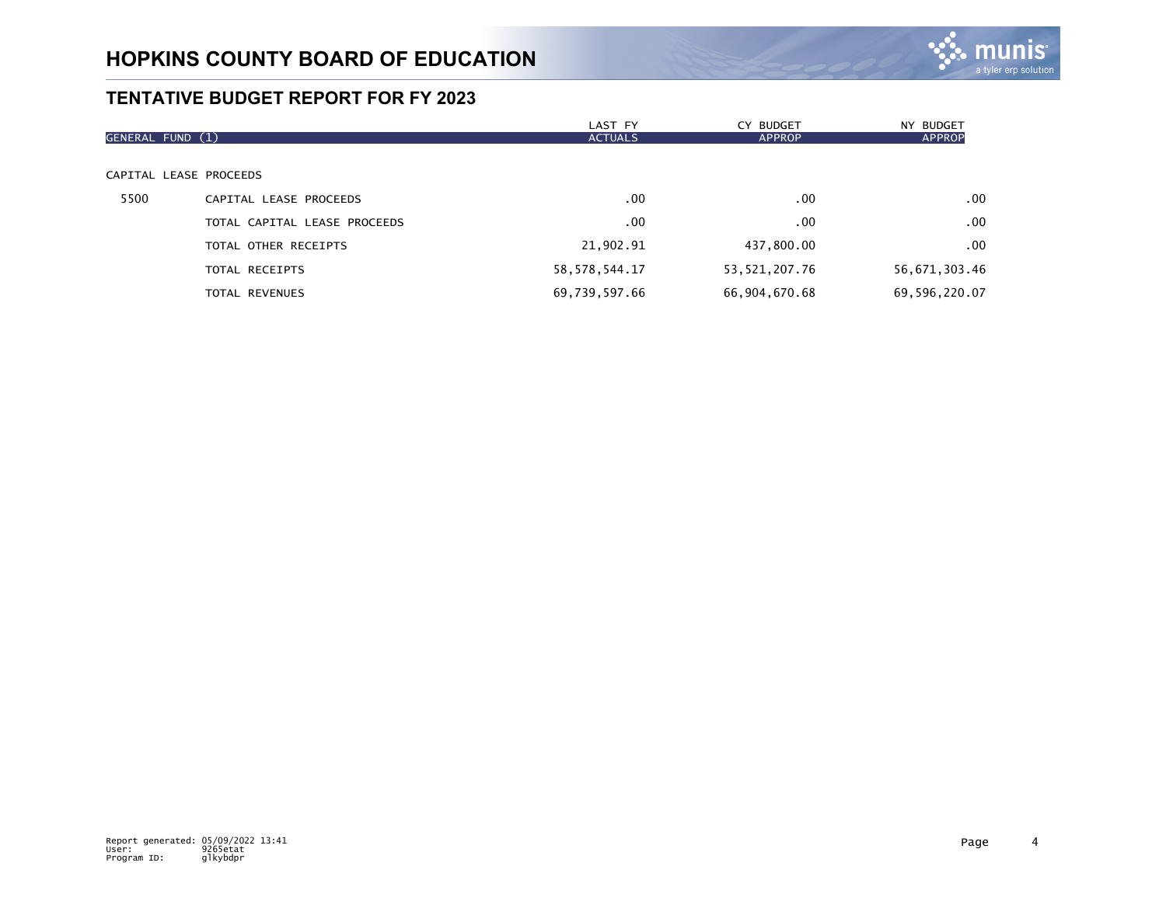

|                  |                              | LAST FY          | CY BUDGET     | NY BUDGET     |
|------------------|------------------------------|------------------|---------------|---------------|
| GENERAL FUND (1) |                              | <b>ACTUALS</b>   | <b>APPROP</b> | <b>APPROP</b> |
|                  |                              |                  |               |               |
|                  | CAPITAL LEASE PROCEEDS       |                  |               |               |
| 5500             | CAPITAL LEASE PROCEEDS       | .00              | $.00 \times$  | .00           |
|                  | TOTAL CAPITAL LEASE PROCEEDS | .00              | $.00 \times$  | .00           |
|                  | TOTAL OTHER RECEIPTS         | 21,902.91        | 437,800.00    | .00           |
|                  | TOTAL RECEIPTS               | 58, 578, 544. 17 | 53,521,207.76 | 56,671,303.46 |
|                  | <b>TOTAL REVENUES</b>        | 69,739,597.66    | 66,904,670.68 | 69,596,220.07 |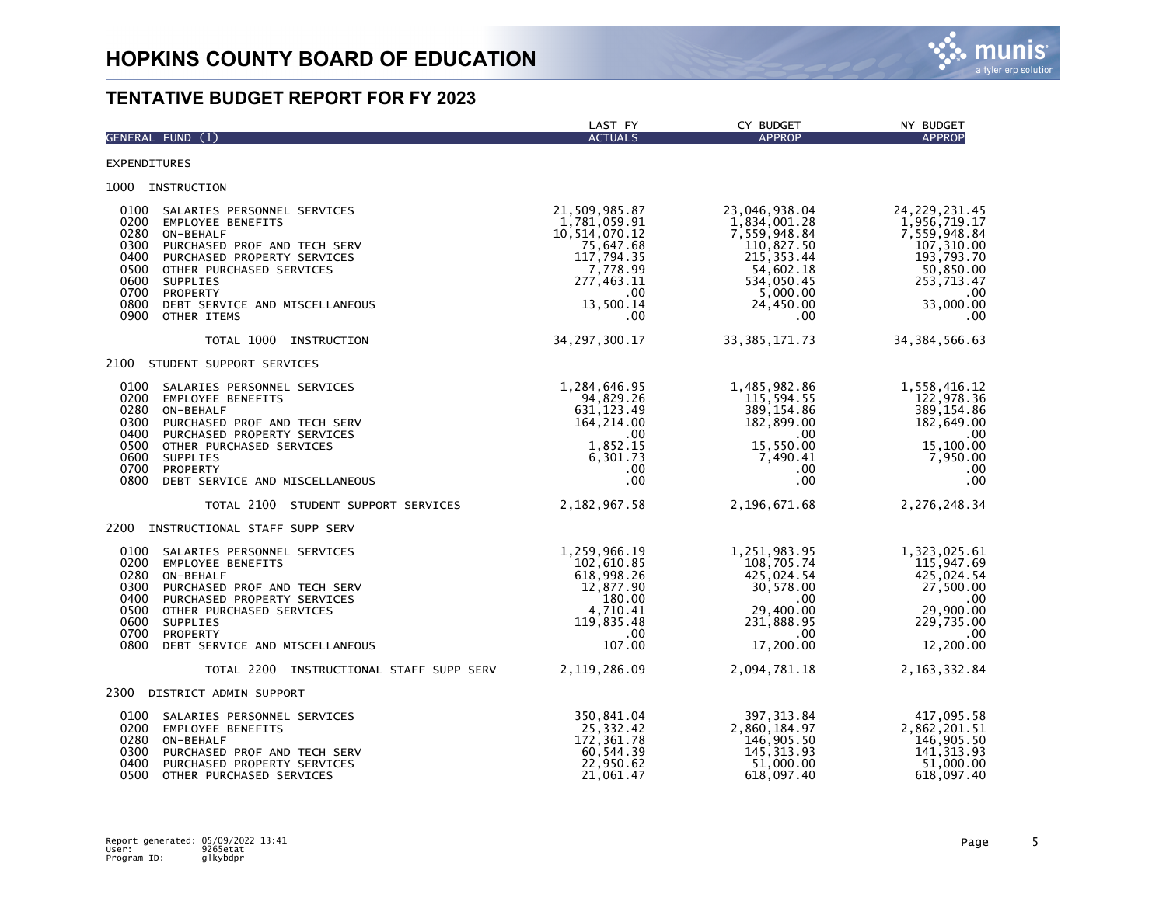

|                                                                              | GENERAL FUND (1)                                                                                                                                                                                                                         | LAST FY<br><b>ACTUALS</b>                                                                                                            | CY BUDGET<br><b>APPROP</b>                                                                                                            | NY BUDGET<br><b>APPROP</b>                                                                                                         |
|------------------------------------------------------------------------------|------------------------------------------------------------------------------------------------------------------------------------------------------------------------------------------------------------------------------------------|--------------------------------------------------------------------------------------------------------------------------------------|---------------------------------------------------------------------------------------------------------------------------------------|------------------------------------------------------------------------------------------------------------------------------------|
| <b>EXPENDITURES</b>                                                          |                                                                                                                                                                                                                                          |                                                                                                                                      |                                                                                                                                       |                                                                                                                                    |
|                                                                              | 1000 INSTRUCTION                                                                                                                                                                                                                         |                                                                                                                                      |                                                                                                                                       |                                                                                                                                    |
| 0100<br>0200<br>0280<br>0300<br>0400<br>0500<br>0600<br>0700<br>0800<br>0900 | SALARIES PERSONNEL SERVICES<br><b>EMPLOYEE BENEFITS</b><br>ON-BEHALF<br>PURCHASED PROF AND TECH SERV<br>PURCHASED PROPERTY SERVICES<br>OTHER PURCHASED SERVICES<br>SUPPLIES<br>PROPERTY<br>DEBT SERVICE AND MISCELLANEOUS<br>OTHER ITEMS | 21,509,985.87<br>1,781,059.91<br>10,514,070.12<br>75,647.68<br>117,794.35<br>7,778.99<br>277,463.11<br>$.00 \,$<br>13,500.14<br>.00. | 23,046,938.04<br>1,834,001.28<br>7,559,948.84<br>110,827.50<br>215, 353.44<br>54,602.18<br>534,050.45<br>5,000.00<br>24,450.00<br>.00 | 24, 229, 231.45<br>1,956,719.17<br>7,559,948.84<br>107, 310.00<br>193,793.70<br>50,850.00<br>253,713.47<br>.00<br>33,000.00<br>.00 |
|                                                                              | TOTAL 1000 INSTRUCTION                                                                                                                                                                                                                   | 34, 297, 300.17                                                                                                                      | 33, 385, 171. 73                                                                                                                      | 34, 384, 566.63                                                                                                                    |
|                                                                              | 2100 STUDENT SUPPORT SERVICES                                                                                                                                                                                                            |                                                                                                                                      |                                                                                                                                       |                                                                                                                                    |
| 0100<br>0200<br>0280<br>0300<br>0400<br>0500<br>0600<br>0700<br>0800         | SALARIES PERSONNEL SERVICES<br><b>EMPLOYEE BENEFITS</b><br>ON-BEHALF<br>PURCHASED PROF AND TECH SERV<br>PURCHASED PROPERTY SERVICES<br>OTHER PURCHASED SERVICES<br>SUPPLIES<br><b>PROPERTY</b><br>DEBT SERVICE AND MISCELLANEOUS         | 1,284,646.95<br>94,829.26<br>631, 123.49<br>164,214.00<br>$.00 \cdot$<br>1,852.15<br>6,301.73<br>$.00 \,$<br>.00                     | 1,485,982.86<br>115,594.55<br>389, 154.86<br>182,899.00<br>$.00 \,$<br>15,550.00<br>7,490.41<br>.00<br>.00                            | 1,558,416.12<br>122,978.36<br>389, 154.86<br>182,649.00<br>.00<br>15,100.00<br>7,950.00<br>.00<br>.00                              |
|                                                                              | TOTAL 2100 STUDENT SUPPORT SERVICES                                                                                                                                                                                                      | 2, 182, 967.58                                                                                                                       | 2,196,671.68                                                                                                                          | 2,276,248.34                                                                                                                       |
| 2200                                                                         | INSTRUCTIONAL STAFF SUPP SERV                                                                                                                                                                                                            |                                                                                                                                      |                                                                                                                                       |                                                                                                                                    |
| 0100<br>0200<br>0280<br>0300<br>0400<br>0500<br>0600<br>0700                 | SALARIES PERSONNEL SERVICES<br>EMPLOYEE BENEFITS<br>ON-BEHALF<br>PURCHASED PROF AND TECH SERV<br>PURCHASED PROPERTY SERVICES<br>OTHER PURCHASED SERVICES<br>SUPPLIES<br>PROPERTY<br>0800 DEBT SERVICE AND MISCELLANEOUS                  | 1,259,966.19<br>102,610.85<br>618,998.26<br>12,877.90<br>180.00<br>4,710.41<br>119,835.48<br>$.00 \,$<br>107.00                      | 1,251,983.95<br>108,705.74<br>425,024.54<br>30,578.00<br>.00<br>29,400.00<br>231,888.95<br>.00<br>17,200.00                           | 1,323,025.61<br>115,947.69<br>425,024.54<br>27,500.00<br>.00<br>29,900.00<br>229,735.00<br>.00<br>12,200.00                        |
|                                                                              | TOTAL 2200 INSTRUCTIONAL STAFF SUPP SERV                                                                                                                                                                                                 | 2, 119, 286.09                                                                                                                       | 2,094,781.18                                                                                                                          | 2, 163, 332.84                                                                                                                     |
|                                                                              | 2300 DISTRICT ADMIN SUPPORT                                                                                                                                                                                                              |                                                                                                                                      |                                                                                                                                       |                                                                                                                                    |
| 0100<br>0200<br>0280<br>0300<br>0400<br>0500                                 | SALARIES PERSONNEL SERVICES<br><b>EMPLOYEE BENEFITS</b><br>ON-BEHALF<br>PURCHASED PROF AND TECH SERV<br>PURCHASED PROPERTY SERVICES<br>OTHER PURCHASED SERVICES                                                                          | 350,841.04<br>25,332.42<br>172,361.78<br>60,544.39<br>22,950.62<br>21,061.47                                                         | 397, 313.84<br>2,860,184.97<br>146,905.50<br>145, 313.93<br>51,000.00<br>618,097.40                                                   | 417,095.58<br>2,862,201.51<br>146,905.50<br>141, 313.93<br>51,000.00<br>618,097.40                                                 |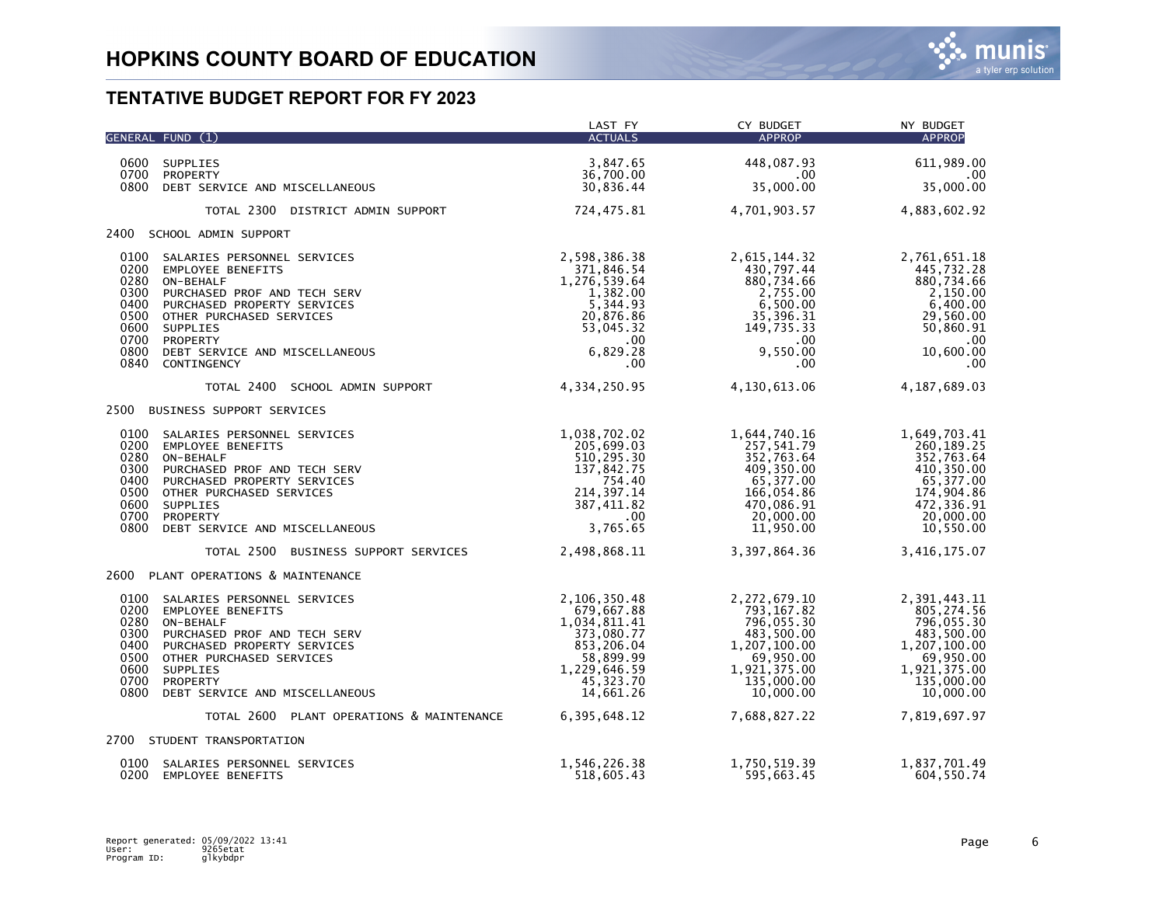|                                                                                                                                  |                                                                                                                                                                                      | LAST FY                                                                                                                         | CY BUDGET                                                                                                                       | NY BUDGET                                                                                                                      |
|----------------------------------------------------------------------------------------------------------------------------------|--------------------------------------------------------------------------------------------------------------------------------------------------------------------------------------|---------------------------------------------------------------------------------------------------------------------------------|---------------------------------------------------------------------------------------------------------------------------------|--------------------------------------------------------------------------------------------------------------------------------|
| GENERAL FUND (1)                                                                                                                 |                                                                                                                                                                                      | <b>ACTUALS</b>                                                                                                                  | APPROP                                                                                                                          | <b>APPROP</b>                                                                                                                  |
| 0600<br>SUPPLIES                                                                                                                 |                                                                                                                                                                                      | 3,847.65                                                                                                                        | 448,087.93                                                                                                                      | 611,989.00                                                                                                                     |
| 0700<br>PROPERTY                                                                                                                 | 0800 DEBT SERVICE AND MISCELLANEOUS                                                                                                                                                  | 36,700.00<br>30,836.44                                                                                                          | .00.<br>35,000.00                                                                                                               | $.00 \,$<br>35,000.00                                                                                                          |
|                                                                                                                                  | TOTAL 2300 DISTRICT ADMIN SUPPORT                                                                                                                                                    | 724,475.81                                                                                                                      | 4,701,903.57                                                                                                                    | 4,883,602.92                                                                                                                   |
| 2400 SCHOOL ADMIN SUPPORT                                                                                                        |                                                                                                                                                                                      |                                                                                                                                 |                                                                                                                                 |                                                                                                                                |
| 0100<br>0200<br>0280<br>ON-BEHALF<br>0300<br>0400<br>0500<br>0600<br>SUPPLIES<br>0700<br>PROPERTY<br>0800<br>0840<br>CONTINGENCY | SALARIES PERSONNEL SERVICES<br>EMPLOYEE BENEFITS<br>PURCHASED PROF AND TECH SERV<br>PURCHASED PROPERTY SERVICES<br>OTHER PURCHASED SERVICES<br>DEBT SERVICE AND MISCELLANEOUS        | 2,598,386.38<br>371,846.54<br>1,276,539.64<br>1,382.00<br>5,344.93<br>20,876.86<br>53,045.32<br>$.00\,$<br>6,829.28<br>$.00 \,$ | 2,615,144.32<br>430,797.44<br>880,734.66<br>2,755.00<br>6,500.00<br>35,396.31<br>149,735.33<br>$.00 \,$<br>9,550.00<br>$.00 \,$ | 2,761,651.18<br>445,732.28<br>880,734.66<br>2,150.00<br>6,400.00<br>29,560.00<br>50,860.91<br>.00<br>10,600.00<br>.00          |
|                                                                                                                                  | TOTAL 2400 SCHOOL ADMIN SUPPORT                                                                                                                                                      | 4,334,250.95                                                                                                                    | 4,130,613.06                                                                                                                    | 4,187,689.03                                                                                                                   |
|                                                                                                                                  | 2500 BUSINESS SUPPORT SERVICES                                                                                                                                                       |                                                                                                                                 |                                                                                                                                 |                                                                                                                                |
| 0100<br>0200<br>0280<br>ON-BEHALF<br>0300<br>0400<br>0500<br>0600<br>SUPPLIES<br>0700<br>PROPERTY<br>0800                        | SALARIES PERSONNEL SERVICES<br><b>EMPLOYEE BENEFITS</b><br>PURCHASED PROF AND TECH SERV<br>PURCHASED PROPERTY SERVICES<br>OTHER PURCHASED SERVICES<br>DEBT SERVICE AND MISCELLANEOUS | 1,038,702.02<br>205,699.03<br>510,295.30<br>137,842.75<br>754.40<br>214, 397.14<br>387,411.82<br>$.00 \,$<br>3,765.65           | 1,644,740.16<br>257,541.79<br>352,763.64<br>409,350.00<br>65,377.00<br>166,054.86<br>470,086.91<br>20,000.00<br>11,950.00       | 1,649,703.41<br>260, 189.25<br>352,763.64<br>410,350.00<br>65,377.00<br>174,904.86<br>472,336.91<br>20,000.00<br>10,550.00     |
|                                                                                                                                  | TOTAL 2500 BUSINESS SUPPORT SERVICES                                                                                                                                                 | 2,498,868.11                                                                                                                    | 3,397,864.36                                                                                                                    | 3,416,175.07                                                                                                                   |
|                                                                                                                                  | 2600 PLANT OPERATIONS & MAINTENANCE                                                                                                                                                  |                                                                                                                                 |                                                                                                                                 |                                                                                                                                |
| 0100<br>0200<br>0280<br>ON-BEHALF<br>0300<br>0400<br>0500<br>0600<br>SUPPLIES<br>0700<br>PROPERTY<br>0800                        | SALARIES PERSONNEL SERVICES<br><b>EMPLOYEE BENEFITS</b><br>PURCHASED PROF AND TECH SERV<br>PURCHASED PROPERTY SERVICES<br>OTHER PURCHASED SERVICES<br>DEBT SERVICE AND MISCELLANEOUS | 2,106,350.48<br>679,667.88<br>1,034,811.41<br>373,080.77<br>853,206.04<br>58,899.99<br>1,229,646.59<br>45,323.70<br>14,661.26   | 2,272,679.10<br>793,167.82<br>796,055.30<br>483,500.00<br>1,207,100.00<br>69,950.00<br>1,921,375.00<br>135,000.00<br>10,000.00  | 2,391,443.11<br>805,274.56<br>796,055.30<br>483,500.00<br>1,207,100.00<br>69,950.00<br>1,921,375.00<br>135,000.00<br>10,000.00 |
|                                                                                                                                  | TOTAL 2600 PLANT OPERATIONS & MAINTENANCE                                                                                                                                            | 6, 395, 648.12                                                                                                                  | 7,688,827.22                                                                                                                    | 7,819,697.97                                                                                                                   |
| 2700 STUDENT TRANSPORTATION                                                                                                      |                                                                                                                                                                                      |                                                                                                                                 |                                                                                                                                 |                                                                                                                                |
| 0100<br>0200                                                                                                                     | SALARIES PERSONNEL SERVICES<br>EMPLOYEE BENEFITS                                                                                                                                     | 1,546,226.38<br>518,605.43                                                                                                      | 1,750,519.39<br>595,663.45                                                                                                      | 1,837,701.49<br>604,550.74                                                                                                     |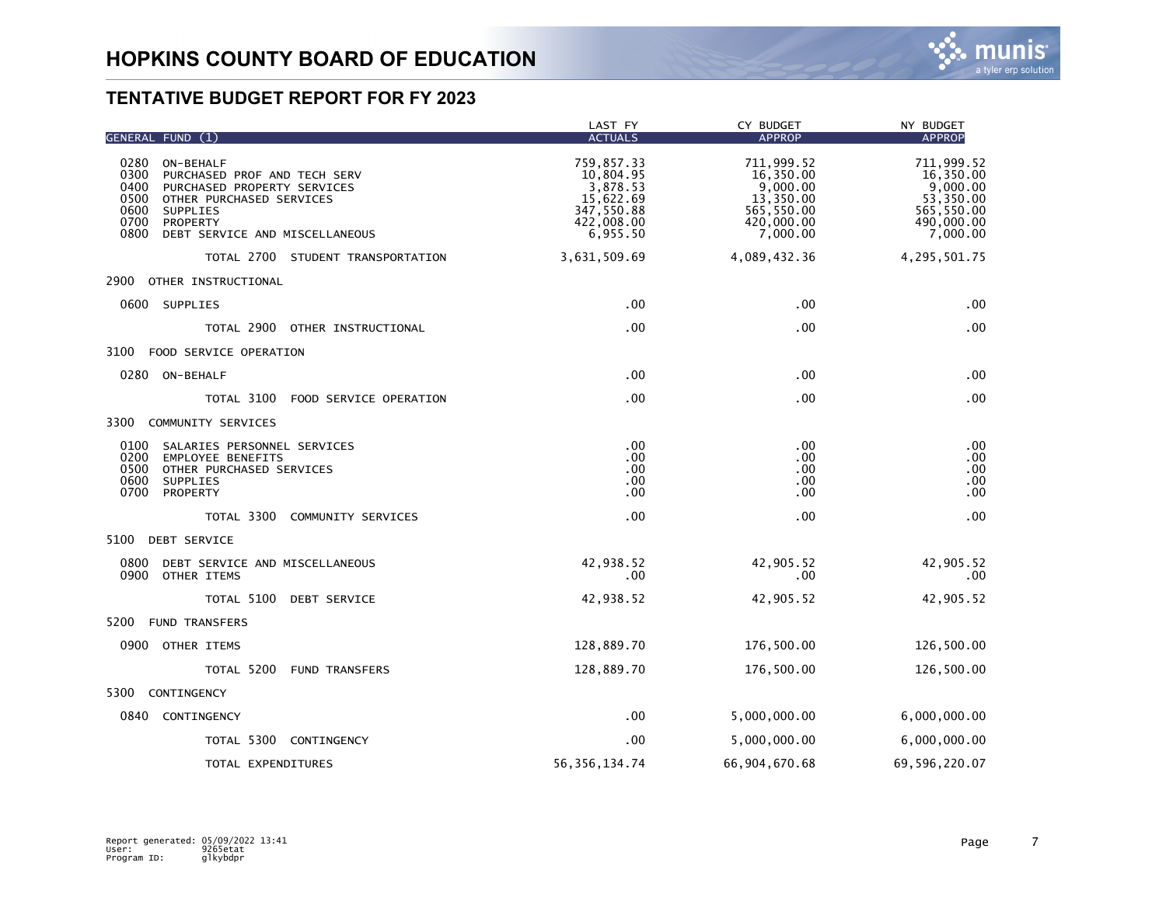

| GENERAL FUND (1)                                                        | LAST FY<br><b>ACTUALS</b> | CY BUDGET<br><b>APPROP</b> | NY BUDGET<br><b>APPROP</b> |
|-------------------------------------------------------------------------|---------------------------|----------------------------|----------------------------|
| 0280<br>ON-BEHALF                                                       | 759,857.33                | 711,999.52                 | 711,999.52                 |
| 0300<br>PURCHASED PROF AND TECH SERV                                    | 10.804.95                 | 16,350.00                  | 16,350.00                  |
| 0400<br>PURCHASED PROPERTY SERVICES<br>0500<br>OTHER PURCHASED SERVICES | 3,878.53<br>15,622.69     | 9,000.00<br>13,350.00      | 9,000.00<br>53,350.00      |
| 0600<br>SUPPLIES<br>0700<br>PROPERTY                                    | 347,550.88<br>422,008.00  | 565,550.00<br>420,000.00   | 565,550.00<br>490,000.00   |
| 0800<br>DEBT SERVICE AND MISCELLANEOUS                                  | 6,955.50                  | 7,000.00                   | 7,000.00                   |
| TOTAL 2700 STUDENT TRANSPORTATION                                       | 3,631,509.69              | 4,089,432.36               | 4,295,501.75               |
| 2900 OTHER INSTRUCTIONAL                                                |                           |                            |                            |
| 0600 SUPPLIES                                                           | .00                       | .00                        | .00                        |
| TOTAL 2900 OTHER INSTRUCTIONAL                                          | .00                       | .00                        | .00                        |
| 3100<br>FOOD SERVICE OPERATION                                          |                           |                            |                            |
| 0280 ON-BEHALF                                                          | .00                       | .00                        | .00                        |
| TOTAL 3100 FOOD SERVICE OPERATION                                       | .00                       | .00                        | .00                        |
| 3300 COMMUNITY SERVICES                                                 |                           |                            |                            |
| 0100<br>SALARIES PERSONNEL SERVICES                                     | .00                       | .00                        | .00                        |
| 0200<br><b>EMPLOYEE BENEFITS</b><br>0500<br>OTHER PURCHASED SERVICES    | .00<br>.00                | .00<br>.00                 | .00<br>.00                 |
| 0600<br>SUPPLIES                                                        | .00                       | .00                        | .00                        |
| 0700<br>PROPERTY                                                        | .00                       | .00                        | .00                        |
| TOTAL 3300 COMMUNITY SERVICES                                           | .00                       | .00                        | .00                        |
| 5100<br><b>DEBT SERVICE</b>                                             |                           |                            |                            |
| 0800<br>DEBT SERVICE AND MISCELLANEOUS<br>0900 OTHER ITEMS              | 42,938.52<br>.00          | 42,905.52<br>.00           | 42,905.52<br>.00.          |
| TOTAL 5100 DEBT SERVICE                                                 | 42,938.52                 | 42,905.52                  | 42,905.52                  |
| <b>FUND TRANSFERS</b><br>5200                                           |                           |                            |                            |
| 0900 OTHER ITEMS                                                        | 128,889.70                | 176,500.00                 | 126,500.00                 |
| TOTAL 5200 FUND TRANSFERS                                               | 128,889.70                | 176,500.00                 | 126,500.00                 |
| CONTINGENCY<br>5300                                                     |                           |                            |                            |
| 0840 CONTINGENCY                                                        | .00.                      | 5,000,000.00               | 6,000,000.00               |
| TOTAL 5300 CONTINGENCY                                                  | .00                       | 5,000,000.00               | 6,000,000.00               |
| TOTAL EXPENDITURES                                                      | 56, 356, 134.74           | 66,904,670.68              | 69,596,220.07              |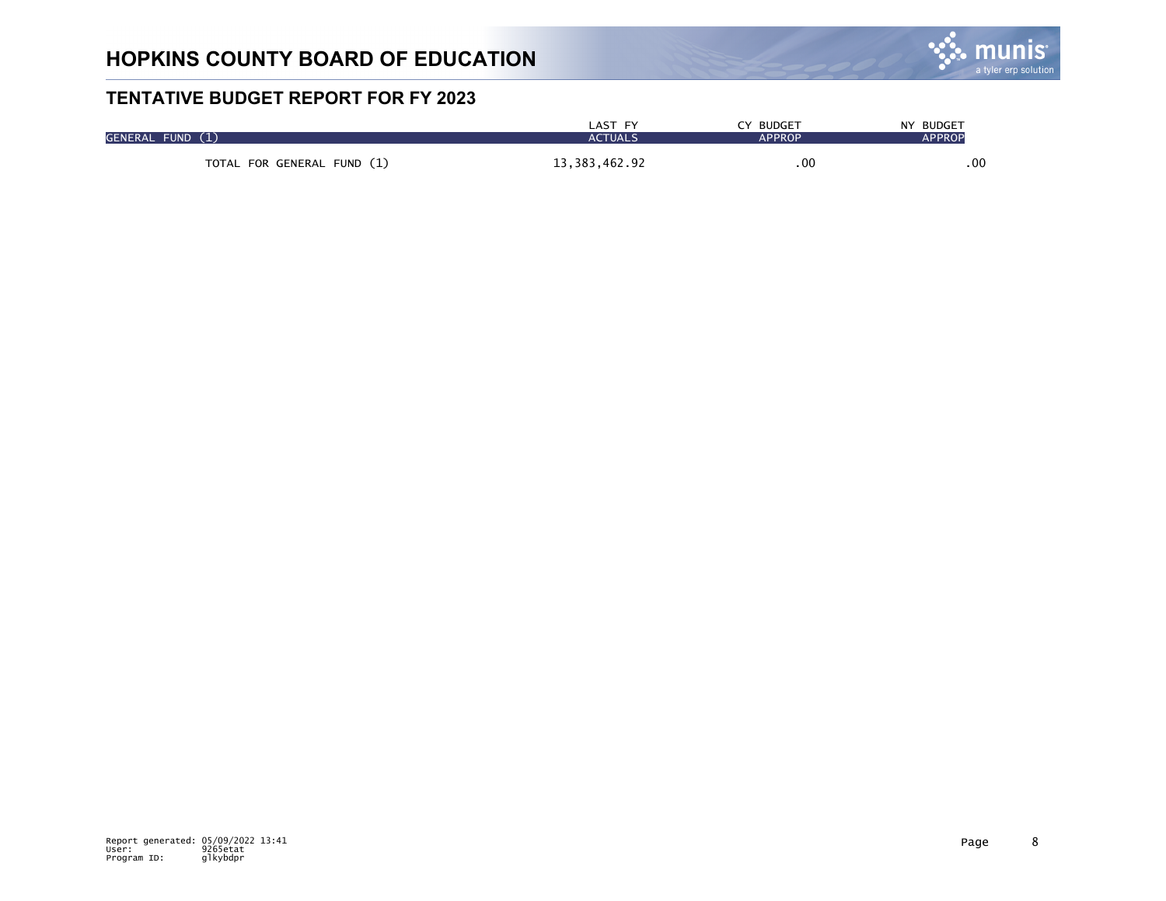

| GENERAL FUND (1) |                            | LAST FY<br><b>ACTUALS</b> | CY BUDGET<br><b>APPROP</b> | NY BUDGET<br><b>APPROP</b> |
|------------------|----------------------------|---------------------------|----------------------------|----------------------------|
|                  | TOTAL FOR GENERAL FUND (1) | 13, 383, 462. 92          | $.00 \cdot$                | .00                        |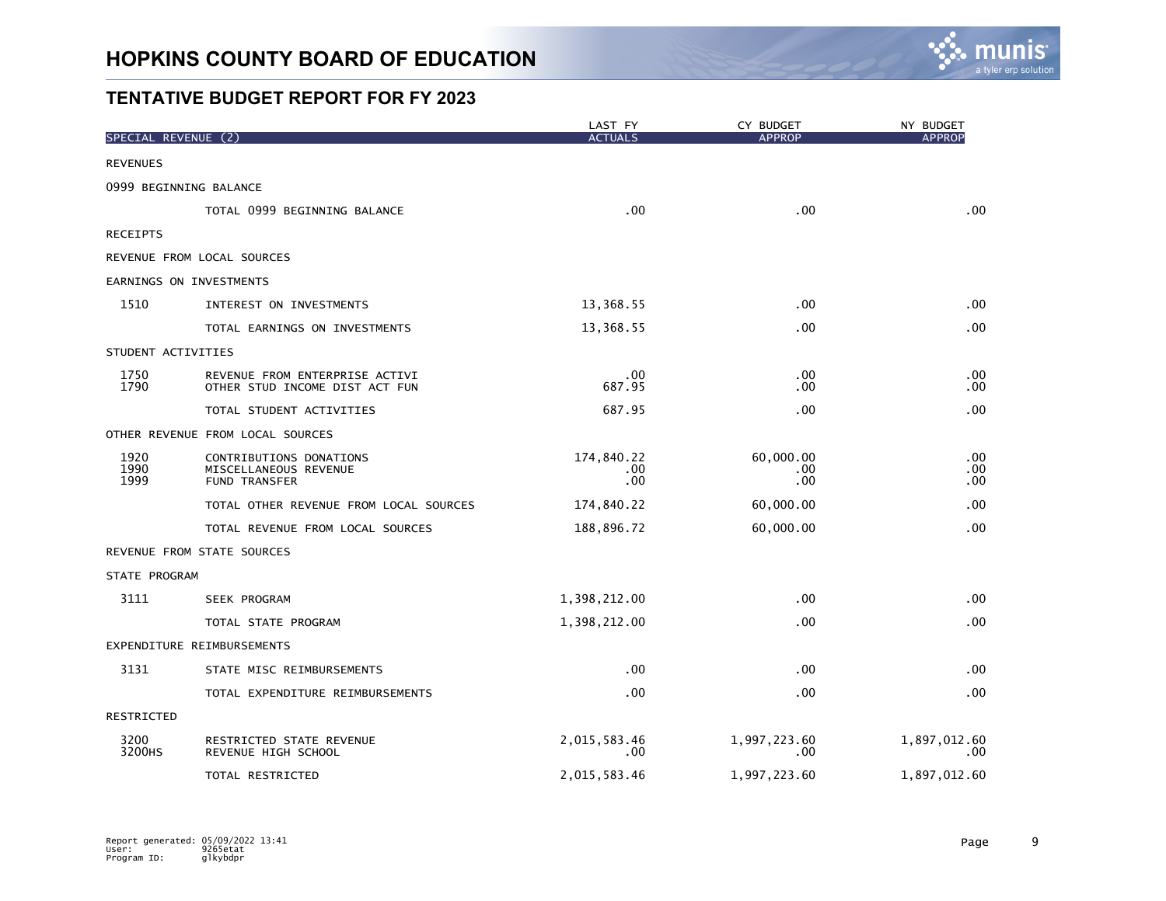

| SPECIAL REVENUE (2)  |                                                                          | LAST FY<br><b>ACTUALS</b> | CY BUDGET<br><b>APPROP</b> | NY BUDGET<br><b>APPROP</b> |
|----------------------|--------------------------------------------------------------------------|---------------------------|----------------------------|----------------------------|
| <b>REVENUES</b>      |                                                                          |                           |                            |                            |
|                      | 0999 BEGINNING BALANCE                                                   |                           |                            |                            |
|                      | TOTAL 0999 BEGINNING BALANCE                                             | .00                       | .00                        | .00                        |
| <b>RECEIPTS</b>      |                                                                          |                           |                            |                            |
|                      | REVENUE FROM LOCAL SOURCES                                               |                           |                            |                            |
|                      | EARNINGS ON INVESTMENTS                                                  |                           |                            |                            |
| 1510                 | INTEREST ON INVESTMENTS                                                  | 13,368.55                 | .00.                       | .00                        |
|                      | TOTAL EARNINGS ON INVESTMENTS                                            | 13,368.55                 | .00.                       | .00                        |
| STUDENT ACTIVITIES   |                                                                          |                           |                            |                            |
| 1750<br>1790         | REVENUE FROM ENTERPRISE ACTIVI<br>OTHER STUD INCOME DIST ACT FUN         | .00<br>687.95             | .00<br>.00                 | .00<br>.00                 |
|                      | TOTAL STUDENT ACTIVITIES                                                 | 687.95                    | .00                        | .00                        |
|                      | OTHER REVENUE FROM LOCAL SOURCES                                         |                           |                            |                            |
| 1920<br>1990<br>1999 | CONTRIBUTIONS DONATIONS<br>MISCELLANEOUS REVENUE<br><b>FUND TRANSFER</b> | 174,840.22<br>.00.<br>.00 | 60,000.00<br>.00<br>.00    | .00<br>.00<br>.00          |
|                      | TOTAL OTHER REVENUE FROM LOCAL SOURCES                                   | 174,840.22                | 60,000.00                  | .00                        |
|                      | TOTAL REVENUE FROM LOCAL SOURCES                                         | 188,896.72                | 60,000.00                  | .00                        |
|                      | REVENUE FROM STATE SOURCES                                               |                           |                            |                            |
| STATE PROGRAM        |                                                                          |                           |                            |                            |
| 3111                 | SEEK PROGRAM                                                             | 1,398,212.00              | .00                        | .00                        |
|                      | TOTAL STATE PROGRAM                                                      | 1,398,212.00              | .00                        | .00                        |
|                      | EXPENDITURE REIMBURSEMENTS                                               |                           |                            |                            |
| 3131                 | STATE MISC REIMBURSEMENTS                                                | .00                       | .00                        | .00                        |
|                      | TOTAL EXPENDITURE REIMBURSEMENTS                                         | .00                       | .00.                       | .00                        |
| RESTRICTED           |                                                                          |                           |                            |                            |
| 3200<br>3200HS       | RESTRICTED STATE REVENUE<br>REVENUE HIGH SCHOOL                          | 2,015,583.46<br>.00       | 1,997,223.60<br>.00        | 1,897,012.60<br>.00.       |
|                      | TOTAL RESTRICTED                                                         | 2,015,583.46              | 1,997,223.60               | 1,897,012.60               |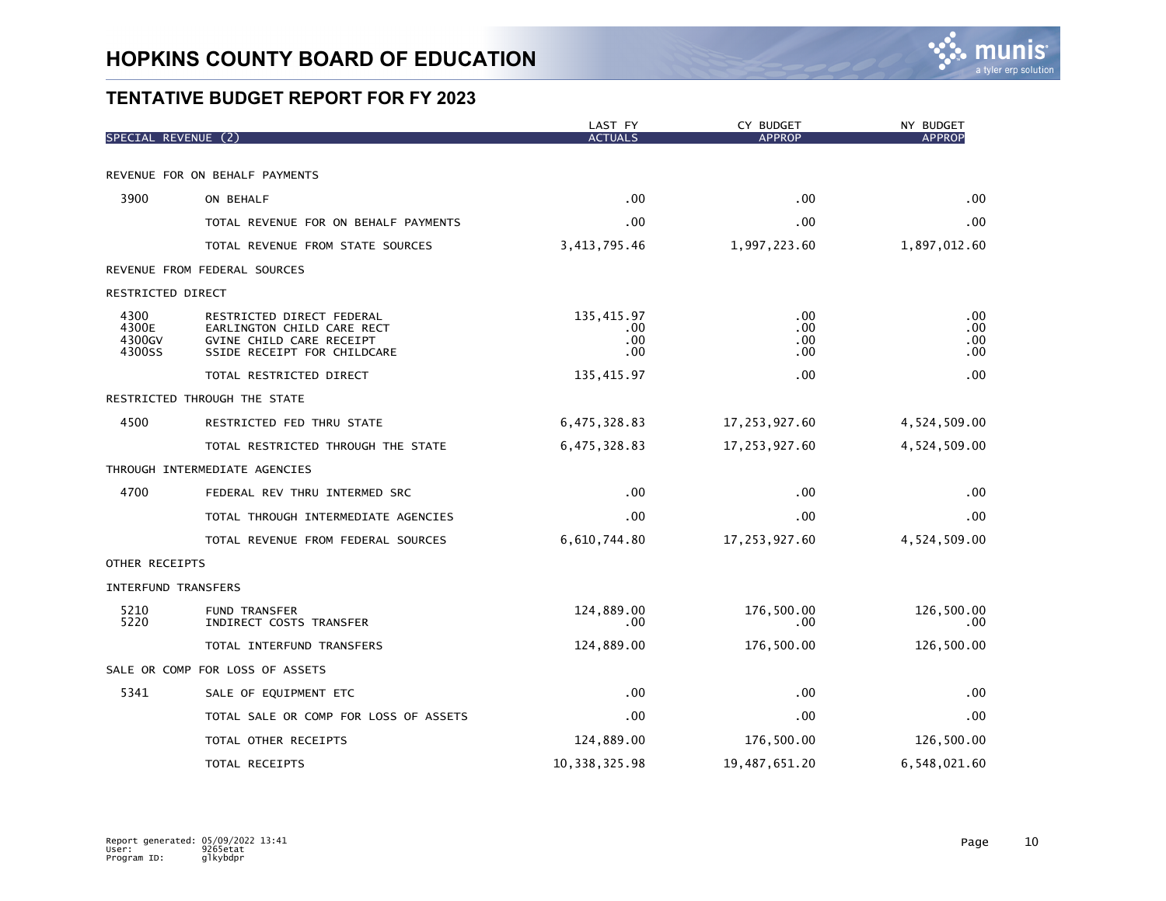

|                                   |                                                                                                                    | LAST FY                         | CY BUDGET<br><b>APPROP</b> | NY BUDGET<br><b>APPROP</b> |
|-----------------------------------|--------------------------------------------------------------------------------------------------------------------|---------------------------------|----------------------------|----------------------------|
| SPECIAL REVENUE (2)               |                                                                                                                    | <b>ACTUALS</b>                  |                            |                            |
| REVENUE FOR ON BEHALF PAYMENTS    |                                                                                                                    |                                 |                            |                            |
| 3900                              | ON BEHALF                                                                                                          | .00                             | $.00 \times$               | .00                        |
|                                   | TOTAL REVENUE FOR ON BEHALF PAYMENTS                                                                               | .00                             | .00                        | .00                        |
|                                   | TOTAL REVENUE FROM STATE SOURCES                                                                                   | 3, 413, 795.46                  | 1,997,223.60               | 1,897,012.60               |
| REVENUE FROM FEDERAL SOURCES      |                                                                                                                    |                                 |                            |                            |
| RESTRICTED DIRECT                 |                                                                                                                    |                                 |                            |                            |
| 4300<br>4300E<br>4300GV<br>4300SS | RESTRICTED DIRECT FEDERAL<br>EARLINGTON CHILD CARE RECT<br>GVINE CHILD CARE RECEIPT<br>SSIDE RECEIPT FOR CHILDCARE | 135,415.97<br>.00<br>.00<br>.00 | .00.<br>.00<br>.00<br>.00. | .00<br>.00<br>.00<br>.00   |
|                                   | TOTAL RESTRICTED DIRECT                                                                                            | 135, 415.97                     | .00                        | .00                        |
| RESTRICTED THROUGH THE STATE      |                                                                                                                    |                                 |                            |                            |
| 4500                              | RESTRICTED FED THRU STATE                                                                                          | 6,475,328.83                    | 17,253,927.60              | 4,524,509.00               |
|                                   | TOTAL RESTRICTED THROUGH THE STATE                                                                                 | 6,475,328.83                    | 17,253,927.60              | 4,524,509.00               |
| THROUGH INTERMEDIATE AGENCIES     |                                                                                                                    |                                 |                            |                            |
| 4700                              | FEDERAL REV THRU INTERMED SRC                                                                                      | .00                             | .00                        | .00                        |
|                                   | TOTAL THROUGH INTERMEDIATE AGENCIES                                                                                | .00                             | .00                        | .00                        |
|                                   | TOTAL REVENUE FROM FEDERAL SOURCES                                                                                 | 6,610,744.80                    | 17,253,927.60              | 4,524,509.00               |
| OTHER RECEIPTS                    |                                                                                                                    |                                 |                            |                            |
| INTERFUND TRANSFERS               |                                                                                                                    |                                 |                            |                            |
| 5210<br>5220                      | <b>FUND TRANSFER</b><br>INDIRECT COSTS TRANSFER                                                                    | 124,889.00<br>$.00 \,$          | 176,500.00<br>$.00 \,$     | 126,500.00<br>.00          |
|                                   | TOTAL INTERFUND TRANSFERS                                                                                          | 124,889.00                      | 176,500.00                 | 126,500.00                 |
| SALE OR COMP FOR LOSS OF ASSETS   |                                                                                                                    |                                 |                            |                            |
| 5341                              | SALE OF EQUIPMENT ETC                                                                                              | .00                             | .00                        | .00                        |
|                                   | TOTAL SALE OR COMP FOR LOSS OF ASSETS                                                                              | .00                             | $.00 \,$                   | .00                        |
|                                   | TOTAL OTHER RECEIPTS                                                                                               | 124,889.00                      | 176,500.00                 | 126,500.00                 |
|                                   | TOTAL RECEIPTS                                                                                                     | 10, 338, 325.98                 | 19,487,651.20              | 6,548,021.60               |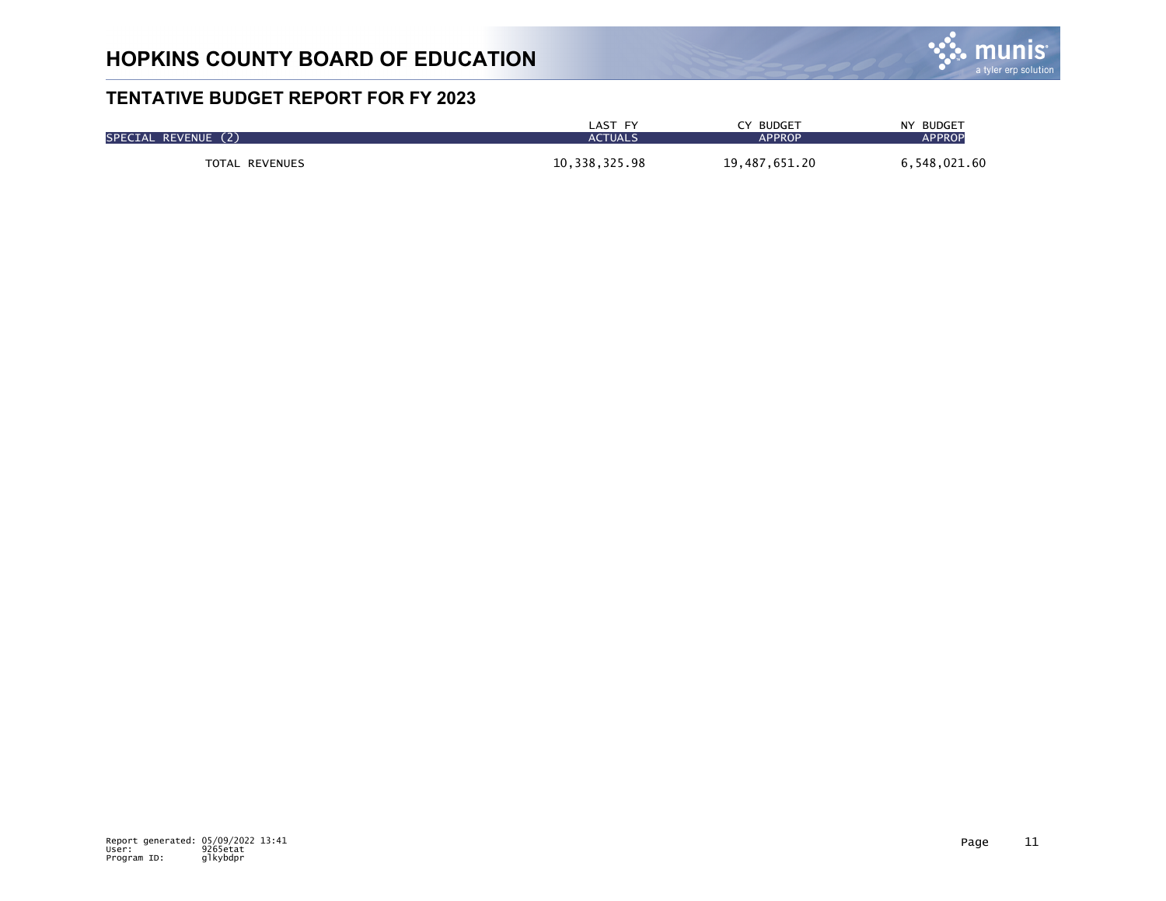

| SPECIAL REVENUE (2) | LAST FY        | CY BUDGET     | NY BUDGET     |
|---------------------|----------------|---------------|---------------|
|                     | <b>ACTUALS</b> | <b>APPROP</b> | <b>APPROP</b> |
| TOTAL REVENUES      | 10,338,325.98  | 19,487,651.20 | 6,548,021.60  |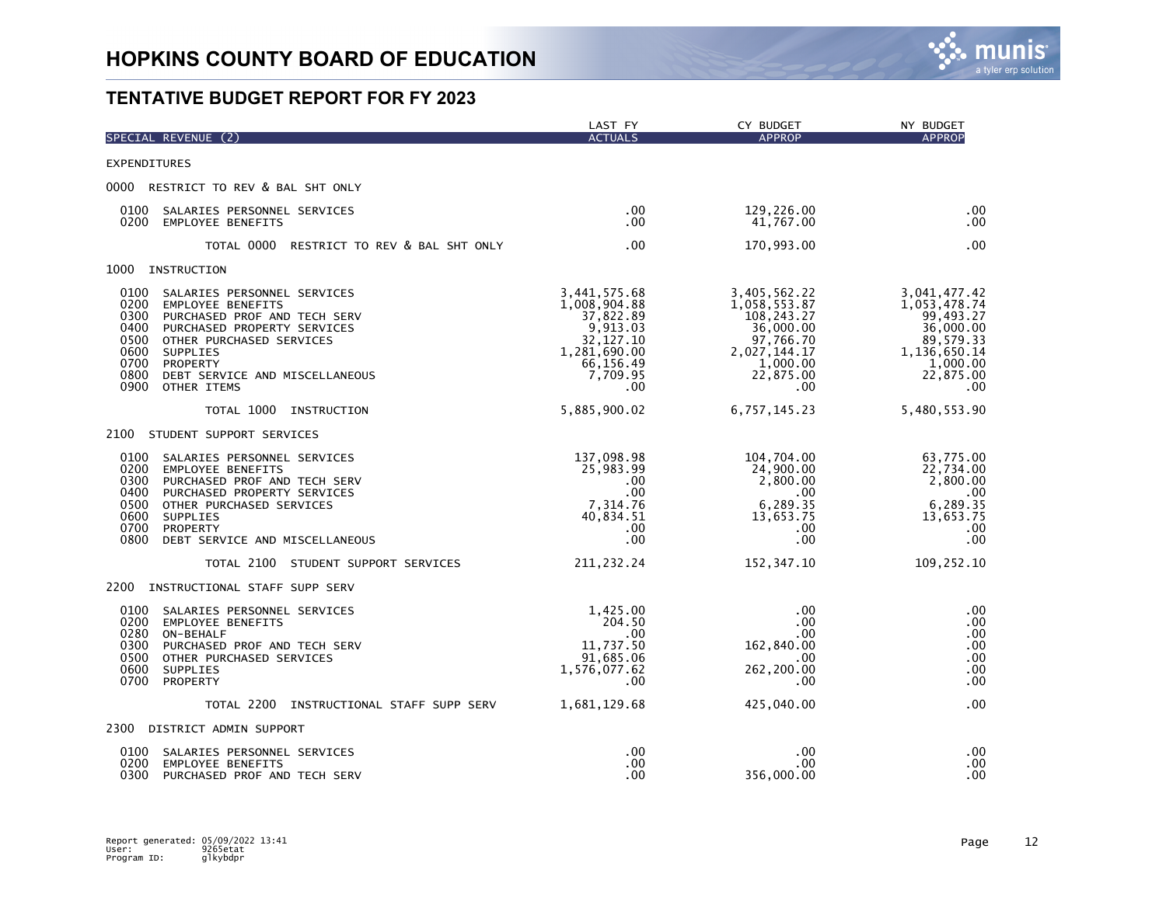

|                                                                      | SPECIAL REVENUE (2)                                                                                                                                                                                                         | LAST FY<br><b>ACTUALS</b>                                                                                          | CY BUDGET<br><b>APPROP</b>                                                                                                    | NY BUDGET<br><b>APPROP</b>                                                                                          |
|----------------------------------------------------------------------|-----------------------------------------------------------------------------------------------------------------------------------------------------------------------------------------------------------------------------|--------------------------------------------------------------------------------------------------------------------|-------------------------------------------------------------------------------------------------------------------------------|---------------------------------------------------------------------------------------------------------------------|
| <b>EXPENDITURES</b>                                                  |                                                                                                                                                                                                                             |                                                                                                                    |                                                                                                                               |                                                                                                                     |
|                                                                      | 0000 RESTRICT TO REV & BAL SHT ONLY                                                                                                                                                                                         |                                                                                                                    |                                                                                                                               |                                                                                                                     |
| 0100<br>0200                                                         | SALARIES PERSONNEL SERVICES<br><b>EMPLOYEE BENEFITS</b>                                                                                                                                                                     | .00<br>.00                                                                                                         | 129,226.00<br>41,767.00                                                                                                       | .00<br>.00                                                                                                          |
|                                                                      | TOTAL 0000<br>RESTRICT TO REV & BAL SHT ONLY                                                                                                                                                                                | .00                                                                                                                | 170,993.00                                                                                                                    | .00                                                                                                                 |
| 1000                                                                 | INSTRUCTION                                                                                                                                                                                                                 |                                                                                                                    |                                                                                                                               |                                                                                                                     |
| 0100<br>0200<br>0300<br>0400<br>0500<br>0600<br>0700<br>0800<br>0900 | SALARIES PERSONNEL SERVICES<br><b>EMPLOYEE BENEFITS</b><br>PURCHASED PROF AND TECH SERV<br>PURCHASED PROPERTY SERVICES<br>OTHER PURCHASED SERVICES<br>SUPPLIES<br>PROPERTY<br>DEBT SERVICE AND MISCELLANEOUS<br>OTHER ITEMS | 3,441,575.68<br>1,008,904.88<br>37,822.89<br>9,913.03<br>32,127.10<br>1,281,690.00<br>66,156.49<br>7,709.95<br>.00 | 3,405,562.22<br>1,058,553.87<br>108,243.27<br>36,000.00<br>97,766.70<br>2,027,144.17<br>1,000.00<br>22,875.00<br>$.00 \times$ | 3,041,477.42<br>1,053,478.74<br>99,493.27<br>36,000.00<br>89,579.33<br>1,136,650.14<br>1,000.00<br>22,875.00<br>.00 |
|                                                                      | TOTAL 1000 INSTRUCTION                                                                                                                                                                                                      | 5,885,900.02                                                                                                       | 6,757,145.23                                                                                                                  | 5,480,553.90                                                                                                        |
|                                                                      | 2100 STUDENT SUPPORT SERVICES                                                                                                                                                                                               |                                                                                                                    |                                                                                                                               |                                                                                                                     |
| 0100<br>0200<br>0300<br>0400<br>0500<br>0600<br>0700<br>0800         | SALARIES PERSONNEL SERVICES<br><b>EMPLOYEE BENEFITS</b><br>PURCHASED PROF AND TECH SERV<br>PURCHASED PROPERTY SERVICES<br>OTHER PURCHASED SERVICES<br>SUPPLIES<br>PROPERTY<br>DEBT SERVICE AND MISCELLANEOUS                | 137,098.98<br>25,983.99<br>.00.<br>.00.<br>7,314.76<br>40,834.51<br>.00<br>.00                                     | 104,704.00<br>24,900.00<br>2,800.00<br>.00<br>6,289.35<br>13,653.75<br>$.00 \,$<br>.00                                        | 63,775.00<br>22,734.00<br>2,800.00<br>.00<br>6,289.35<br>13,653.75<br>.00<br>.00                                    |
|                                                                      | TOTAL 2100 STUDENT SUPPORT SERVICES                                                                                                                                                                                         | 211, 232. 24                                                                                                       | 152,347.10                                                                                                                    | 109,252.10                                                                                                          |
|                                                                      | 2200 INSTRUCTIONAL STAFF SUPP SERV                                                                                                                                                                                          |                                                                                                                    |                                                                                                                               |                                                                                                                     |
| 0100<br>0200<br>0300<br>0500<br>0600<br>0700                         | SALARIES PERSONNEL SERVICES<br>EMPLOYEE BENEFITS<br>0280 ON-BEHALF<br>PURCHASED PROF AND TECH SERV<br>OTHER PURCHASED SERVICES<br>SUPPLIES<br>PROPERTY                                                                      | 1,425.00<br>204.50<br>.00<br>11,737.50<br>91,685.06<br>1,576,077.62<br>.00                                         | .00<br>.00.<br>$.00 \times$<br>162,840.00<br>.00<br>262,200.00<br>.00                                                         | .00<br>.00<br>.00<br>.00<br>.00<br>.00<br>.00                                                                       |
|                                                                      | TOTAL 2200<br>INSTRUCTIONAL STAFF SUPP SERV                                                                                                                                                                                 | 1,681,129.68                                                                                                       | 425,040.00                                                                                                                    | .00                                                                                                                 |
|                                                                      | 2300 DISTRICT ADMIN SUPPORT                                                                                                                                                                                                 |                                                                                                                    |                                                                                                                               |                                                                                                                     |
| 0100<br>0200<br>0300                                                 | SALARIES PERSONNEL SERVICES<br><b>EMPLOYEE BENEFITS</b><br>PURCHASED PROF AND TECH SERV                                                                                                                                     | .00<br>.00<br>.00                                                                                                  | .00<br>.00<br>356,000.00                                                                                                      | .00<br>.00<br>.00                                                                                                   |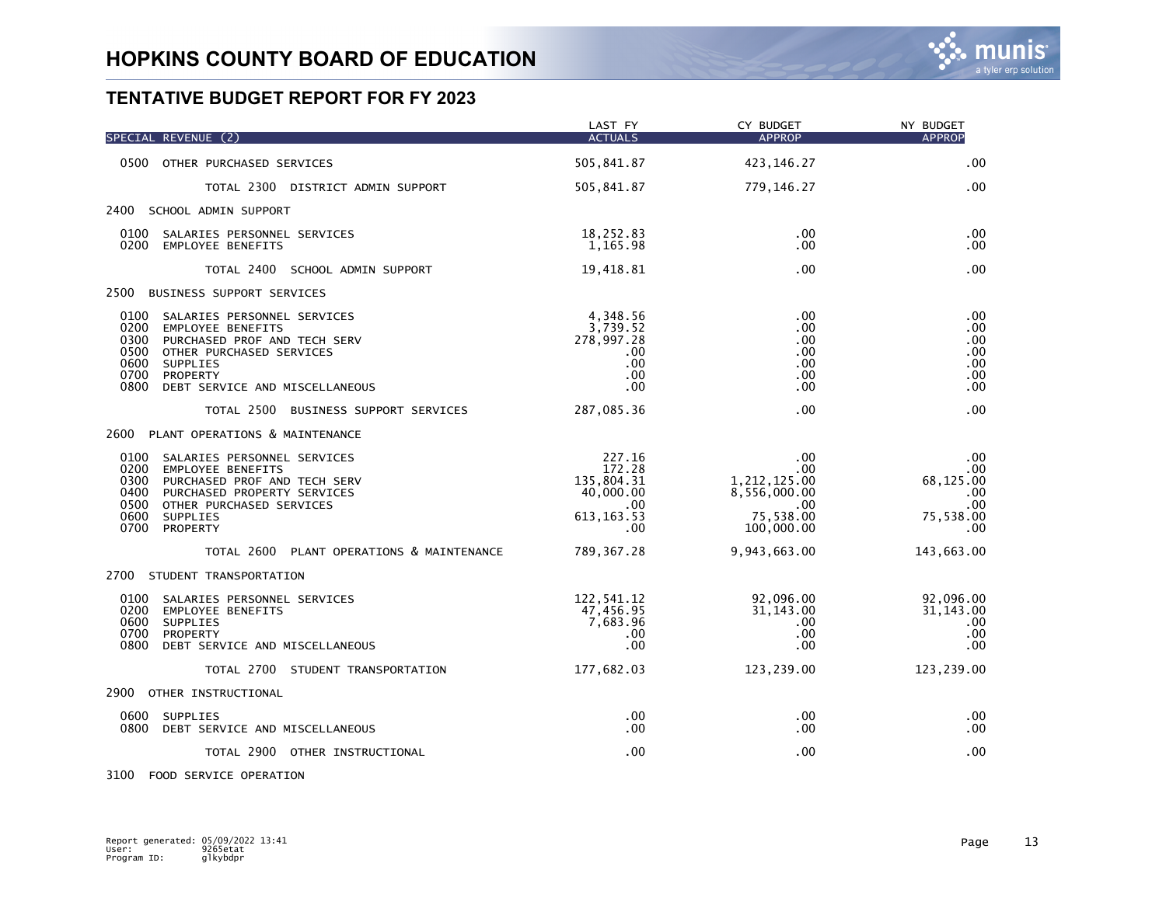|                                                      | SPECIAL REVENUE (2)                                                                                                                                                    | LAST FY<br><b>ACTUALS</b>                                                   | CY BUDGET<br><b>APPROP</b>                                                         | NY BUDGET<br><b>APPROP</b>                                  |
|------------------------------------------------------|------------------------------------------------------------------------------------------------------------------------------------------------------------------------|-----------------------------------------------------------------------------|------------------------------------------------------------------------------------|-------------------------------------------------------------|
|                                                      | 0500 OTHER PURCHASED SERVICES                                                                                                                                          | 505,841.87                                                                  | 423,146.27                                                                         | .00                                                         |
|                                                      | TOTAL 2300 DISTRICT ADMIN SUPPORT                                                                                                                                      | 505,841.87                                                                  | 779,146.27                                                                         | .00                                                         |
|                                                      | 2400 SCHOOL ADMIN SUPPORT                                                                                                                                              |                                                                             |                                                                                    |                                                             |
| 0100                                                 | SALARIES PERSONNEL SERVICES<br>0200 EMPLOYEE BENEFITS                                                                                                                  | 18,252.83<br>1,165.98                                                       | .00<br>.00                                                                         | .00<br>$.00 \,$                                             |
|                                                      | TOTAL 2400 SCHOOL ADMIN SUPPORT                                                                                                                                        | 19,418.81                                                                   | .00                                                                                | .00                                                         |
| 2500                                                 | BUSINESS SUPPORT SERVICES                                                                                                                                              |                                                                             |                                                                                    |                                                             |
| 0100<br>0200<br>0300<br>0500<br>0600<br>0700<br>0800 | SALARIES PERSONNEL SERVICES<br>EMPLOYEE BENEFITS<br>PURCHASED PROF AND TECH SERV<br>OTHER PURCHASED SERVICES<br>SUPPLIES<br>PROPERTY<br>DEBT SERVICE AND MISCELLANEOUS | 4,348.56<br>3,739.52<br>278,997.28<br>.00<br>.00<br>.00<br>.00              | .00<br>.00<br>.00<br>$.00 \,$<br>.00<br>.00<br>.00                                 | .00<br>.00<br>.00<br>.00<br>.00<br>.00<br>.00               |
|                                                      | TOTAL 2500 BUSINESS SUPPORT SERVICES                                                                                                                                   | 287,085.36                                                                  | .00                                                                                | .00                                                         |
|                                                      | 2600 PLANT OPERATIONS & MAINTENANCE                                                                                                                                    |                                                                             |                                                                                    |                                                             |
| 0100<br>0200<br>0300<br>0400<br>0500<br>0600<br>0700 | SALARIES PERSONNEL SERVICES<br>EMPLOYEE BENEFITS<br>PURCHASED PROF AND TECH SERV<br>PURCHASED PROPERTY SERVICES<br>OTHER PURCHASED SERVICES<br>SUPPLIES<br>PROPERTY    | 227.16<br>172.28<br>135,804.31<br>40,000.00<br>.00.<br>613, 163. 53<br>.00. | .00<br>$.00 \,$<br>1,212,125.00<br>8,556,000.00<br>.00.<br>75,538.00<br>100,000.00 | .00<br>.00.<br>68,125.00<br>.00<br>.00<br>75,538.00<br>.00. |
|                                                      | TOTAL 2600 PLANT OPERATIONS & MAINTENANCE                                                                                                                              | 789, 367.28                                                                 | 9,943,663.00                                                                       | 143,663.00                                                  |
|                                                      | 2700 STUDENT TRANSPORTATION                                                                                                                                            |                                                                             |                                                                                    |                                                             |
| 0100<br>0200<br>0600<br>0700<br>0800                 | SALARIES PERSONNEL SERVICES<br>EMPLOYEE BENEFITS<br><b>SUPPLIES</b><br><b>PROPERTY</b><br>DEBT SERVICE AND MISCELLANEOUS                                               | 122,541.12<br>47,456.95<br>7,683.96<br>.00<br>.00                           | 92,096.00<br>31, 143.00<br>$.00 \times$<br>.00<br>$.00 \,$                         | 92,096.00<br>31, 143.00<br>.00<br>.00<br>.00                |
|                                                      | TOTAL 2700 STUDENT TRANSPORTATION                                                                                                                                      | 177,682.03                                                                  | 123,239.00                                                                         | 123,239.00                                                  |
|                                                      | 2900 OTHER INSTRUCTIONAL                                                                                                                                               |                                                                             |                                                                                    |                                                             |
| 0600<br>0800                                         | SUPPLIES<br>DEBT SERVICE AND MISCELLANEOUS                                                                                                                             | .00<br>.00                                                                  | .00<br>.00                                                                         | .00<br>.00                                                  |
|                                                      | TOTAL 2900 OTHER INSTRUCTIONAL                                                                                                                                         | .00                                                                         | .00                                                                                | .00                                                         |

3100 FOOD SERVICE OPERATION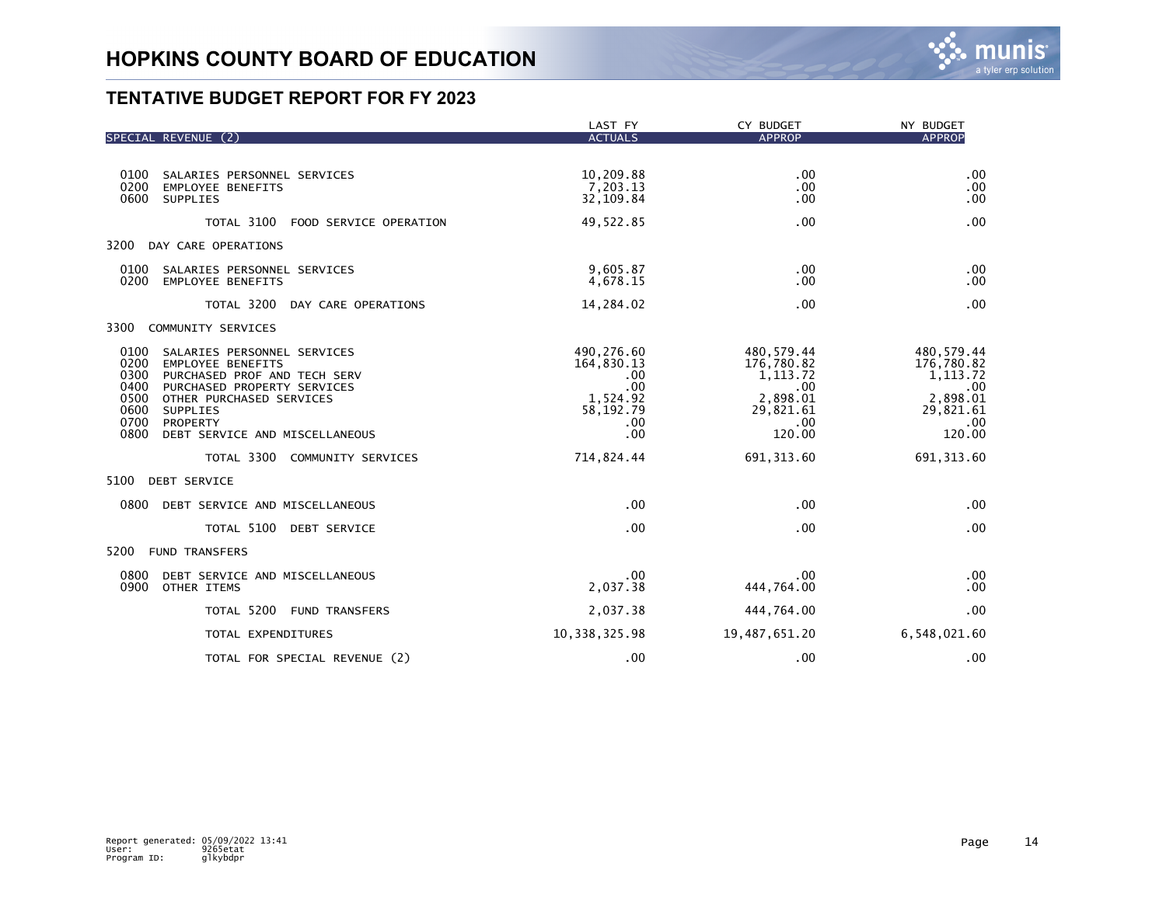

|                                                                                                                                                                                                                                                                              | LAST FY                                                                              | CY BUDGET                                                                              | NY BUDGET                                                                              |
|------------------------------------------------------------------------------------------------------------------------------------------------------------------------------------------------------------------------------------------------------------------------------|--------------------------------------------------------------------------------------|----------------------------------------------------------------------------------------|----------------------------------------------------------------------------------------|
| SPECIAL REVENUE (2)                                                                                                                                                                                                                                                          | <b>ACTUALS</b>                                                                       | <b>APPROP</b>                                                                          | <b>APPROP</b>                                                                          |
| 0100<br>SALARIES PERSONNEL SERVICES<br>0200<br><b>EMPLOYEE BENEFITS</b><br>0600<br>SUPPLIES                                                                                                                                                                                  | 10,209.88<br>7,203.13<br>32,109.84                                                   | .00<br>.00<br>.00                                                                      | .00<br>.00<br>.00                                                                      |
| TOTAL 3100<br>FOOD SERVICE OPERATION                                                                                                                                                                                                                                         | 49,522.85                                                                            | .00                                                                                    | .00                                                                                    |
| 3200<br>DAY CARE OPERATIONS                                                                                                                                                                                                                                                  |                                                                                      |                                                                                        |                                                                                        |
| 0100<br>SALARIES PERSONNEL SERVICES<br>0200<br><b>EMPLOYEE BENEFITS</b>                                                                                                                                                                                                      | 9,605.87<br>4,678.15                                                                 | .00<br>.00                                                                             | .00<br>.00                                                                             |
| TOTAL 3200<br>DAY CARE OPERATIONS                                                                                                                                                                                                                                            | 14,284.02                                                                            | .00                                                                                    | .00                                                                                    |
| 3300<br>COMMUNITY SERVICES                                                                                                                                                                                                                                                   |                                                                                      |                                                                                        |                                                                                        |
| 0100<br>SALARIES PERSONNEL SERVICES<br>0200<br><b>EMPLOYEE BENEFITS</b><br>0300<br>PURCHASED PROF AND TECH SERV<br>0400<br>PURCHASED PROPERTY SERVICES<br>0500<br>OTHER PURCHASED SERVICES<br>0600<br>SUPPLIES<br>0700<br>PROPERTY<br>0800<br>DEBT SERVICE AND MISCELLANEOUS | 490,276.60<br>164,830.13<br>$.00 \,$<br>.00<br>1,524.92<br>58, 192. 79<br>.00<br>.00 | 480,579.44<br>176,780.82<br>1, 113.72<br>.00<br>2,898.01<br>29,821.61<br>.00<br>120.00 | 480,579.44<br>176,780.82<br>1, 113.72<br>.00<br>2,898.01<br>29,821.61<br>.00<br>120.00 |
| TOTAL 3300 COMMUNITY SERVICES                                                                                                                                                                                                                                                | 714,824.44                                                                           | 691, 313.60                                                                            | 691, 313.60                                                                            |
| 5100<br><b>DEBT SERVICE</b>                                                                                                                                                                                                                                                  |                                                                                      |                                                                                        |                                                                                        |
| 0800<br>DEBT SERVICE AND MISCELLANEOUS                                                                                                                                                                                                                                       | .00                                                                                  | .00                                                                                    | .00                                                                                    |
| TOTAL 5100<br><b>DEBT SERVICE</b>                                                                                                                                                                                                                                            | .00                                                                                  | .00                                                                                    | .00                                                                                    |
| 5200<br><b>FUND TRANSFERS</b>                                                                                                                                                                                                                                                |                                                                                      |                                                                                        |                                                                                        |
| 0800<br>DEBT SERVICE AND MISCELLANEOUS<br>0900<br>OTHER ITEMS                                                                                                                                                                                                                | $.00 \,$<br>2,037.38                                                                 | $.00 \,$<br>444,764.00                                                                 | .00<br>.00                                                                             |
| TOTAL 5200<br><b>FUND TRANSFERS</b>                                                                                                                                                                                                                                          | 2,037.38                                                                             | 444,764.00                                                                             | .00                                                                                    |
| TOTAL EXPENDITURES                                                                                                                                                                                                                                                           | 10, 338, 325.98                                                                      | 19,487,651.20                                                                          | 6,548,021.60                                                                           |
| TOTAL FOR SPECIAL REVENUE (2)                                                                                                                                                                                                                                                | .00                                                                                  | .00                                                                                    | .00                                                                                    |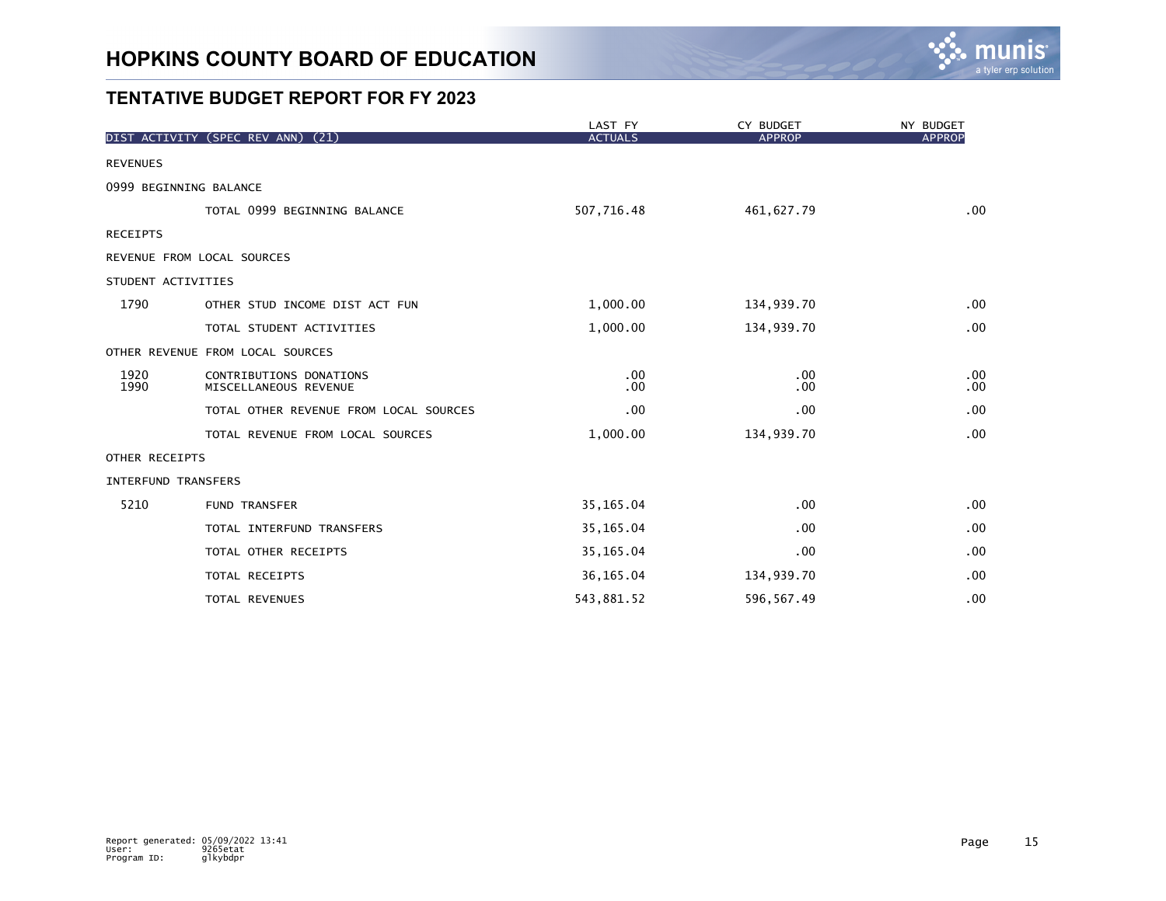

|                    |                                                  | LAST FY        | CY BUDGET            | NY BUDGET     |
|--------------------|--------------------------------------------------|----------------|----------------------|---------------|
|                    | DIST ACTIVITY (SPEC REV ANN) (21)                | <b>ACTUALS</b> | <b>APPROP</b>        | <b>APPROP</b> |
| <b>REVENUES</b>    |                                                  |                |                      |               |
|                    | 0999 BEGINNING BALANCE                           |                |                      |               |
|                    | TOTAL 0999 BEGINNING BALANCE                     | 507,716.48     | 461,627.79           | .00           |
| <b>RECEIPTS</b>    |                                                  |                |                      |               |
|                    | REVENUE FROM LOCAL SOURCES                       |                |                      |               |
| STUDENT ACTIVITIES |                                                  |                |                      |               |
| 1790               | OTHER STUD INCOME DIST ACT FUN                   | 1,000.00       | 134,939.70           | .00           |
|                    | TOTAL STUDENT ACTIVITIES                         | 1,000.00       | 134,939.70           | .00           |
|                    | OTHER REVENUE FROM LOCAL SOURCES                 |                |                      |               |
| 1920<br>1990       | CONTRIBUTIONS DONATIONS<br>MISCELLANEOUS REVENUE | .00<br>.00     | $.00 \,$<br>$.00 \,$ | .00<br>.00    |
|                    | TOTAL OTHER REVENUE FROM LOCAL SOURCES           | .00            | $.00 \,$             | .00           |
|                    | TOTAL REVENUE FROM LOCAL SOURCES                 | 1,000.00       | 134,939.70           | .00           |
| OTHER RECEIPTS     |                                                  |                |                      |               |
|                    | <b>INTERFUND TRANSFERS</b>                       |                |                      |               |
| 5210               | <b>FUND TRANSFER</b>                             | 35, 165.04     | .00                  | .00           |
|                    | TOTAL INTERFUND TRANSFERS                        | 35, 165.04     | .00                  | .00           |
|                    | TOTAL OTHER RECEIPTS                             | 35, 165.04     | .00                  | .00           |
|                    | TOTAL RECEIPTS                                   | 36, 165.04     | 134,939.70           | .00           |
|                    | TOTAL REVENUES                                   | 543,881.52     | 596, 567.49          | .00           |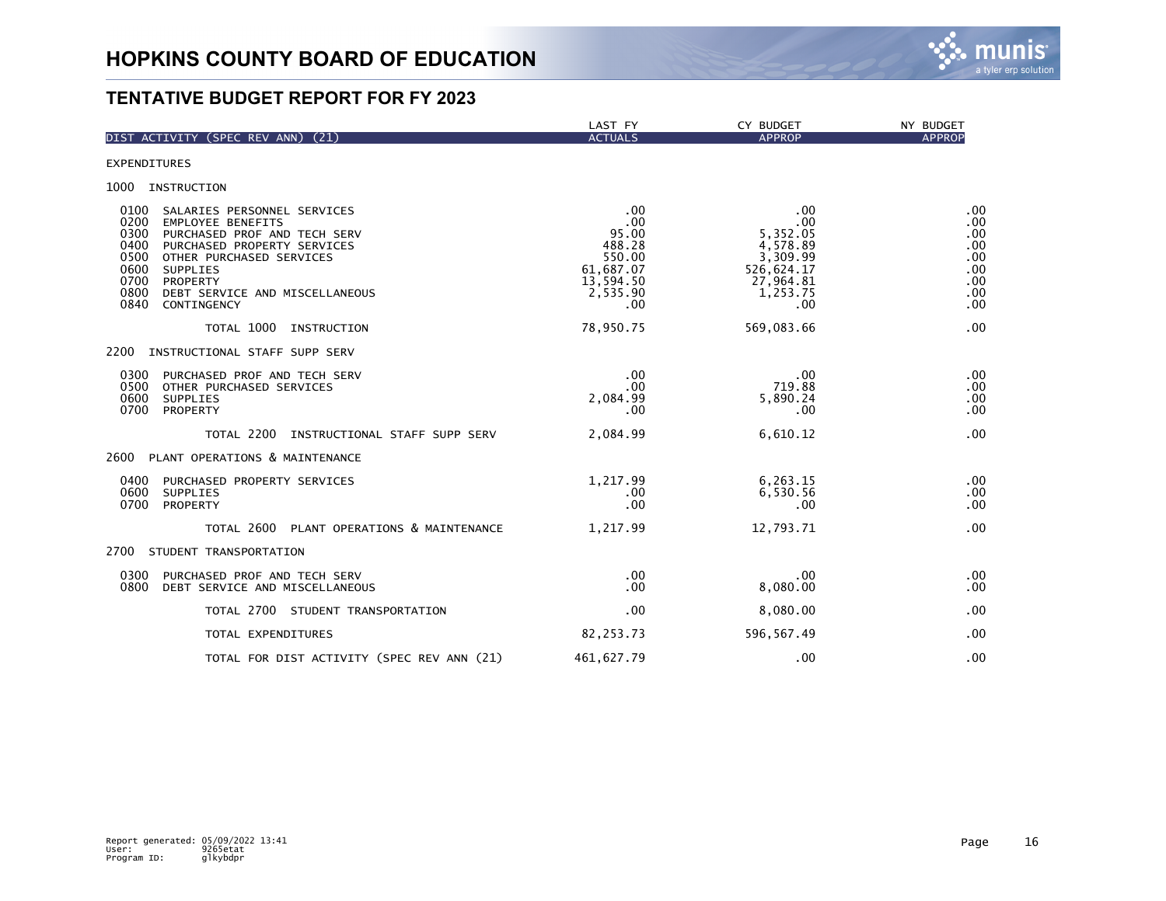

| DIST ACTIVITY (SPEC REV ANN) (21)                                                                                                                                                                                                                                                                   | LAST FY<br><b>ACTUALS</b>                                                            | CY BUDGET<br><b>APPROP</b>                                                                   | NY BUDGET<br><b>APPROP</b>                                  |
|-----------------------------------------------------------------------------------------------------------------------------------------------------------------------------------------------------------------------------------------------------------------------------------------------------|--------------------------------------------------------------------------------------|----------------------------------------------------------------------------------------------|-------------------------------------------------------------|
|                                                                                                                                                                                                                                                                                                     |                                                                                      |                                                                                              |                                                             |
| <b>EXPENDITURES</b>                                                                                                                                                                                                                                                                                 |                                                                                      |                                                                                              |                                                             |
| 1000 INSTRUCTION                                                                                                                                                                                                                                                                                    |                                                                                      |                                                                                              |                                                             |
| 0100<br>SALARIES PERSONNEL SERVICES<br>0200<br><b>EMPLOYEE BENEFITS</b><br>0300<br>PURCHASED PROF AND TECH SERV<br>0400<br>PURCHASED PROPERTY SERVICES<br>0500<br>OTHER PURCHASED SERVICES<br>0600<br>SUPPLIES<br>0700<br>PROPERTY<br>0800<br>DEBT SERVICE AND MISCELLANEOUS<br>0840<br>CONTINGENCY | .00<br>.00<br>95.00<br>488.28<br>550.00<br>61,687.07<br>13,594.50<br>2,535.90<br>.00 | .00<br>.00<br>5,352.05<br>4,578.89<br>3,309.99<br>526,624.17<br>27,964.81<br>1,253.75<br>.00 | .00<br>.00<br>.00<br>.00<br>.00<br>.00<br>.00<br>.00<br>.00 |
| TOTAL 1000<br>INSTRUCTION                                                                                                                                                                                                                                                                           | 78,950.75                                                                            | 569,083.66                                                                                   | .00                                                         |
| 2200<br>INSTRUCTIONAL STAFF SUPP SERV                                                                                                                                                                                                                                                               |                                                                                      |                                                                                              |                                                             |
| 0300<br>PURCHASED PROF AND TECH SERV<br>0500<br>OTHER PURCHASED SERVICES<br>0600<br><b>SUPPLIES</b><br>0700<br>PROPERTY                                                                                                                                                                             | .00<br>.00<br>2,084.99<br>.00                                                        | .00<br>719.88<br>5,890.24<br>.00                                                             | .00<br>.00<br>.00<br>.00                                    |
| TOTAL 2200<br>INSTRUCTIONAL STAFF SUPP SERV                                                                                                                                                                                                                                                         | 2,084.99                                                                             | 6,610.12                                                                                     | .00                                                         |
| 2600<br>PLANT OPERATIONS & MAINTENANCE                                                                                                                                                                                                                                                              |                                                                                      |                                                                                              |                                                             |
| 0400<br>PURCHASED PROPERTY SERVICES<br>0600<br><b>SUPPLIES</b><br>0700<br>PROPERTY                                                                                                                                                                                                                  | 1,217.99<br>$.00 \,$<br>.00                                                          | 6,263.15<br>6,530.56<br>.00                                                                  | .00<br>.00<br>.00                                           |
| TOTAL 2600<br>PLANT OPERATIONS & MAINTENANCE                                                                                                                                                                                                                                                        | 1,217.99                                                                             | 12,793.71                                                                                    | .00                                                         |
| 2700<br>STUDENT TRANSPORTATION                                                                                                                                                                                                                                                                      |                                                                                      |                                                                                              |                                                             |
| 0300<br>PURCHASED PROF AND TECH SERV<br>0800<br>DEBT SERVICE AND MISCELLANEOUS                                                                                                                                                                                                                      | $.00 \,$<br>.00                                                                      | .00<br>8,080.00                                                                              | .00<br>.00                                                  |
| TOTAL 2700 STUDENT TRANSPORTATION                                                                                                                                                                                                                                                                   | .00                                                                                  | 8,080.00                                                                                     | .00                                                         |
| TOTAL EXPENDITURES                                                                                                                                                                                                                                                                                  | 82,253.73                                                                            | 596, 567.49                                                                                  | .00                                                         |
| TOTAL FOR DIST ACTIVITY (SPEC REV ANN (21)                                                                                                                                                                                                                                                          | 461, 627.79                                                                          | .00                                                                                          | .00                                                         |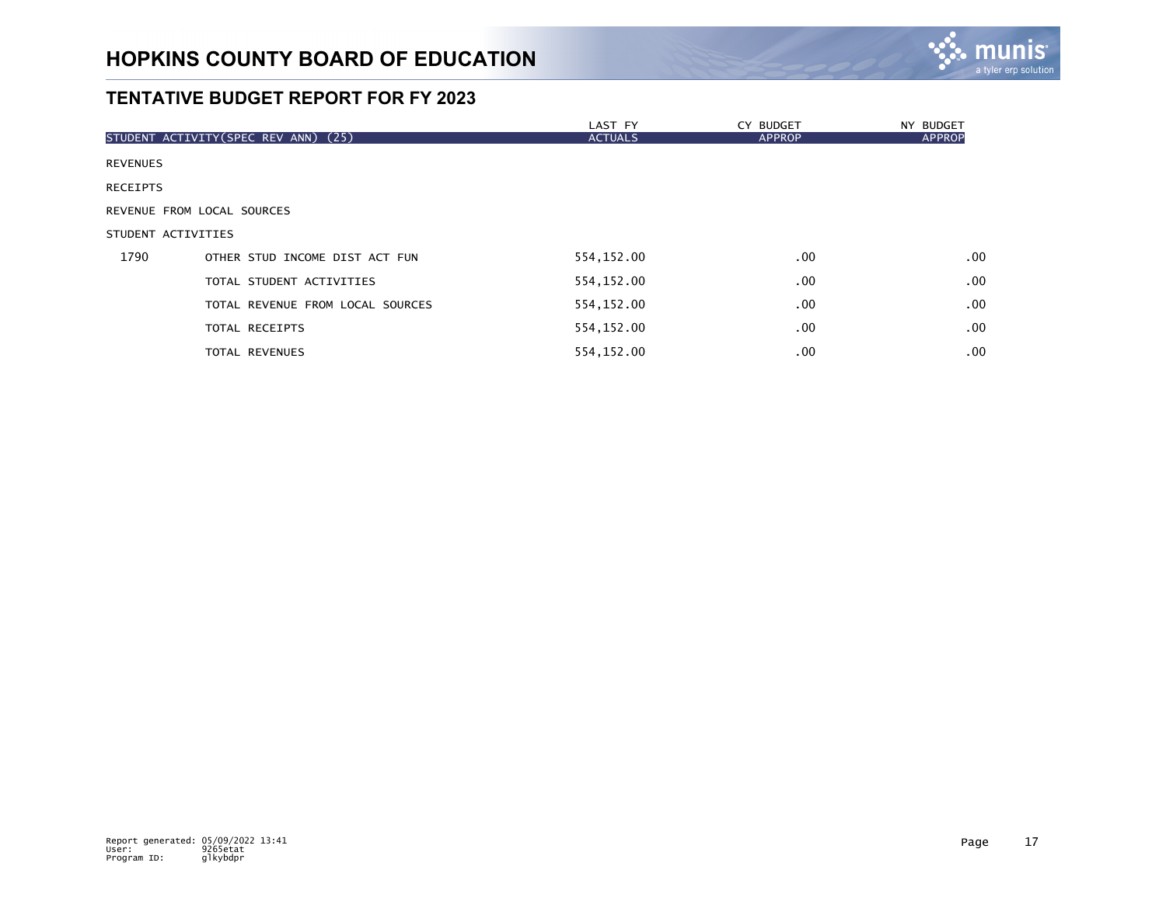

|                 |                                      | LAST FY        | CY BUDGET     | NY BUDGET        |
|-----------------|--------------------------------------|----------------|---------------|------------------|
|                 | STUDENT ACTIVITY (SPEC REV ANN) (25) | <b>ACTUALS</b> | <b>APPROP</b> | <b>APPROP</b>    |
| <b>REVENUES</b> |                                      |                |               |                  |
| <b>RECEIPTS</b> |                                      |                |               |                  |
|                 | REVENUE FROM LOCAL SOURCES           |                |               |                  |
|                 | STUDENT ACTIVITIES                   |                |               |                  |
| 1790            | OTHER STUD INCOME DIST ACT FUN       | 554,152.00     | $.00 \,$      | .00 <sub>1</sub> |
|                 | TOTAL STUDENT ACTIVITIES             | 554,152.00     | .00.          | .00 <sub>1</sub> |
|                 | TOTAL REVENUE FROM LOCAL SOURCES     | 554,152.00     | $.00 \,$      | .00              |
|                 | TOTAL RECEIPTS                       | 554,152.00     | .00.          | $.00 \,$         |
|                 | <b>TOTAL REVENUES</b>                | 554,152.00     | .00.          | .00 <sub>1</sub> |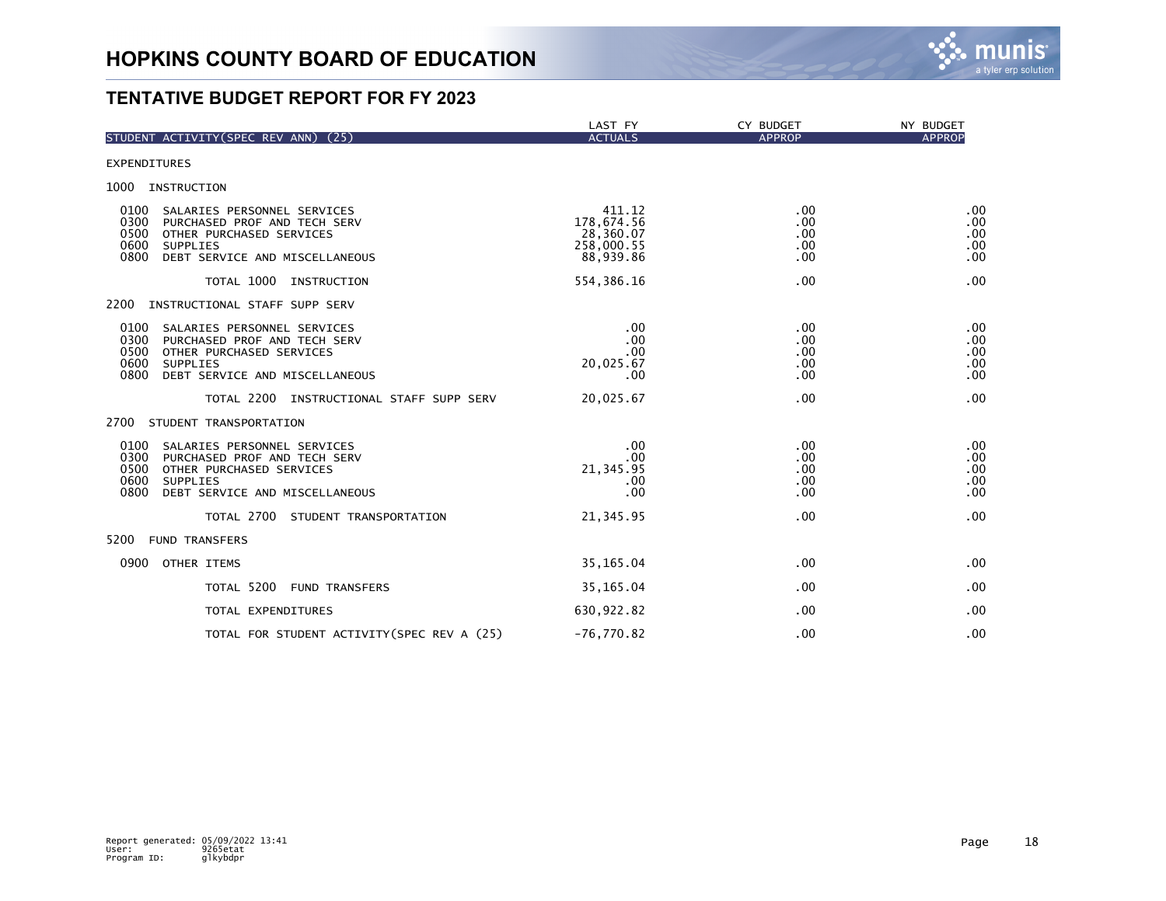

| STUDENT ACTIVITY (SPEC REV ANN) (25)                                                                                                                                                 | LAST FY<br><b>ACTUALS</b>                                    | CY BUDGET<br><b>APPROP</b>               | NY BUDGET<br><b>APPROP</b>      |
|--------------------------------------------------------------------------------------------------------------------------------------------------------------------------------------|--------------------------------------------------------------|------------------------------------------|---------------------------------|
|                                                                                                                                                                                      |                                                              |                                          |                                 |
| <b>EXPENDITURES</b>                                                                                                                                                                  |                                                              |                                          |                                 |
| 1000 INSTRUCTION                                                                                                                                                                     |                                                              |                                          |                                 |
| 0100<br>SALARIES PERSONNEL SERVICES<br>0300<br>PURCHASED PROF AND TECH SERV<br>0500<br>OTHER PURCHASED SERVICES<br>0600<br><b>SUPPLIES</b><br>DEBT SERVICE AND MISCELLANEOUS<br>0800 | 411.12<br>178,674.56<br>28,360.07<br>258,000.55<br>88,939.86 | .00<br>.00<br>.00<br>.00<br>.00          | .00<br>.00<br>.00<br>.00<br>.00 |
| TOTAL 1000<br>INSTRUCTION                                                                                                                                                            | 554, 386.16                                                  | .00                                      | .00                             |
| 2200<br>INSTRUCTIONAL STAFF SUPP SERV                                                                                                                                                |                                                              |                                          |                                 |
| 0100<br>SALARIES PERSONNEL SERVICES<br>0300<br>PURCHASED PROF AND TECH SERV<br>0500<br>OTHER PURCHASED SERVICES<br>0600<br><b>SUPPLIES</b><br>0800<br>DEBT SERVICE AND MISCELLANEOUS | .00<br>.00<br>.00<br>20,025.67<br>.00                        | $.00 \times$<br>.00<br>.00<br>.00<br>.00 | .00<br>.00<br>.00<br>.00<br>.00 |
| TOTAL 2200 INSTRUCTIONAL STAFF SUPP SERV                                                                                                                                             | 20,025.67                                                    | .00 <sub>1</sub>                         | .00                             |
| 2700<br>STUDENT TRANSPORTATION                                                                                                                                                       |                                                              |                                          |                                 |
| 0100<br>SALARIES PERSONNEL SERVICES<br>0300<br>PURCHASED PROF AND TECH SERV<br>0500<br>OTHER PURCHASED SERVICES<br>0600<br><b>SUPPLIES</b><br>0800<br>DEBT SERVICE AND MISCELLANEOUS | .00<br>.00<br>21, 345.95<br>.00<br>.00                       | .00<br>.00<br>.00<br>.00<br>.00          | .00<br>.00<br>.00<br>.00<br>.00 |
| TOTAL 2700 STUDENT TRANSPORTATION                                                                                                                                                    | 21, 345.95                                                   | .00                                      | .00                             |
| 5200<br><b>FUND TRANSFERS</b>                                                                                                                                                        |                                                              |                                          |                                 |
| 0900<br>OTHER ITEMS                                                                                                                                                                  | 35, 165.04                                                   | .00                                      | .00                             |
| TOTAL 5200<br><b>FUND TRANSFERS</b>                                                                                                                                                  | 35, 165.04                                                   | .00                                      | .00                             |
| TOTAL EXPENDITURES                                                                                                                                                                   | 630,922.82                                                   | .00                                      | .00                             |
| TOTAL FOR STUDENT ACTIVITY (SPEC REV A (25)                                                                                                                                          | $-76,770.82$                                                 | .00                                      | .00                             |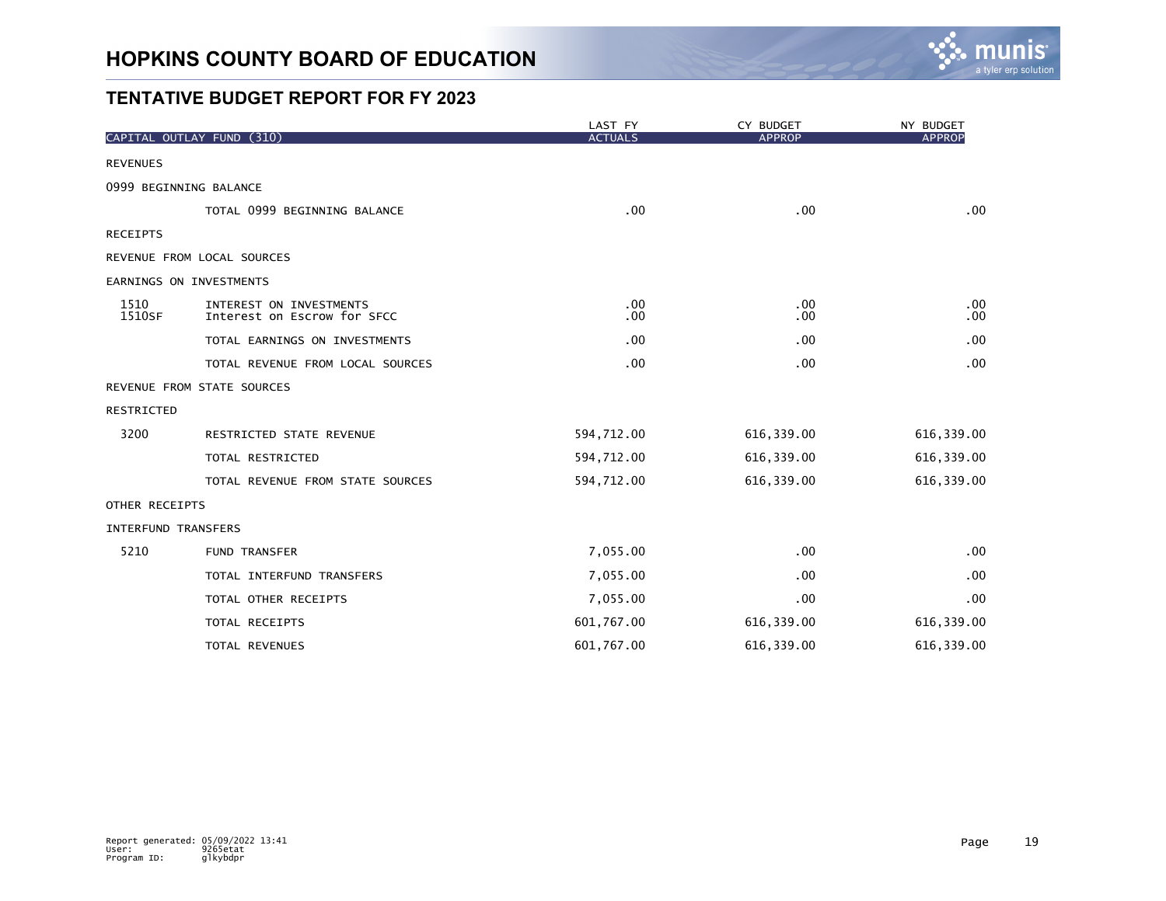

|                     | CAPITAL OUTLAY FUND (310)                              | LAST FY<br><b>ACTUALS</b> | CY BUDGET<br><b>APPROP</b> | NY BUDGET<br><b>APPROP</b> |
|---------------------|--------------------------------------------------------|---------------------------|----------------------------|----------------------------|
|                     |                                                        |                           |                            |                            |
| <b>REVENUES</b>     |                                                        |                           |                            |                            |
|                     | 0999 BEGINNING BALANCE                                 |                           |                            |                            |
|                     | TOTAL 0999 BEGINNING BALANCE                           | .00                       | .00 <sub>1</sub>           | .00                        |
| <b>RECEIPTS</b>     |                                                        |                           |                            |                            |
|                     | REVENUE FROM LOCAL SOURCES                             |                           |                            |                            |
|                     | EARNINGS ON INVESTMENTS                                |                           |                            |                            |
| 1510<br>1510SF      | INTEREST ON INVESTMENTS<br>Interest on Escrow for SFCC | .00<br>.00                | .00<br>.00.                | .00<br>.00                 |
|                     | TOTAL EARNINGS ON INVESTMENTS                          | .00                       | .00.                       | .00                        |
|                     | TOTAL REVENUE FROM LOCAL SOURCES                       | .00                       | .00                        | .00                        |
|                     | REVENUE FROM STATE SOURCES                             |                           |                            |                            |
| RESTRICTED          |                                                        |                           |                            |                            |
| 3200                | RESTRICTED STATE REVENUE                               | 594,712.00                | 616,339.00                 | 616, 339.00                |
|                     | TOTAL RESTRICTED                                       | 594,712.00                | 616,339.00                 | 616, 339.00                |
|                     | TOTAL REVENUE FROM STATE SOURCES                       | 594,712.00                | 616,339.00                 | 616, 339.00                |
| OTHER RECEIPTS      |                                                        |                           |                            |                            |
| INTERFUND TRANSFERS |                                                        |                           |                            |                            |
| 5210                | FUND TRANSFER                                          | 7,055.00                  | .00                        | .00                        |
|                     | TOTAL INTERFUND TRANSFERS                              | 7,055.00                  | .00.                       | .00                        |
|                     | TOTAL OTHER RECEIPTS                                   | 7,055.00                  | .00                        | .00                        |
|                     | TOTAL RECEIPTS                                         | 601,767.00                | 616,339.00                 | 616, 339.00                |
|                     | TOTAL REVENUES                                         | 601,767.00                | 616,339.00                 | 616, 339.00                |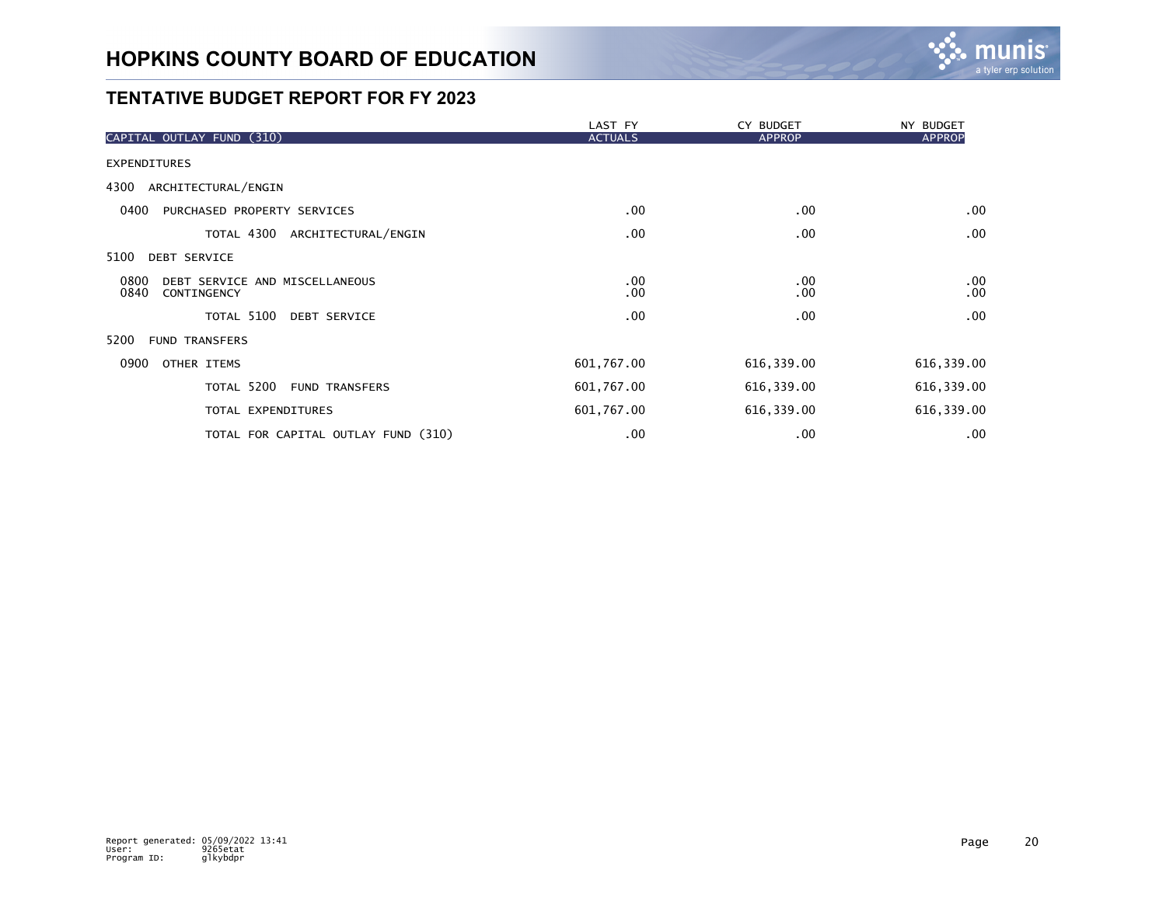

|                                                               | LAST FY        | CY BUDGET     | NY BUDGET       |
|---------------------------------------------------------------|----------------|---------------|-----------------|
| CAPITAL OUTLAY FUND (310)                                     | <b>ACTUALS</b> | <b>APPROP</b> | <b>APPROP</b>   |
| <b>EXPENDITURES</b>                                           |                |               |                 |
| ARCHITECTURAL/ENGIN<br>4300                                   |                |               |                 |
| 0400<br>PURCHASED PROPERTY SERVICES                           | .00            | .00           | $.00 \,$        |
| TOTAL 4300<br>ARCHITECTURAL/ENGIN                             | .00            | .00           | .00             |
| 5100<br>DEBT SERVICE                                          |                |               |                 |
| 0800<br>DEBT SERVICE AND MISCELLANEOUS<br>0840<br>CONTINGENCY | .00<br>.00     | .00<br>.00    | .00<br>$.00 \,$ |
| TOTAL 5100<br><b>DEBT SERVICE</b>                             | .00            | .00           | .00             |
| 5200<br><b>FUND TRANSFERS</b>                                 |                |               |                 |
| 0900<br>OTHER ITEMS                                           | 601,767.00     | 616,339.00    | 616, 339.00     |
| TOTAL 5200<br><b>FUND TRANSFERS</b>                           | 601,767.00     | 616,339.00    | 616, 339.00     |
| TOTAL EXPENDITURES                                            | 601,767.00     | 616,339.00    | 616, 339.00     |
| TOTAL FOR CAPITAL OUTLAY FUND (310)                           | .00            | .00           | .00             |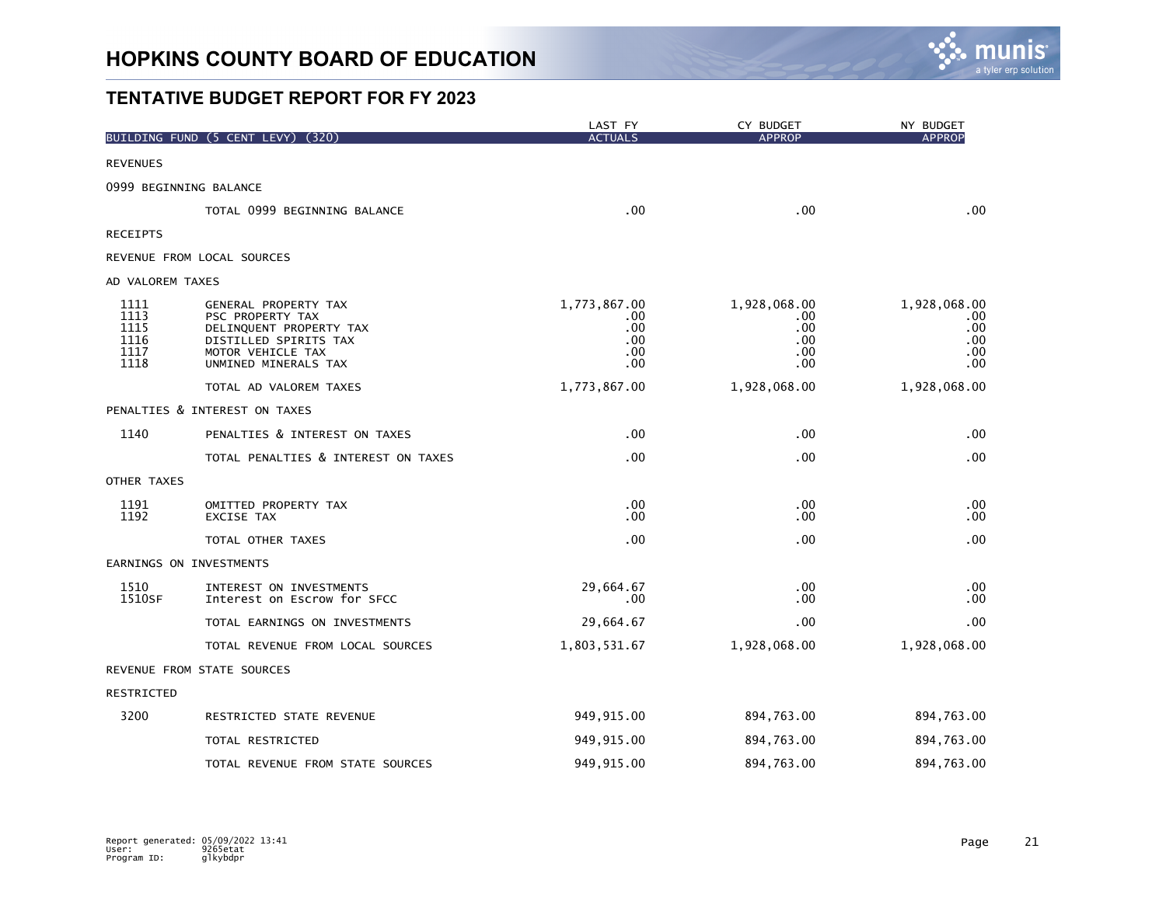

|                                              | BUILDING FUND (5 CENT LEVY)<br>(320)                                                                                                      | LAST FY<br><b>ACTUALS</b>                       | CY BUDGET<br><b>APPROP</b>                      | NY BUDGET<br><b>APPROP</b>                      |
|----------------------------------------------|-------------------------------------------------------------------------------------------------------------------------------------------|-------------------------------------------------|-------------------------------------------------|-------------------------------------------------|
|                                              |                                                                                                                                           |                                                 |                                                 |                                                 |
| <b>REVENUES</b>                              |                                                                                                                                           |                                                 |                                                 |                                                 |
|                                              | 0999 BEGINNING BALANCE                                                                                                                    |                                                 |                                                 |                                                 |
|                                              | TOTAL 0999 BEGINNING BALANCE                                                                                                              | .00                                             | .00                                             | .00                                             |
| <b>RECEIPTS</b>                              |                                                                                                                                           |                                                 |                                                 |                                                 |
|                                              | REVENUE FROM LOCAL SOURCES                                                                                                                |                                                 |                                                 |                                                 |
| AD VALOREM TAXES                             |                                                                                                                                           |                                                 |                                                 |                                                 |
| 1111<br>1113<br>1115<br>1116<br>1117<br>1118 | GENERAL PROPERTY TAX<br>PSC PROPERTY TAX<br>DELINQUENT PROPERTY TAX<br>DISTILLED SPIRITS TAX<br>MOTOR VEHICLE TAX<br>UNMINED MINERALS TAX | 1,773,867.00<br>.00<br>.00<br>.00<br>.00<br>.00 | 1,928,068.00<br>.00<br>.00<br>.00<br>.00<br>.00 | 1,928,068.00<br>.00<br>.00<br>.00<br>.00<br>.00 |
|                                              | TOTAL AD VALOREM TAXES                                                                                                                    | 1,773,867.00                                    | 1,928,068.00                                    | 1,928,068.00                                    |
|                                              | PENALTIES & INTEREST ON TAXES                                                                                                             |                                                 |                                                 |                                                 |
| 1140                                         | PENALTIES & INTEREST ON TAXES                                                                                                             | .00                                             | .00                                             | .00                                             |
|                                              | TOTAL PENALTIES & INTEREST ON TAXES                                                                                                       | .00                                             | .00                                             | .00                                             |
| OTHER TAXES                                  |                                                                                                                                           |                                                 |                                                 |                                                 |
| 1191<br>1192                                 | OMITTED PROPERTY TAX<br>EXCISE TAX                                                                                                        | .00<br>.00                                      | .00.<br>.00                                     | .00<br>.00                                      |
|                                              | TOTAL OTHER TAXES                                                                                                                         | .00                                             | .00                                             | .00                                             |
|                                              | EARNINGS ON INVESTMENTS                                                                                                                   |                                                 |                                                 |                                                 |
| 1510<br>1510SF                               | INTEREST ON INVESTMENTS<br>Interest on Escrow for SFCC                                                                                    | 29,664.67<br>.00                                | .00<br>.00                                      | .00<br>.00                                      |
|                                              | TOTAL EARNINGS ON INVESTMENTS                                                                                                             | 29,664.67                                       | .00                                             | .00                                             |
|                                              | TOTAL REVENUE FROM LOCAL SOURCES                                                                                                          | 1,803,531.67                                    | 1,928,068.00                                    | 1,928,068.00                                    |
|                                              | REVENUE FROM STATE SOURCES                                                                                                                |                                                 |                                                 |                                                 |
| RESTRICTED                                   |                                                                                                                                           |                                                 |                                                 |                                                 |
| 3200                                         | RESTRICTED STATE REVENUE                                                                                                                  | 949, 915.00                                     | 894,763.00                                      | 894,763.00                                      |
|                                              | TOTAL RESTRICTED                                                                                                                          | 949, 915.00                                     | 894,763.00                                      | 894,763.00                                      |
|                                              | TOTAL REVENUE FROM STATE SOURCES                                                                                                          | 949, 915.00                                     | 894,763.00                                      | 894,763.00                                      |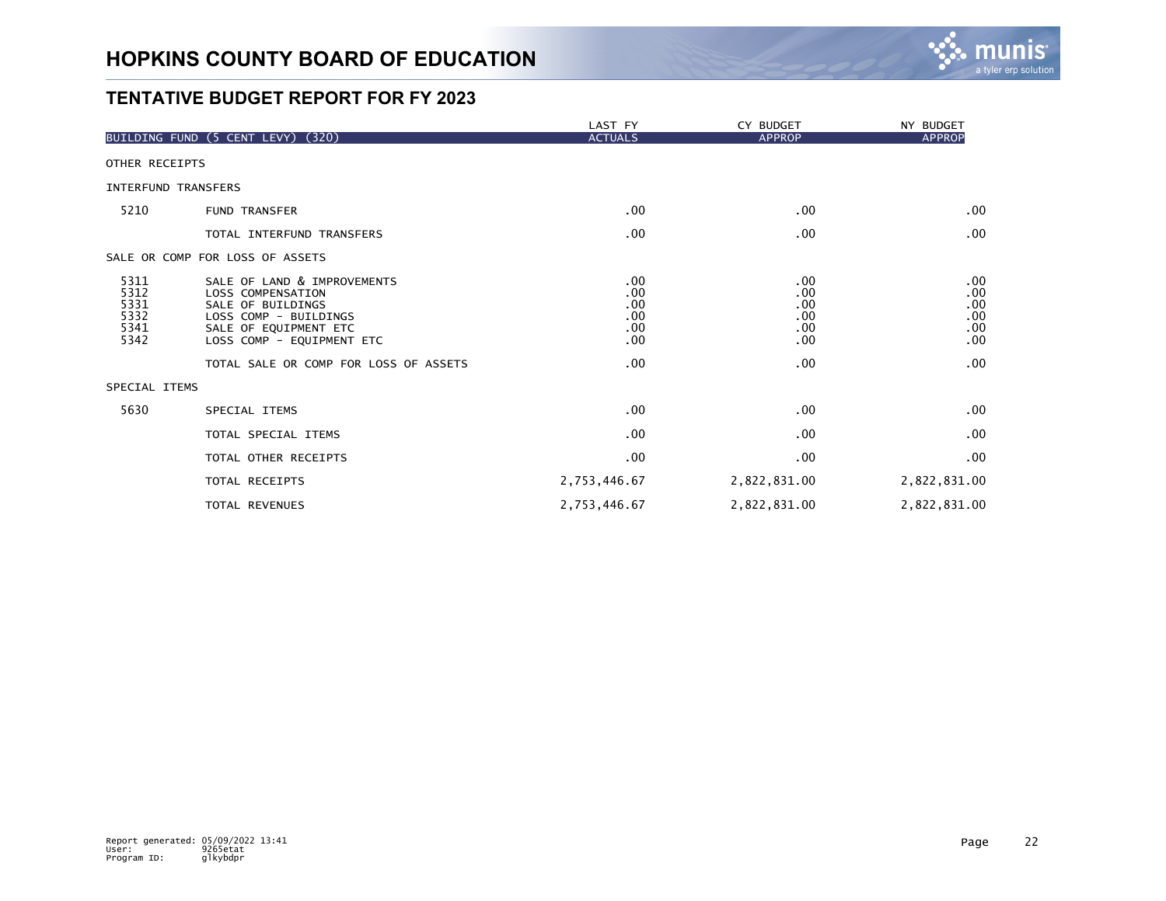

|                                              |                                                                                                                                                      | LAST FY                                | CY BUDGET                              | NY BUDGET                              |
|----------------------------------------------|------------------------------------------------------------------------------------------------------------------------------------------------------|----------------------------------------|----------------------------------------|----------------------------------------|
|                                              | (320)<br>BUILDING FUND (5 CENT LEVY)                                                                                                                 | <b>ACTUALS</b>                         | <b>APPROP</b>                          | <b>APPROP</b>                          |
| OTHER RECEIPTS                               |                                                                                                                                                      |                                        |                                        |                                        |
| <b>INTERFUND TRANSFERS</b>                   |                                                                                                                                                      |                                        |                                        |                                        |
| 5210                                         | <b>FUND TRANSFER</b>                                                                                                                                 | .00                                    | .00                                    | .00                                    |
|                                              | TOTAL INTERFUND TRANSFERS                                                                                                                            | .00                                    | .00.                                   | .00                                    |
|                                              | SALE OR COMP FOR LOSS OF ASSETS                                                                                                                      |                                        |                                        |                                        |
| 5311<br>5312<br>5331<br>5332<br>5341<br>5342 | SALE OF LAND & IMPROVEMENTS<br>LOSS COMPENSATION<br>SALE OF BUILDINGS<br>LOSS COMP - BUILDINGS<br>SALE OF EQUIPMENT ETC<br>LOSS COMP - EQUIPMENT ETC | .00<br>.00<br>.00<br>.00<br>.00<br>.00 | .00<br>.00<br>.00<br>.00<br>.00<br>.00 | .00<br>.00<br>.00<br>.00<br>.00<br>.00 |
|                                              | TOTAL SALE OR COMP FOR LOSS OF ASSETS                                                                                                                | .00                                    | .00                                    | .00                                    |
| SPECIAL ITEMS                                |                                                                                                                                                      |                                        |                                        |                                        |
| 5630                                         | SPECIAL ITEMS                                                                                                                                        | .00                                    | .00.                                   | .00                                    |
|                                              | TOTAL SPECIAL ITEMS                                                                                                                                  | .00                                    | .00                                    | .00                                    |
|                                              | TOTAL OTHER RECEIPTS                                                                                                                                 | .00                                    | .00                                    | .00                                    |
|                                              | <b>TOTAL RECEIPTS</b>                                                                                                                                | 2,753,446.67                           | 2,822,831.00                           | 2,822,831.00                           |
|                                              | TOTAL REVENUES                                                                                                                                       | 2,753,446.67                           | 2,822,831.00                           | 2,822,831.00                           |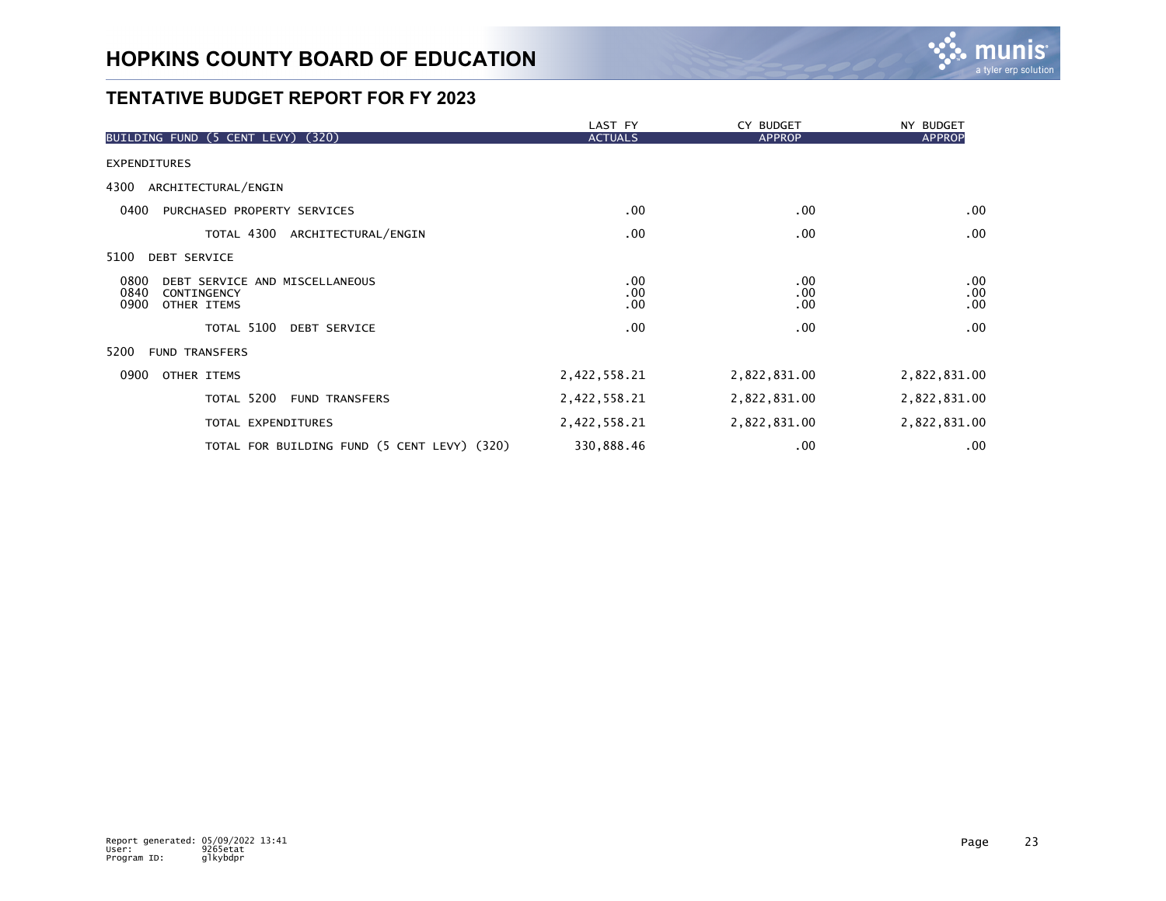

|                                                                                      | LAST FY           | CY BUDGET                   | NY BUDGET              |
|--------------------------------------------------------------------------------------|-------------------|-----------------------------|------------------------|
| (320)<br>BUILDING FUND (5 CENT LEVY)                                                 | <b>ACTUALS</b>    | <b>APPROP</b>               | <b>APPROP</b>          |
| <b>EXPENDITURES</b>                                                                  |                   |                             |                        |
| 4300<br>ARCHITECTURAL/ENGIN                                                          |                   |                             |                        |
| 0400<br>PURCHASED PROPERTY SERVICES                                                  | .00               | $.00 \,$                    | $.00 \,$               |
| TOTAL 4300 ARCHITECTURAL/ENGIN                                                       | $.00 \,$          | $.00 \,$                    | .00                    |
| 5100<br><b>DEBT SERVICE</b>                                                          |                   |                             |                        |
| 0800<br>DEBT SERVICE AND MISCELLANEOUS<br>0840<br>CONTINGENCY<br>0900<br>OTHER ITEMS | .00<br>.00<br>.00 | $.00 \,$<br>.00<br>$.00 \,$ | $.00 \,$<br>.00<br>.00 |
| TOTAL 5100<br><b>DEBT SERVICE</b>                                                    | .00               | $.00 \,$                    | .00                    |
| 5200<br><b>FUND TRANSFERS</b>                                                        |                   |                             |                        |
| 0900<br>OTHER ITEMS                                                                  | 2,422,558.21      | 2,822,831.00                | 2,822,831.00           |
| TOTAL 5200<br><b>FUND TRANSFERS</b>                                                  | 2,422,558.21      | 2,822,831.00                | 2,822,831.00           |
| TOTAL EXPENDITURES                                                                   | 2,422,558.21      | 2,822,831.00                | 2,822,831.00           |
| TOTAL FOR BUILDING FUND (5 CENT LEVY) (320)                                          | 330,888.46        | $.00 \,$                    | .00                    |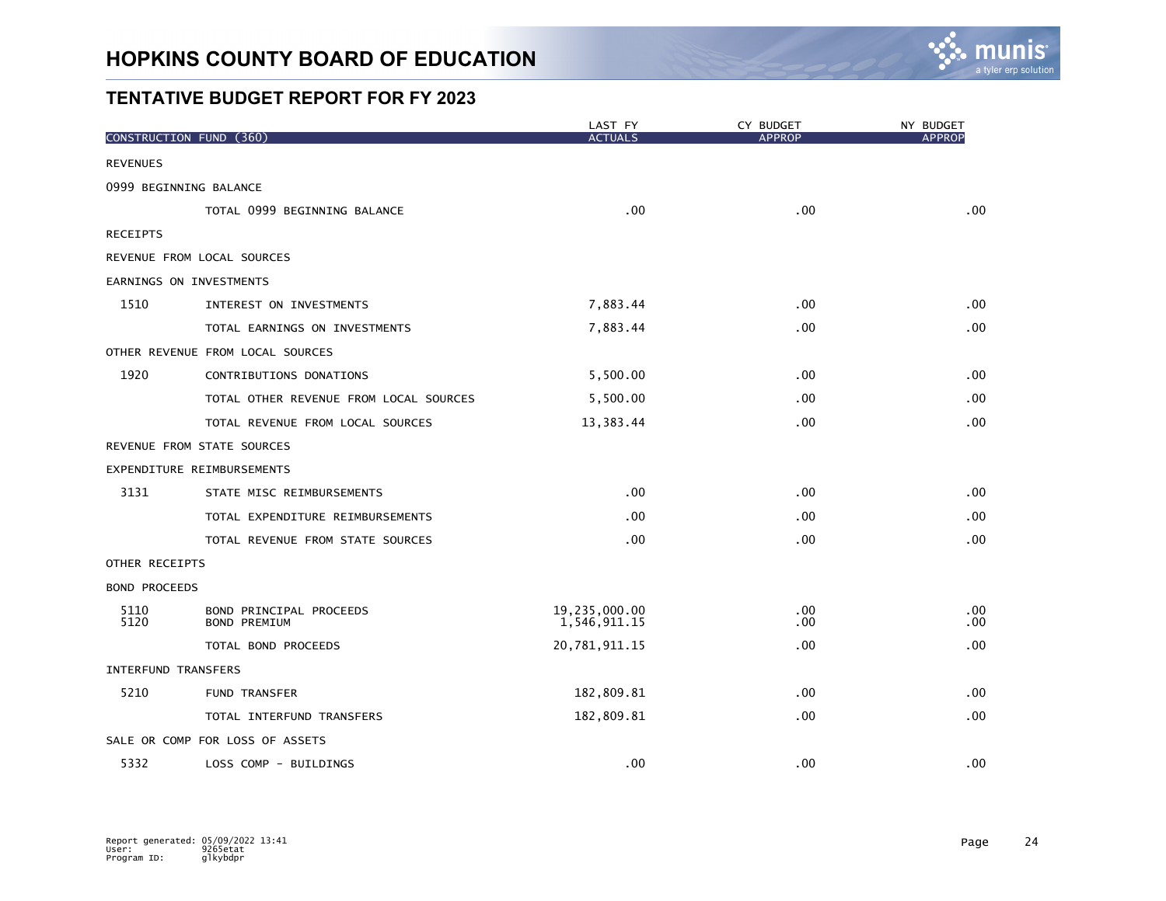

|                      | CONSTRUCTION FUND (360)                        | LAST FY<br><b>ACTUALS</b>     | CY BUDGET<br><b>APPROP</b> | NY BUDGET<br><b>APPROP</b> |
|----------------------|------------------------------------------------|-------------------------------|----------------------------|----------------------------|
| <b>REVENUES</b>      |                                                |                               |                            |                            |
|                      | 0999 BEGINNING BALANCE                         |                               |                            |                            |
|                      | TOTAL 0999 BEGINNING BALANCE                   | .00                           | .00                        | .00                        |
| <b>RECEIPTS</b>      |                                                |                               |                            |                            |
|                      | REVENUE FROM LOCAL SOURCES                     |                               |                            |                            |
|                      | EARNINGS ON INVESTMENTS                        |                               |                            |                            |
| 1510                 | INTEREST ON INVESTMENTS                        | 7,883.44                      | .00                        | .00                        |
|                      | TOTAL EARNINGS ON INVESTMENTS                  | 7,883.44                      | .00                        | .00                        |
|                      | OTHER REVENUE FROM LOCAL SOURCES               |                               |                            |                            |
| 1920                 | CONTRIBUTIONS DONATIONS                        | 5,500.00                      | .00                        | .00                        |
|                      | TOTAL OTHER REVENUE FROM LOCAL SOURCES         | 5,500.00                      | .00                        | .00                        |
|                      | TOTAL REVENUE FROM LOCAL SOURCES               | 13,383.44                     | .00.                       | .00                        |
|                      | REVENUE FROM STATE SOURCES                     |                               |                            |                            |
|                      | EXPENDITURE REIMBURSEMENTS                     |                               |                            |                            |
| 3131                 | STATE MISC REIMBURSEMENTS                      | .00                           | .00                        | .00                        |
|                      | TOTAL EXPENDITURE REIMBURSEMENTS               | .00                           | .00                        | .00                        |
|                      | TOTAL REVENUE FROM STATE SOURCES               | .00                           | .00.                       | .00                        |
| OTHER RECEIPTS       |                                                |                               |                            |                            |
| <b>BOND PROCEEDS</b> |                                                |                               |                            |                            |
| 5110<br>5120         | BOND PRINCIPAL PROCEEDS<br><b>BOND PREMIUM</b> | 19,235,000.00<br>1,546,911.15 | .00<br>.00                 | .00<br>$.00 \,$            |
|                      | TOTAL BOND PROCEEDS                            | 20,781,911.15                 | .00                        | .00                        |
|                      | <b>INTERFUND TRANSFERS</b>                     |                               |                            |                            |
| 5210                 | <b>FUND TRANSFER</b>                           | 182,809.81                    | .00                        | .00                        |
|                      | TOTAL INTERFUND TRANSFERS                      | 182,809.81                    | .00                        | .00                        |
|                      | SALE OR COMP FOR LOSS OF ASSETS                |                               |                            |                            |
| 5332                 | LOSS COMP - BUILDINGS                          | .00                           | .00                        | .00                        |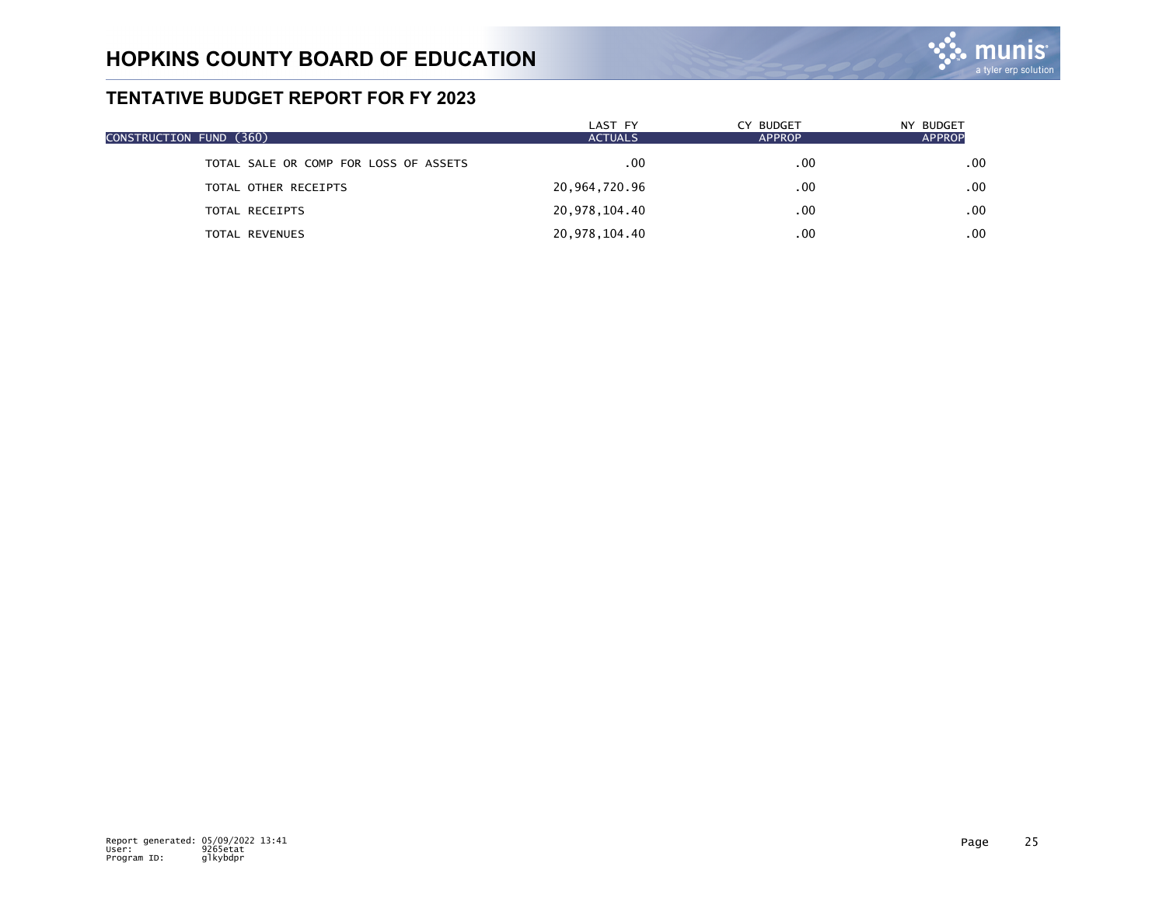

| CONSTRUCTION FUND (360)               | LAST FY<br><b>ACTUALS</b> | CY BUDGET<br><b>APPROP</b> | NY BUDGET<br><b>APPROP</b> |
|---------------------------------------|---------------------------|----------------------------|----------------------------|
| TOTAL SALE OR COMP FOR LOSS OF ASSETS | .00                       | .00                        | .00                        |
| TOTAL OTHER RECEIPTS                  | 20,964,720.96             | .00                        | .00                        |
| TOTAL RECEIPTS                        | 20,978,104.40             | .00                        | .00                        |
| TOTAL REVENUES                        | 20,978,104.40             | .00                        | .00                        |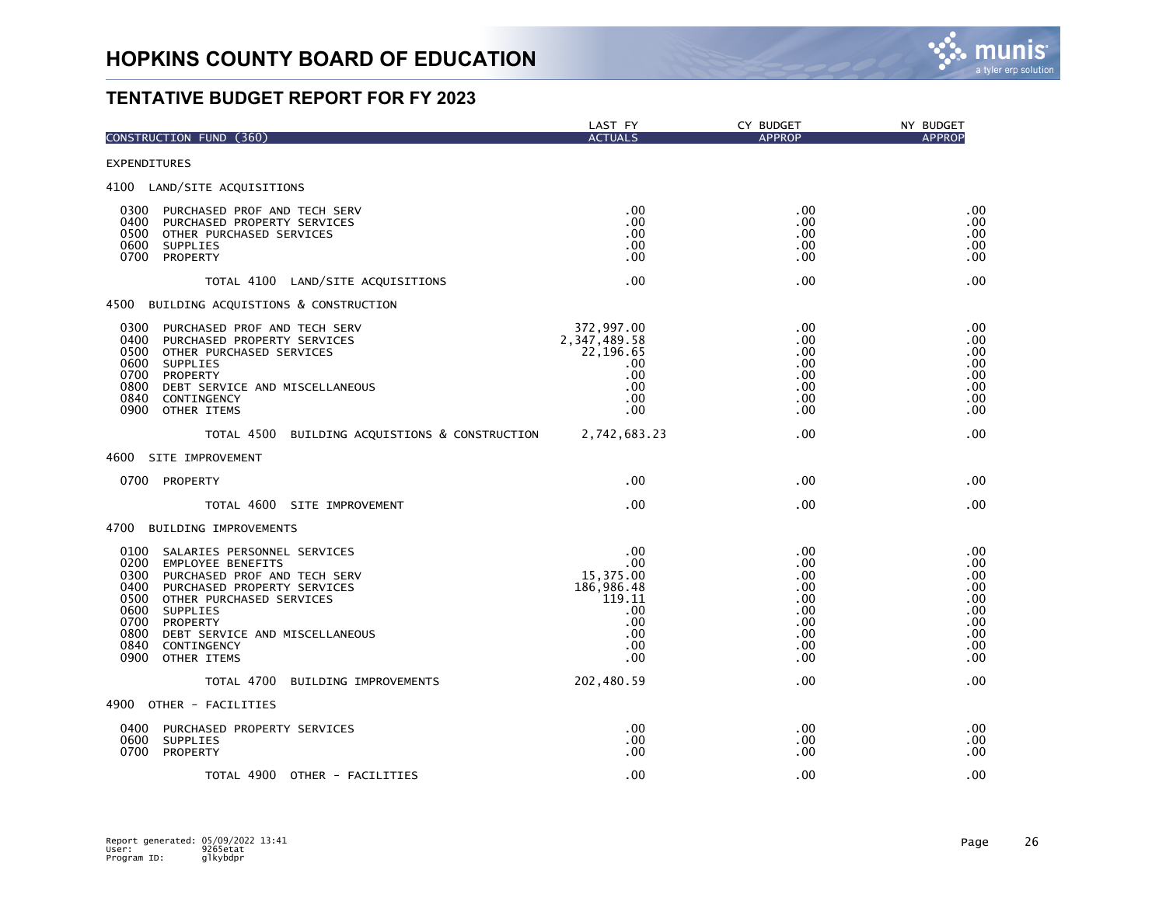

| CONSTRUCTION FUND (360)                                                                                                                                                                                                                                                                                           | LAST FY<br><b>ACTUALS</b>                                                          | CY BUDGET<br><b>APPROP</b>                                                 | NY BUDGET<br><b>APPROP</b>                                         |
|-------------------------------------------------------------------------------------------------------------------------------------------------------------------------------------------------------------------------------------------------------------------------------------------------------------------|------------------------------------------------------------------------------------|----------------------------------------------------------------------------|--------------------------------------------------------------------|
| <b>EXPENDITURES</b>                                                                                                                                                                                                                                                                                               |                                                                                    |                                                                            |                                                                    |
| 4100 LAND/SITE ACQUISITIONS                                                                                                                                                                                                                                                                                       |                                                                                    |                                                                            |                                                                    |
| 0300<br>PURCHASED PROF AND TECH SERV<br>0400<br>PURCHASED PROPERTY SERVICES<br>0500 OTHER PURCHASED SERVICES<br>0600 SUPPLIES<br>0700 PROPERTY                                                                                                                                                                    | .00<br>.00<br>.00<br>.00<br>.00                                                    | .00<br>$.00 \,$<br>.00<br>.00<br>.00                                       | .00<br>.00<br>.00<br>.00<br>.00                                    |
| TOTAL 4100 LAND/SITE ACQUISITIONS                                                                                                                                                                                                                                                                                 | .00                                                                                | .00                                                                        | .00                                                                |
| 4500 BUILDING ACQUISTIONS & CONSTRUCTION                                                                                                                                                                                                                                                                          |                                                                                    |                                                                            |                                                                    |
| 0300<br>PURCHASED PROF AND TECH SERV<br>0400<br>PURCHASED PROPERTY SERVICES<br>0500 OTHER PURCHASED SERVICES<br>0600 SUPPLIES<br>0700<br>PROPERTY<br>0800 DEBT SERVICE AND MISCELLANEOUS<br>0840 CONTINGENCY<br>0900 OTHER ITEMS                                                                                  | 372,997.00<br>2,347,489.58<br>22,196.65<br>.00<br>.00<br>.00<br>.00<br>.00         | .00<br>.00.<br>.00.<br>.00<br>.00<br>.00<br>.00<br>.00                     | .00<br>.00<br>.00<br>.00<br>.00<br>.00<br>.00<br>.00               |
| TOTAL 4500 BUILDING ACQUISTIONS & CONSTRUCTION 2,742,683.23                                                                                                                                                                                                                                                       |                                                                                    | .00                                                                        | .00                                                                |
| 4600<br>SITE IMPROVEMENT                                                                                                                                                                                                                                                                                          |                                                                                    |                                                                            |                                                                    |
| 0700 PROPERTY                                                                                                                                                                                                                                                                                                     | .00                                                                                | .00                                                                        | .00                                                                |
| TOTAL 4600 SITE IMPROVEMENT                                                                                                                                                                                                                                                                                       | .00                                                                                | .00                                                                        | .00                                                                |
| 4700 BUILDING IMPROVEMENTS                                                                                                                                                                                                                                                                                        |                                                                                    |                                                                            |                                                                    |
| 0100 SALARIES PERSONNEL SERVICES<br>0200<br><b>EMPLOYEE BENEFITS</b><br>0300<br>PURCHASED PROF AND TECH SERV<br>0400<br>PURCHASED PROPERTY SERVICES<br>0500<br>OTHER PURCHASED SERVICES<br>0600 SUPPLIES<br>0700<br>PROPERTY<br>0800<br>DEBT SERVICE AND MISCELLANEOUS<br>0840<br>CONTINGENCY<br>0900 OTHER ITEMS | .00<br>.00<br>15,375.00<br>186,986.48<br>119.11<br>.00<br>.00<br>.00<br>.00<br>.00 | .00<br>.00.<br>.00<br>.00<br>.00<br>.00<br>.00<br>$.00 \,$<br>.00.<br>.00. | .00<br>.00<br>.00<br>.00<br>.00<br>.00<br>.00<br>.00<br>.00<br>.00 |
| TOTAL 4700 BUILDING IMPROVEMENTS                                                                                                                                                                                                                                                                                  | 202,480.59                                                                         | .00.                                                                       | .00                                                                |
| 4900 OTHER - FACILITIES                                                                                                                                                                                                                                                                                           |                                                                                    |                                                                            |                                                                    |
| 0400<br>PURCHASED PROPERTY SERVICES<br>0600<br>SUPPLIES<br>0700<br>PROPERTY                                                                                                                                                                                                                                       | .00<br>.00<br>.00                                                                  | .00<br>.00.<br>.00                                                         | .00<br>.00<br>.00                                                  |
| TOTAL 4900 OTHER - FACILITIES                                                                                                                                                                                                                                                                                     | .00                                                                                | .00                                                                        | .00                                                                |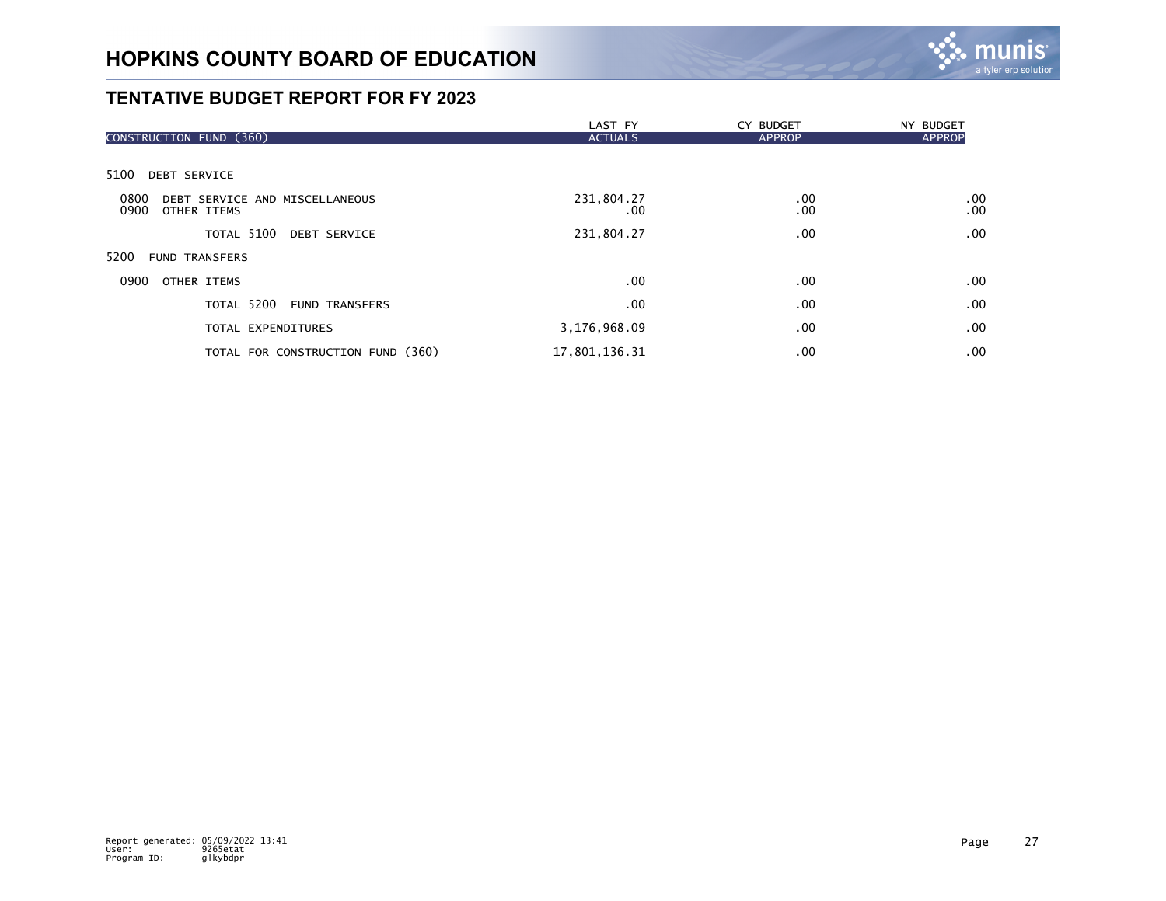

|                                                               | LAST FY                | CY BUDGET     | NY BUDGET     |
|---------------------------------------------------------------|------------------------|---------------|---------------|
| CONSTRUCTION FUND (360)                                       | <b>ACTUALS</b>         | <b>APPROP</b> | <b>APPROP</b> |
| 5100<br><b>DEBT SERVICE</b>                                   |                        |               |               |
| 0800<br>DEBT SERVICE AND MISCELLANEOUS<br>0900<br>OTHER ITEMS | 231,804.27<br>$.00 \,$ | .00<br>.00    | .00<br>.00    |
| TOTAL 5100<br><b>DEBT SERVICE</b>                             | 231,804.27             | .00           | .00           |
| 5200<br><b>FUND TRANSFERS</b>                                 |                        |               |               |
| 0900<br>OTHER ITEMS                                           | .00                    | $.00 \,$      | .00           |
| TOTAL 5200<br><b>FUND TRANSFERS</b>                           | .00                    | .00           | .00           |
| TOTAL EXPENDITURES                                            | 3,176,968.09           | .00.          | .00           |
| TOTAL FOR CONSTRUCTION FUND (360)                             | 17,801,136.31          | .00.          | .00           |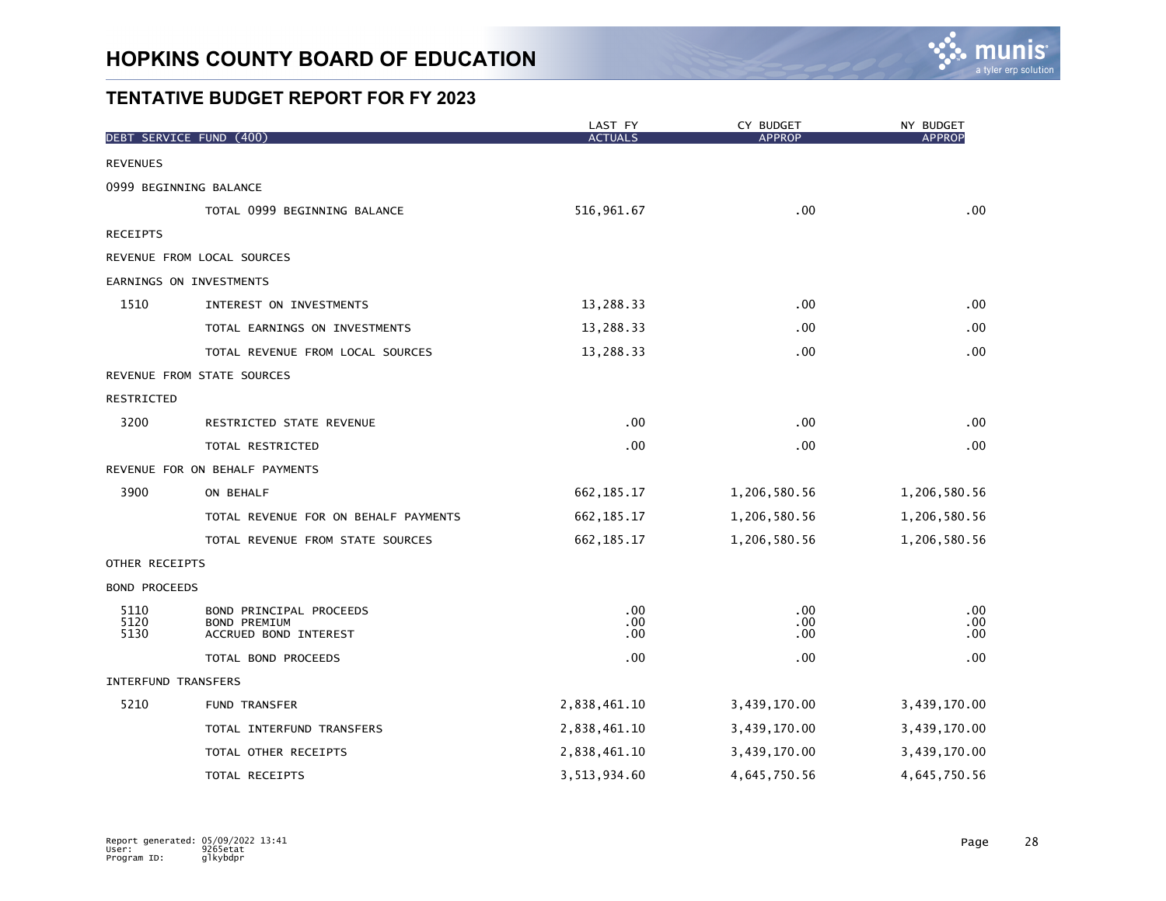

|                            | DEBT SERVICE FUND (400)                                                 | LAST FY<br><b>ACTUALS</b> | CY BUDGET<br><b>APPROP</b> | NY BUDGET<br><b>APPROP</b> |
|----------------------------|-------------------------------------------------------------------------|---------------------------|----------------------------|----------------------------|
| <b>REVENUES</b>            |                                                                         |                           |                            |                            |
|                            | 0999 BEGINNING BALANCE                                                  |                           |                            |                            |
|                            | TOTAL 0999 BEGINNING BALANCE                                            | 516, 961.67               | .00                        | .00                        |
| <b>RECEIPTS</b>            |                                                                         |                           |                            |                            |
|                            | REVENUE FROM LOCAL SOURCES                                              |                           |                            |                            |
|                            | EARNINGS ON INVESTMENTS                                                 |                           |                            |                            |
| 1510                       | INTEREST ON INVESTMENTS                                                 | 13,288.33                 | .00                        | .00                        |
|                            | TOTAL EARNINGS ON INVESTMENTS                                           | 13,288.33                 | .00                        | .00                        |
|                            | TOTAL REVENUE FROM LOCAL SOURCES                                        | 13,288.33                 | .00                        | .00                        |
|                            | REVENUE FROM STATE SOURCES                                              |                           |                            |                            |
| RESTRICTED                 |                                                                         |                           |                            |                            |
| 3200                       | RESTRICTED STATE REVENUE                                                | .00                       | .00                        | .00                        |
|                            | TOTAL RESTRICTED                                                        | .00                       | .00                        | .00                        |
|                            | REVENUE FOR ON BEHALF PAYMENTS                                          |                           |                            |                            |
| 3900                       | ON BEHALF                                                               | 662, 185. 17              | 1,206,580.56               | 1,206,580.56               |
|                            | TOTAL REVENUE FOR ON BEHALF PAYMENTS                                    | 662, 185. 17              | 1,206,580.56               | 1,206,580.56               |
|                            | TOTAL REVENUE FROM STATE SOURCES                                        | 662, 185. 17              | 1,206,580.56               | 1,206,580.56               |
| OTHER RECEIPTS             |                                                                         |                           |                            |                            |
| <b>BOND PROCEEDS</b>       |                                                                         |                           |                            |                            |
| 5110<br>5120<br>5130       | BOND PRINCIPAL PROCEEDS<br><b>BOND PREMIUM</b><br>ACCRUED BOND INTEREST | .00<br>.00<br>.00         | .00<br>.00<br>.00          | .00<br>.00<br>.00          |
|                            | TOTAL BOND PROCEEDS                                                     | .00                       | .00                        | .00                        |
| <b>INTERFUND TRANSFERS</b> |                                                                         |                           |                            |                            |
| 5210                       | FUND TRANSFER                                                           | 2,838,461.10              | 3,439,170.00               | 3,439,170.00               |
|                            | TOTAL INTERFUND TRANSFERS                                               | 2,838,461.10              | 3,439,170.00               | 3,439,170.00               |
|                            | TOTAL OTHER RECEIPTS                                                    | 2,838,461.10              | 3,439,170.00               | 3,439,170.00               |
|                            | TOTAL RECEIPTS                                                          | 3,513,934.60              | 4,645,750.56               | 4,645,750.56               |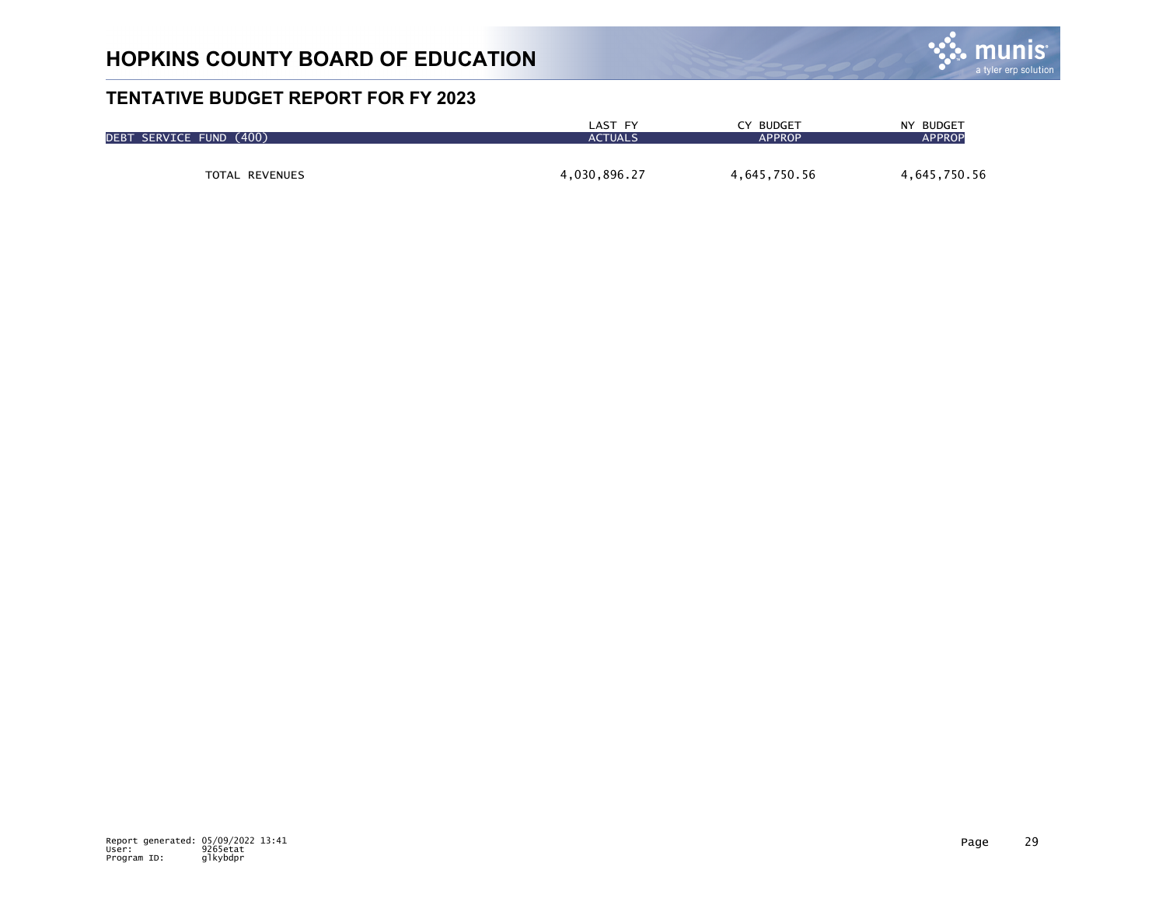

| DEBT SERVICE FUND (400) | LAST FY        | CY BUDGET     | NY BUDGET     |
|-------------------------|----------------|---------------|---------------|
|                         | <b>ACTUALS</b> | <b>APPROP</b> | <b>APPROP</b> |
| <b>TOTAL REVENUES</b>   | 4,030,896.27   | 4,645,750.56  | 4,645,750.56  |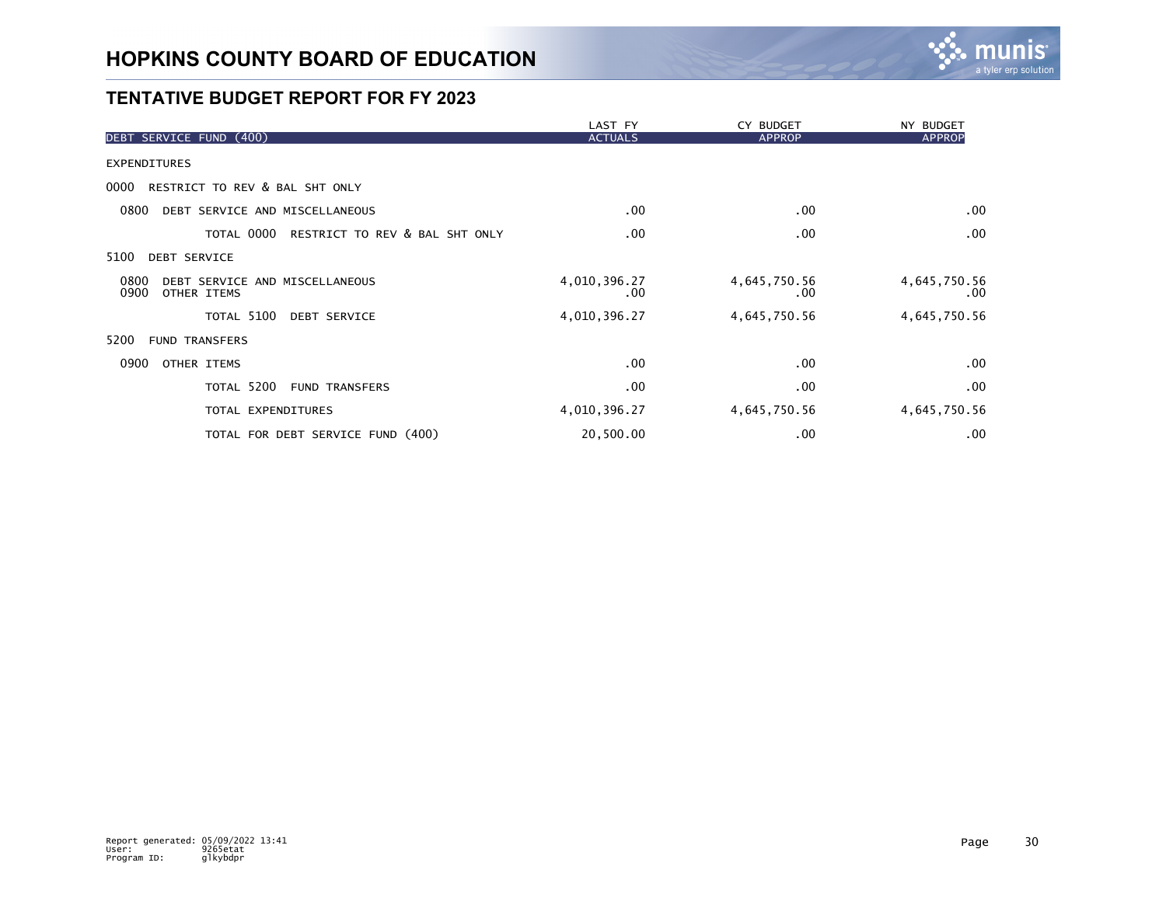

|                                                               | LAST FY             | CY BUDGET                | NY BUDGET            |
|---------------------------------------------------------------|---------------------|--------------------------|----------------------|
| DEBT SERVICE FUND (400)                                       | <b>ACTUALS</b>      | <b>APPROP</b>            | <b>APPROP</b>        |
| <b>EXPENDITURES</b>                                           |                     |                          |                      |
| RESTRICT TO REV & BAL SHT ONLY<br>0000                        |                     |                          |                      |
| DEBT SERVICE AND MISCELLANEOUS<br>0800                        | .00                 | .00                      | .00                  |
| TOTAL 0000<br>RESTRICT TO REV & BAL SHT ONLY                  | .00                 | .00                      | .00                  |
| 5100<br><b>DEBT SERVICE</b>                                   |                     |                          |                      |
| 0800<br>DEBT SERVICE AND MISCELLANEOUS<br>0900<br>OTHER ITEMS | 4,010,396.27<br>.00 | 4,645,750.56<br>$.00 \,$ | 4,645,750.56<br>.00. |
| TOTAL 5100<br><b>DEBT SERVICE</b>                             | 4,010,396.27        | 4,645,750.56             | 4,645,750.56         |
| 5200<br><b>FUND TRANSFERS</b>                                 |                     |                          |                      |
| 0900<br>OTHER ITEMS                                           | .00                 | .00                      | .00                  |
| TOTAL 5200<br><b>FUND TRANSFERS</b>                           | $.00 \,$            | .00                      | .00                  |
| TOTAL EXPENDITURES                                            | 4,010,396.27        | 4,645,750.56             | 4,645,750.56         |
| TOTAL FOR DEBT SERVICE FUND (400)                             | 20,500.00           | .00                      | .00                  |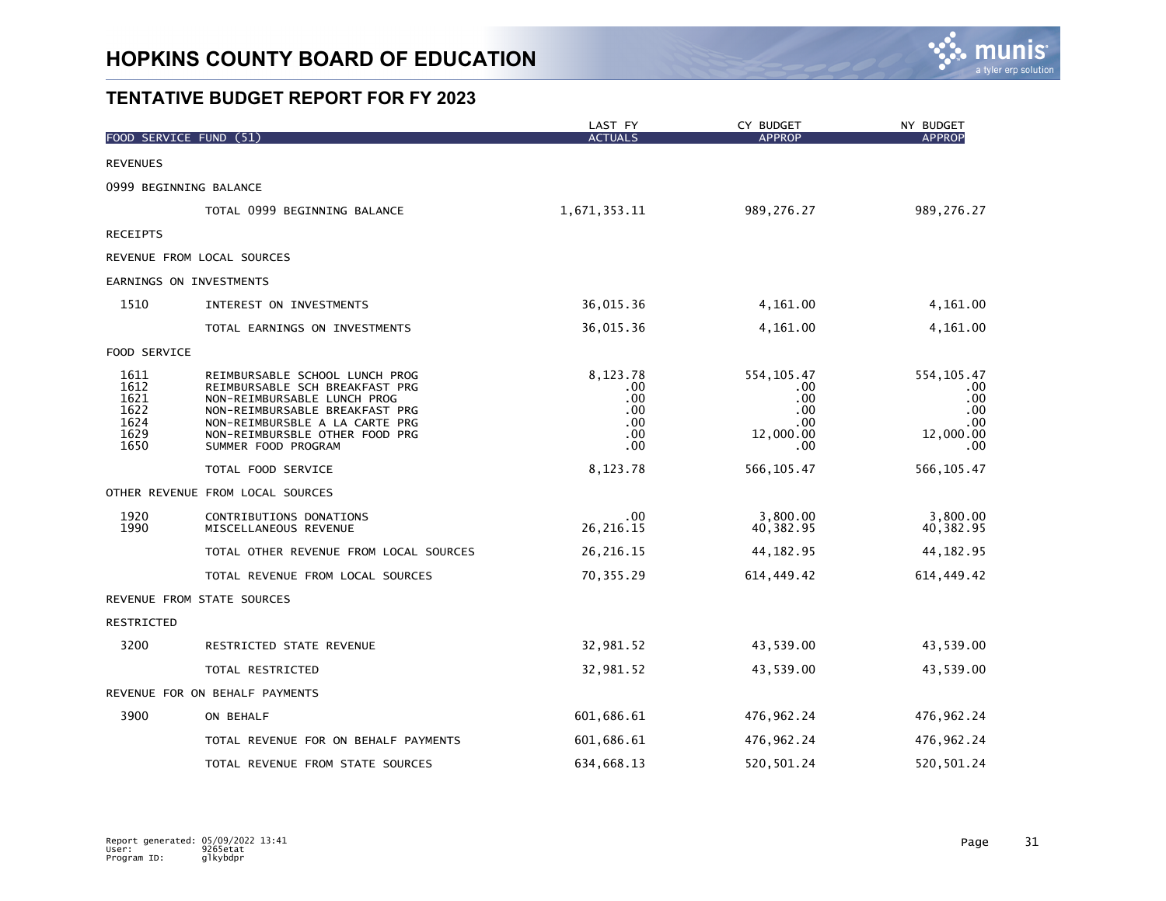

|                                                      | FOOD SERVICE FUND (51)                                                                                                                                                                                                       | LAST FY<br><b>ACTUALS</b>                          | CY BUDGET<br><b>APPROP</b>                                       | NY BUDGET<br><b>APPROP</b>                                     |
|------------------------------------------------------|------------------------------------------------------------------------------------------------------------------------------------------------------------------------------------------------------------------------------|----------------------------------------------------|------------------------------------------------------------------|----------------------------------------------------------------|
| <b>REVENUES</b>                                      |                                                                                                                                                                                                                              |                                                    |                                                                  |                                                                |
|                                                      | 0999 BEGINNING BALANCE                                                                                                                                                                                                       |                                                    |                                                                  |                                                                |
|                                                      | TOTAL 0999 BEGINNING BALANCE                                                                                                                                                                                                 | 1,671,353.11                                       | 989,276.27                                                       | 989,276.27                                                     |
| <b>RECEIPTS</b>                                      |                                                                                                                                                                                                                              |                                                    |                                                                  |                                                                |
|                                                      | REVENUE FROM LOCAL SOURCES                                                                                                                                                                                                   |                                                    |                                                                  |                                                                |
|                                                      | EARNINGS ON INVESTMENTS                                                                                                                                                                                                      |                                                    |                                                                  |                                                                |
| 1510                                                 | INTEREST ON INVESTMENTS                                                                                                                                                                                                      | 36,015.36                                          | 4,161.00                                                         | 4,161.00                                                       |
|                                                      | TOTAL EARNINGS ON INVESTMENTS                                                                                                                                                                                                | 36,015.36                                          | 4,161.00                                                         | 4,161.00                                                       |
| FOOD SERVICE                                         |                                                                                                                                                                                                                              |                                                    |                                                                  |                                                                |
| 1611<br>1612<br>1621<br>1622<br>1624<br>1629<br>1650 | REIMBURSABLE SCHOOL LUNCH PROG<br>REIMBURSABLE SCH BREAKFAST PRG<br>NON-REIMBURSABLE LUNCH PROG<br>NON-REIMBURSABLE BREAKFAST PRG<br>NON-REIMBURSBLE A LA CARTE PRG<br>NON-REIMBURSBLE OTHER FOOD PRG<br>SUMMER FOOD PROGRAM | 8,123.78<br>.00<br>.00<br>.00<br>.00<br>.00<br>.00 | 554, 105.47<br>$.00 \,$<br>.00<br>.00<br>.00<br>12,000.00<br>.00 | 554, 105.47<br>.00.<br>.00.<br>.00<br>.00<br>12,000.00<br>.00. |
|                                                      | TOTAL FOOD SERVICE                                                                                                                                                                                                           | 8,123.78                                           | 566, 105.47                                                      | 566, 105.47                                                    |
|                                                      | OTHER REVENUE FROM LOCAL SOURCES                                                                                                                                                                                             |                                                    |                                                                  |                                                                |
| 1920<br>1990                                         | CONTRIBUTIONS DONATIONS<br>MISCELLANEOUS REVENUE                                                                                                                                                                             | .00<br>26, 216. 15                                 | 3,800.00<br>40,382.95                                            | 3,800.00<br>40,382.95                                          |
|                                                      | TOTAL OTHER REVENUE FROM LOCAL SOURCES                                                                                                                                                                                       | 26, 216. 15                                        | 44, 182. 95                                                      | 44, 182.95                                                     |
|                                                      | TOTAL REVENUE FROM LOCAL SOURCES                                                                                                                                                                                             | 70,355.29                                          | 614,449.42                                                       | 614, 449.42                                                    |
|                                                      | REVENUE FROM STATE SOURCES                                                                                                                                                                                                   |                                                    |                                                                  |                                                                |
| RESTRICTED                                           |                                                                                                                                                                                                                              |                                                    |                                                                  |                                                                |
| 3200                                                 | RESTRICTED STATE REVENUE                                                                                                                                                                                                     | 32,981.52                                          | 43,539.00                                                        | 43,539.00                                                      |
|                                                      | TOTAL RESTRICTED                                                                                                                                                                                                             | 32,981.52                                          | 43,539.00                                                        | 43,539.00                                                      |
|                                                      | REVENUE FOR ON BEHALF PAYMENTS                                                                                                                                                                                               |                                                    |                                                                  |                                                                |
| 3900                                                 | ON BEHALF                                                                                                                                                                                                                    | 601,686.61                                         | 476,962.24                                                       | 476, 962.24                                                    |
|                                                      | TOTAL REVENUE FOR ON BEHALF PAYMENTS                                                                                                                                                                                         | 601,686.61                                         | 476,962.24                                                       | 476, 962.24                                                    |
|                                                      | TOTAL REVENUE FROM STATE SOURCES                                                                                                                                                                                             | 634,668.13                                         | 520, 501.24                                                      | 520, 501.24                                                    |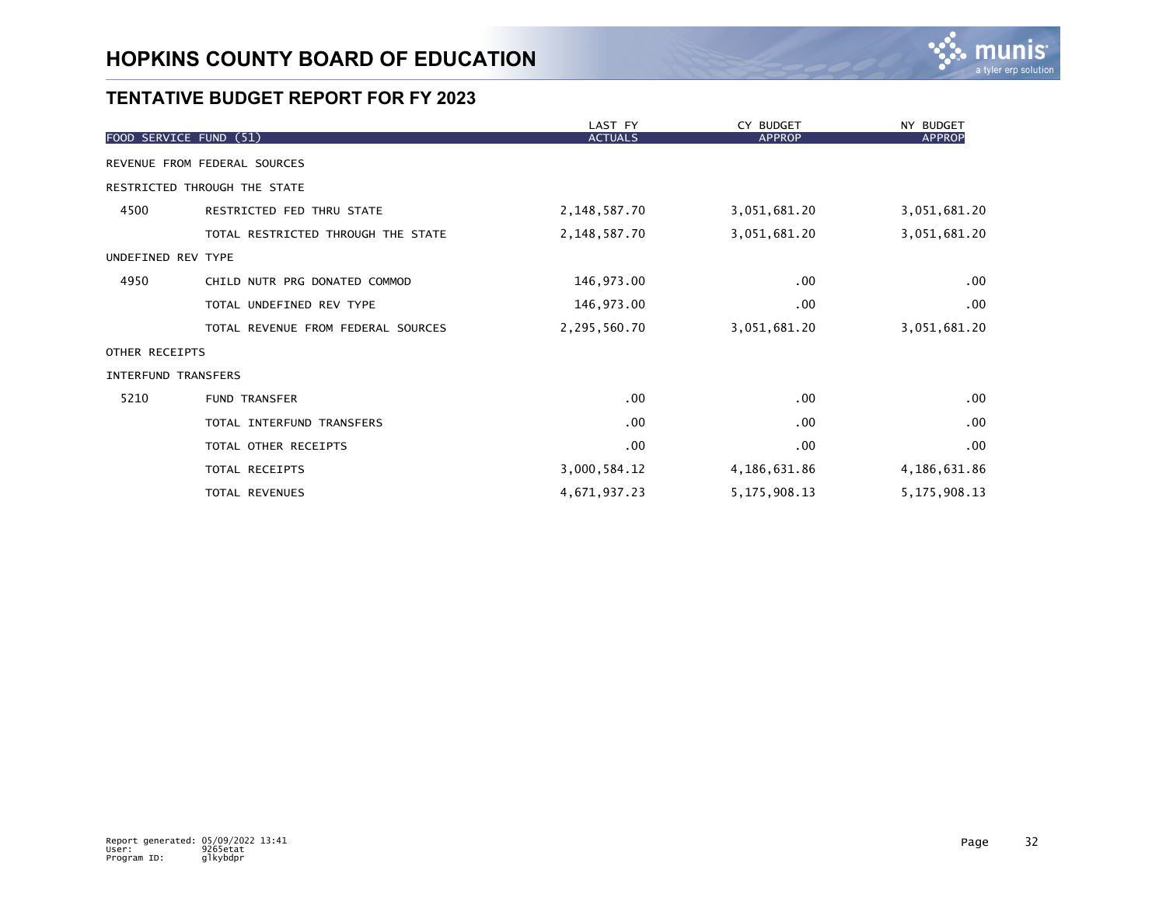

|                     |                                    | LAST FY        | CY BUDGET       | NY BUDGET       |
|---------------------|------------------------------------|----------------|-----------------|-----------------|
|                     | FOOD SERVICE FUND (51)             | <b>ACTUALS</b> | <b>APPROP</b>   | <b>APPROP</b>   |
|                     | REVENUE FROM FEDERAL SOURCES       |                |                 |                 |
|                     | RESTRICTED THROUGH THE STATE       |                |                 |                 |
| 4500                | RESTRICTED FED THRU STATE          | 2,148,587.70   | 3,051,681.20    | 3,051,681.20    |
|                     | TOTAL RESTRICTED THROUGH THE STATE | 2,148,587.70   | 3,051,681.20    | 3,051,681.20    |
| UNDEFINED REV TYPE  |                                    |                |                 |                 |
| 4950                | CHILD NUTR PRG DONATED COMMOD      | 146,973.00     | $.00 \,$        | .00             |
|                     | TOTAL UNDEFINED REV TYPE           | 146,973.00     | $.00 \,$        | .00             |
|                     | TOTAL REVENUE FROM FEDERAL SOURCES | 2,295,560.70   | 3,051,681.20    | 3,051,681.20    |
| OTHER RECEIPTS      |                                    |                |                 |                 |
| INTERFUND TRANSFERS |                                    |                |                 |                 |
| 5210                | <b>FUND TRANSFER</b>               | $.00 \,$       | $.00 \,$        | .00             |
|                     | TOTAL INTERFUND TRANSFERS          | .00            | $.00 \,$        | .00             |
|                     | TOTAL OTHER RECEIPTS               | $.00 \,$       | $.00 \,$        | .00             |
|                     | TOTAL RECEIPTS                     | 3,000,584.12   | 4,186,631.86    | 4,186,631.86    |
|                     | TOTAL REVENUES                     | 4,671,937.23   | 5, 175, 908. 13 | 5, 175, 908. 13 |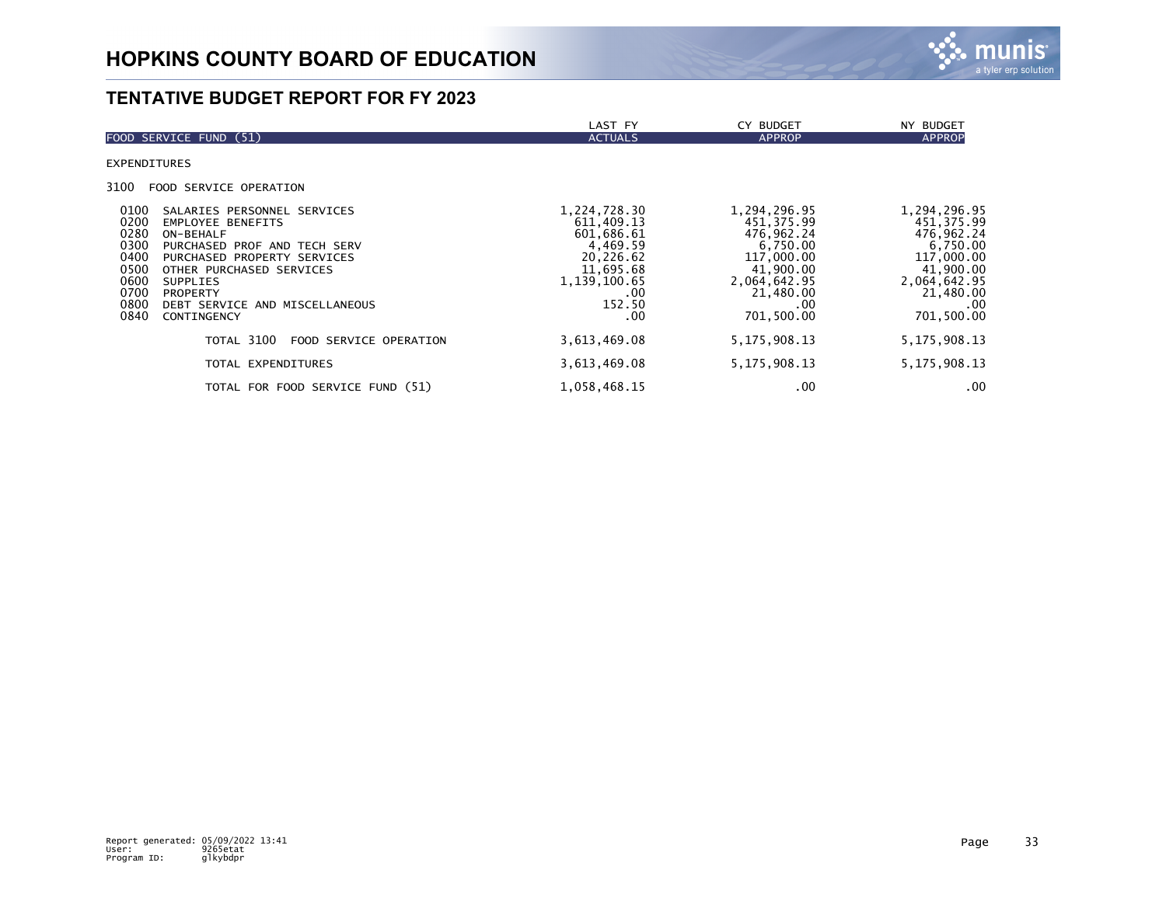

|                                                                                                                                                                                                                                                                                                                                        | LAST FY                                                                                                                | CY BUDGET                                                                                                                               | NY BUDGET                                                                                                                                   |
|----------------------------------------------------------------------------------------------------------------------------------------------------------------------------------------------------------------------------------------------------------------------------------------------------------------------------------------|------------------------------------------------------------------------------------------------------------------------|-----------------------------------------------------------------------------------------------------------------------------------------|---------------------------------------------------------------------------------------------------------------------------------------------|
| FOOD SERVICE FUND (51)                                                                                                                                                                                                                                                                                                                 | <b>ACTUALS</b>                                                                                                         | <b>APPROP</b>                                                                                                                           | <b>APPROP</b>                                                                                                                               |
| <b>EXPENDITURES</b>                                                                                                                                                                                                                                                                                                                    |                                                                                                                        |                                                                                                                                         |                                                                                                                                             |
| 3100<br>FOOD SERVICE OPERATION                                                                                                                                                                                                                                                                                                         |                                                                                                                        |                                                                                                                                         |                                                                                                                                             |
| 0100<br>SALARIES PERSONNEL SERVICES<br>0200<br><b>EMPLOYEE BENEFITS</b><br>0280<br>ON-BEHALF<br>0300<br>PURCHASED PROF AND TECH SERV<br>0400<br>PURCHASED PROPERTY SERVICES<br>0500<br>OTHER PURCHASED SERVICES<br>0600<br><b>SUPPLIES</b><br>0700<br><b>PROPERTY</b><br>0800<br>DEBT SERVICE AND MISCELLANEOUS<br>0840<br>CONTINGENCY | 1,224,728.30<br>611,409.13<br>601,686.61<br>4,469.59<br>20,226.62<br>11,695.68<br>1,139,100.65<br>.00<br>152.50<br>.00 | 1,294,296.95<br>451, 375.99<br>476,962.24<br>6,750.00<br>117,000.00<br>41,900.00<br>2,064,642.95<br>21,480.00<br>$.00 \,$<br>701,500.00 | 1,294,296.95<br>451, 375.99<br>476,962.24<br>6,750.00<br>117,000.00<br>41,900.00<br>2,064,642.95<br>21,480.00<br>$.00 \times$<br>701,500.00 |
| TOTAL 3100<br>FOOD SERVICE OPERATION                                                                                                                                                                                                                                                                                                   | 3,613,469.08                                                                                                           | 5, 175, 908. 13                                                                                                                         | 5, 175, 908. 13                                                                                                                             |
| TOTAL EXPENDITURES                                                                                                                                                                                                                                                                                                                     | 3,613,469.08                                                                                                           | 5, 175, 908. 13                                                                                                                         | 5, 175, 908. 13                                                                                                                             |
| TOTAL FOR FOOD SERVICE FUND (51)                                                                                                                                                                                                                                                                                                       | 1,058,468.15                                                                                                           | .00                                                                                                                                     | .00                                                                                                                                         |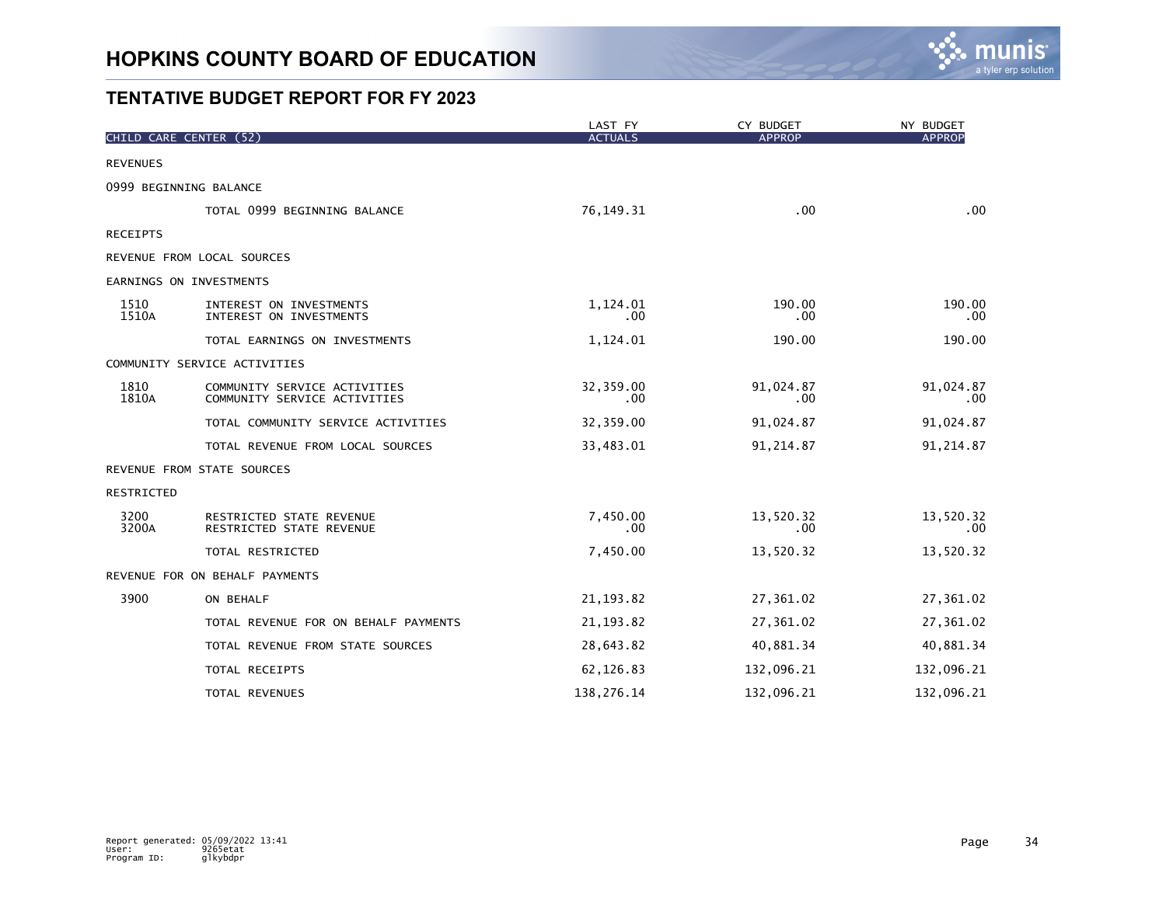

|                   | CHILD CARE CENTER (52)                                       | LAST FY<br><b>ACTUALS</b> | CY BUDGET<br><b>APPROP</b> | NY BUDGET<br><b>APPROP</b> |
|-------------------|--------------------------------------------------------------|---------------------------|----------------------------|----------------------------|
| <b>REVENUES</b>   |                                                              |                           |                            |                            |
|                   | 0999 BEGINNING BALANCE                                       |                           |                            |                            |
|                   | TOTAL 0999 BEGINNING BALANCE                                 | 76, 149. 31               | .00                        | .00                        |
| <b>RECEIPTS</b>   |                                                              |                           |                            |                            |
|                   | REVENUE FROM LOCAL SOURCES                                   |                           |                            |                            |
|                   | EARNINGS ON INVESTMENTS                                      |                           |                            |                            |
| 1510<br>1510A     | INTEREST ON INVESTMENTS<br>INTEREST ON INVESTMENTS           | 1,124.01<br>.00           | 190.00<br>.00.             | 190.00<br>$.00 \,$         |
|                   | TOTAL EARNINGS ON INVESTMENTS                                | 1,124.01                  | 190.00                     | 190.00                     |
|                   | COMMUNITY SERVICE ACTIVITIES                                 |                           |                            |                            |
| 1810<br>1810A     | COMMUNITY SERVICE ACTIVITIES<br>COMMUNITY SERVICE ACTIVITIES | 32,359.00<br>.00          | 91,024.87<br>.00           | 91,024.87<br>$.00 \,$      |
|                   | TOTAL COMMUNITY SERVICE ACTIVITIES                           | 32,359.00                 | 91,024.87                  | 91,024.87                  |
|                   | TOTAL REVENUE FROM LOCAL SOURCES                             | 33,483.01                 | 91,214.87                  | 91, 214.87                 |
|                   | REVENUE FROM STATE SOURCES                                   |                           |                            |                            |
| <b>RESTRICTED</b> |                                                              |                           |                            |                            |
| 3200<br>3200A     | RESTRICTED STATE REVENUE<br>RESTRICTED STATE REVENUE         | 7,450.00<br>.00           | 13,520.32<br>$.00 \,$      | 13,520.32<br>$.00 \,$      |
|                   | TOTAL RESTRICTED                                             | 7,450.00                  | 13,520.32                  | 13,520.32                  |
|                   | REVENUE FOR ON BEHALF PAYMENTS                               |                           |                            |                            |
| 3900              | ON BEHALF                                                    | 21, 193.82                | 27,361.02                  | 27,361.02                  |
|                   | TOTAL REVENUE FOR ON BEHALF PAYMENTS                         | 21, 193.82                | 27,361.02                  | 27,361.02                  |
|                   | TOTAL REVENUE FROM STATE SOURCES                             | 28,643.82                 | 40,881.34                  | 40,881.34                  |
|                   | TOTAL RECEIPTS                                               | 62,126.83                 | 132,096.21                 | 132,096.21                 |
|                   | TOTAL REVENUES                                               | 138,276.14                | 132,096.21                 | 132,096.21                 |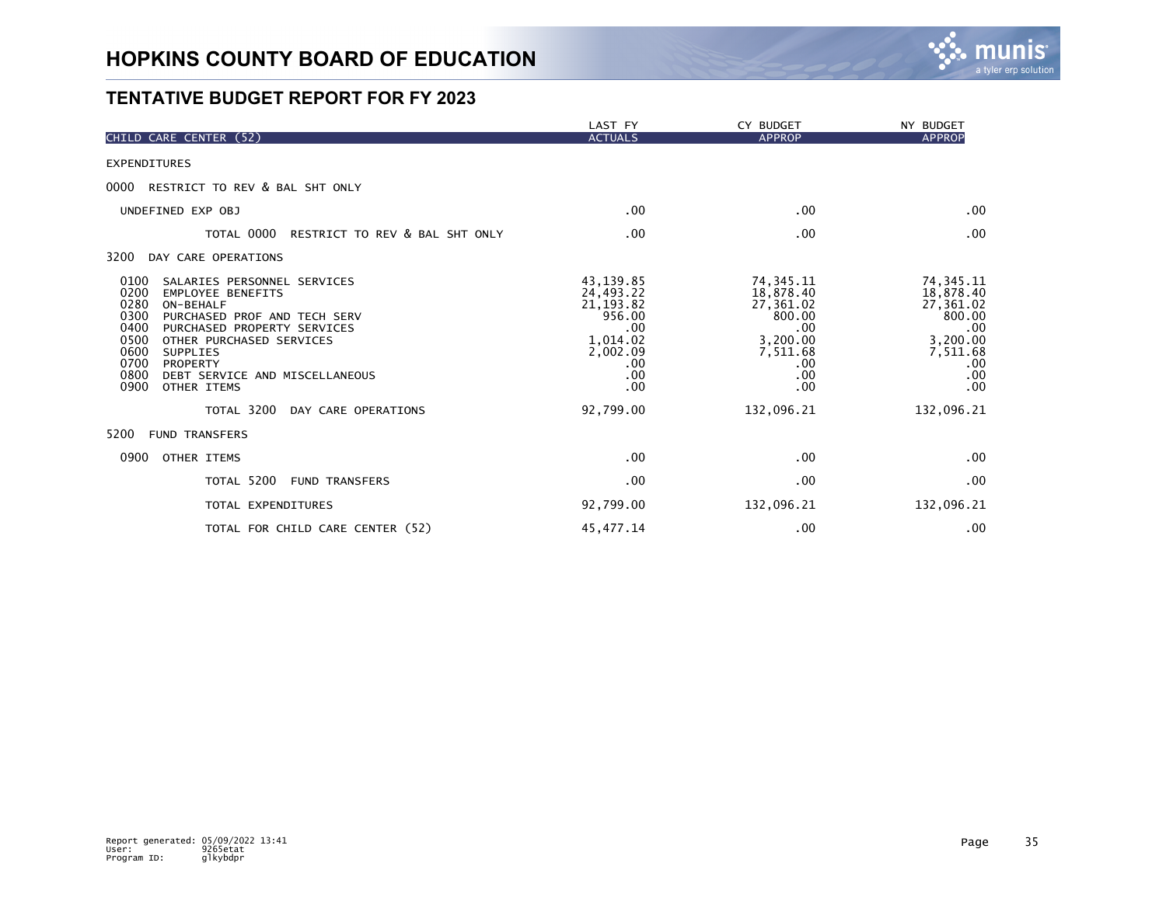

|                                                                                                                                                                                                                                                                                                                                 | LAST FY                                                                                             | CY BUDGET                                                                                           | NY BUDGET                                                                                           |
|---------------------------------------------------------------------------------------------------------------------------------------------------------------------------------------------------------------------------------------------------------------------------------------------------------------------------------|-----------------------------------------------------------------------------------------------------|-----------------------------------------------------------------------------------------------------|-----------------------------------------------------------------------------------------------------|
| CHILD CARE CENTER (52)                                                                                                                                                                                                                                                                                                          | <b>ACTUALS</b>                                                                                      | <b>APPROP</b>                                                                                       | <b>APPROP</b>                                                                                       |
| <b>EXPENDITURES</b>                                                                                                                                                                                                                                                                                                             |                                                                                                     |                                                                                                     |                                                                                                     |
| 0000<br>RESTRICT TO REV & BAL SHT ONLY                                                                                                                                                                                                                                                                                          |                                                                                                     |                                                                                                     |                                                                                                     |
| UNDEFINED EXP OBJ                                                                                                                                                                                                                                                                                                               | .00                                                                                                 | .00                                                                                                 | .00                                                                                                 |
| TOTAL 0000<br>RESTRICT TO REV & BAL SHT ONLY                                                                                                                                                                                                                                                                                    | .00                                                                                                 | .00                                                                                                 | .00                                                                                                 |
| 3200<br>DAY CARE OPERATIONS                                                                                                                                                                                                                                                                                                     |                                                                                                     |                                                                                                     |                                                                                                     |
| 0100<br>SALARIES PERSONNEL SERVICES<br>0200<br><b>EMPLOYEE BENEFITS</b><br>0280<br>ON-BEHALF<br>0300<br>PURCHASED PROF AND TECH SERV<br>0400<br>PURCHASED PROPERTY SERVICES<br>0500<br>OTHER PURCHASED SERVICES<br>0600<br><b>SUPPLIES</b><br>0700<br>PROPERTY<br>0800<br>DEBT SERVICE AND MISCELLANEOUS<br>0900<br>OTHER ITEMS | 43, 139.85<br>24,493.22<br>21, 193.82<br>956.00<br>.00<br>1,014.02<br>2,002.09<br>.00<br>.00<br>.00 | 74, 345. 11<br>18,878.40<br>27,361.02<br>800.00<br>.00<br>3,200.00<br>7,511.68<br>.00<br>.00<br>.00 | 74, 345. 11<br>18,878.40<br>27,361.02<br>800.00<br>.00<br>3,200.00<br>7,511.68<br>.00<br>.00<br>.00 |
| TOTAL 3200<br>DAY CARE OPERATIONS                                                                                                                                                                                                                                                                                               | 92,799.00                                                                                           | 132,096.21                                                                                          | 132,096.21                                                                                          |
| 5200<br><b>FUND TRANSFERS</b>                                                                                                                                                                                                                                                                                                   |                                                                                                     |                                                                                                     |                                                                                                     |
| 0900<br>OTHER ITEMS                                                                                                                                                                                                                                                                                                             | .00                                                                                                 | .00                                                                                                 | .00                                                                                                 |
| TOTAL 5200<br><b>FUND TRANSFERS</b>                                                                                                                                                                                                                                                                                             | .00                                                                                                 | .00                                                                                                 | .00                                                                                                 |
| TOTAL EXPENDITURES                                                                                                                                                                                                                                                                                                              | 92,799.00                                                                                           | 132,096.21                                                                                          | 132,096.21                                                                                          |
| TOTAL FOR CHILD CARE CENTER (52)                                                                                                                                                                                                                                                                                                | 45, 477. 14                                                                                         | .00                                                                                                 | .00                                                                                                 |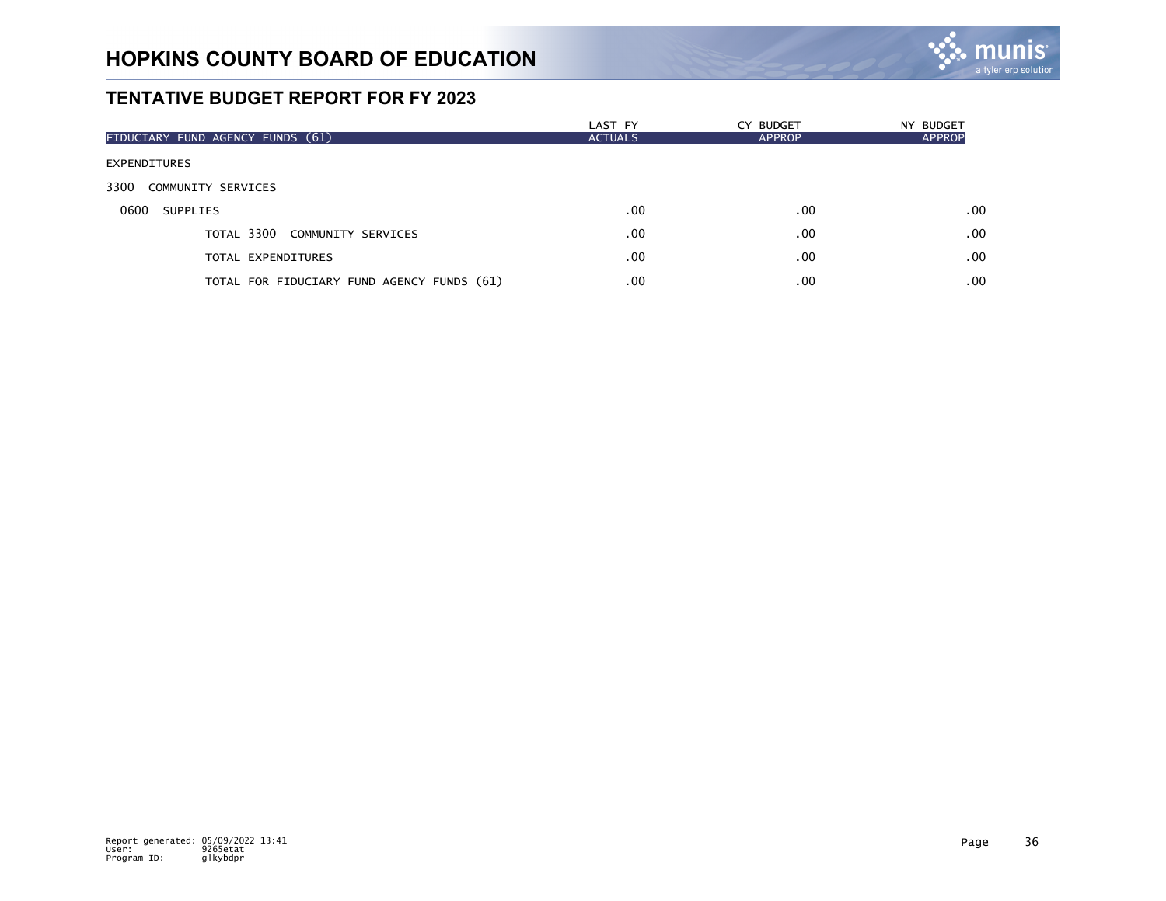

| FIDUCIARY FUND AGENCY FUNDS (61)           | LAST FY<br><b>ACTUALS</b> | CY BUDGET<br><b>APPROP</b> | NY BUDGET<br><b>APPROP</b> |
|--------------------------------------------|---------------------------|----------------------------|----------------------------|
| <b>EXPENDITURES</b>                        |                           |                            |                            |
| 3300<br>COMMUNITY SERVICES                 |                           |                            |                            |
| 0600<br>SUPPLIES                           | .00                       | .00                        | .00                        |
| TOTAL 3300 COMMUNITY SERVICES              | .00                       | .00                        | .00                        |
| TOTAL EXPENDITURES                         | .00                       | .00                        | .00                        |
| TOTAL FOR FIDUCIARY FUND AGENCY FUNDS (61) | .00                       | .00                        | .00                        |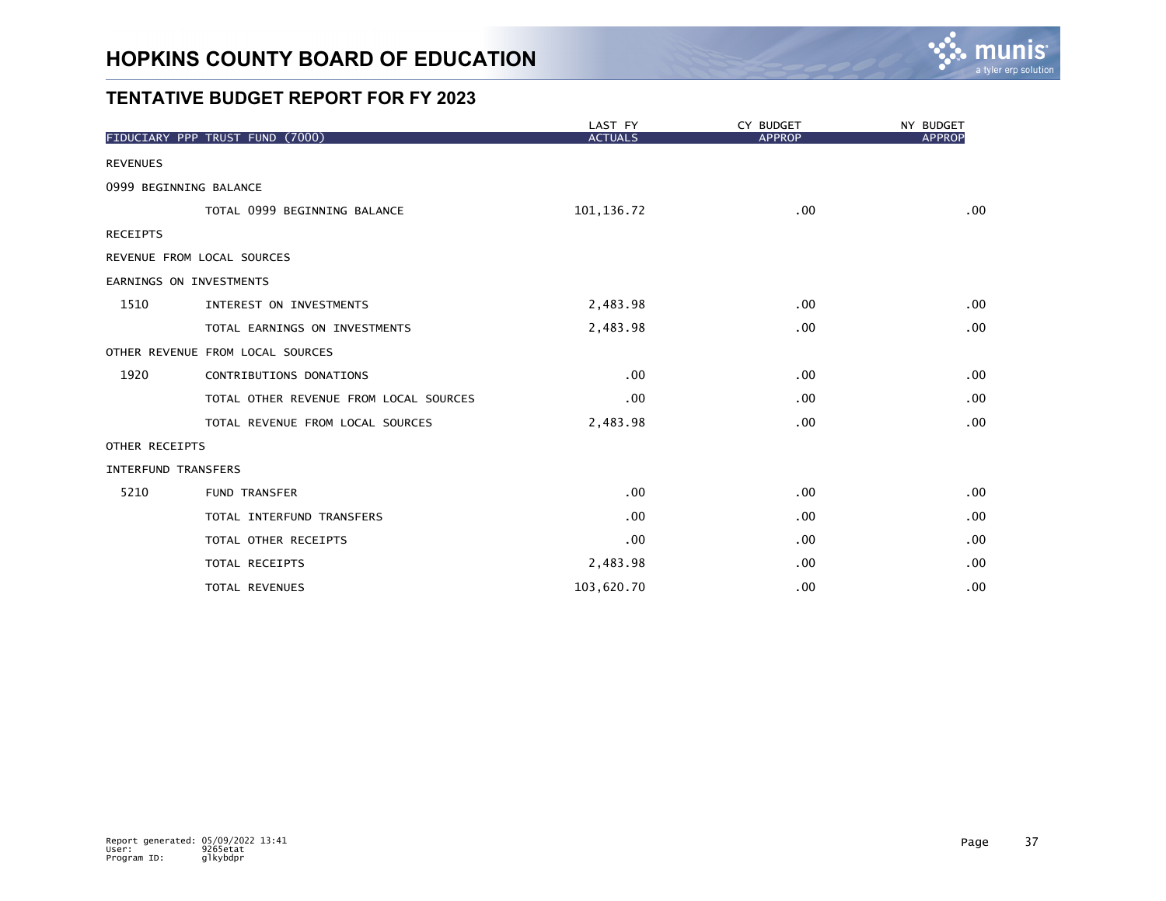

|                     |                                        | LAST FY        | CY BUDGET     | NY BUDGET     |
|---------------------|----------------------------------------|----------------|---------------|---------------|
|                     | FIDUCIARY PPP TRUST FUND (7000)        | <b>ACTUALS</b> | <b>APPROP</b> | <b>APPROF</b> |
| <b>REVENUES</b>     |                                        |                |               |               |
|                     | 0999 BEGINNING BALANCE                 |                |               |               |
|                     | TOTAL 0999 BEGINNING BALANCE           | 101, 136.72    | .00           | .00           |
| <b>RECEIPTS</b>     |                                        |                |               |               |
|                     | REVENUE FROM LOCAL SOURCES             |                |               |               |
|                     | EARNINGS ON INVESTMENTS                |                |               |               |
| 1510                | INTEREST ON INVESTMENTS                | 2,483.98       | .00           | .00           |
|                     | TOTAL EARNINGS ON INVESTMENTS          | 2,483.98       | .00           | .00           |
|                     | OTHER REVENUE FROM LOCAL SOURCES       |                |               |               |
| 1920                | CONTRIBUTIONS DONATIONS                | .00            | .00           | .00           |
|                     | TOTAL OTHER REVENUE FROM LOCAL SOURCES | .00            | .00           | .00           |
|                     | TOTAL REVENUE FROM LOCAL SOURCES       | 2,483.98       | .00           | .00           |
| OTHER RECEIPTS      |                                        |                |               |               |
| INTERFUND TRANSFERS |                                        |                |               |               |
| 5210                | <b>FUND TRANSFER</b>                   | .00            | .00           | .00           |
|                     | TOTAL INTERFUND TRANSFERS              | .00            | .00           | .00           |
|                     | TOTAL OTHER RECEIPTS                   | .00            | .00           | .00           |
|                     | TOTAL RECEIPTS                         | 2,483.98       | $.00 \times$  | .00           |
|                     | TOTAL REVENUES                         | 103,620.70     | .00           | .00           |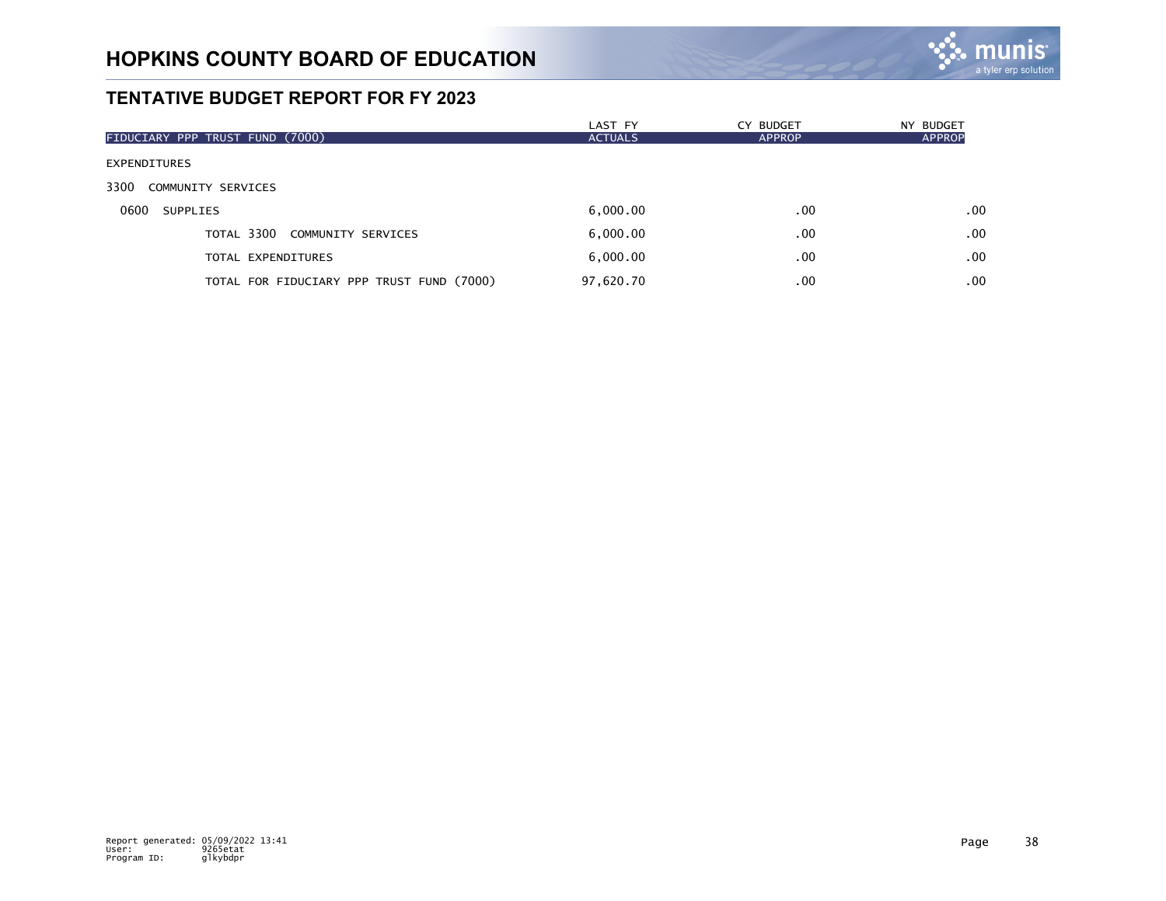

|                                           | LAST FY        | CY BUDGET | NY BUDGET     |
|-------------------------------------------|----------------|-----------|---------------|
| FIDUCIARY PPP TRUST FUND (7000)           | <b>ACTUALS</b> | APPROP    | <b>APPROP</b> |
| <b>EXPENDITURES</b>                       |                |           |               |
| 3300<br>COMMUNITY SERVICES                |                |           |               |
| 0600<br>SUPPLIES                          | 6,000.00       | .00       | .00           |
| TOTAL 3300 COMMUNITY SERVICES             | 6,000.00       | .00       | .00           |
| TOTAL EXPENDITURES                        | 6,000.00       | .00       | .00           |
| TOTAL FOR FIDUCIARY PPP TRUST FUND (7000) | 97,620.70      | $.00 \,$  | .00           |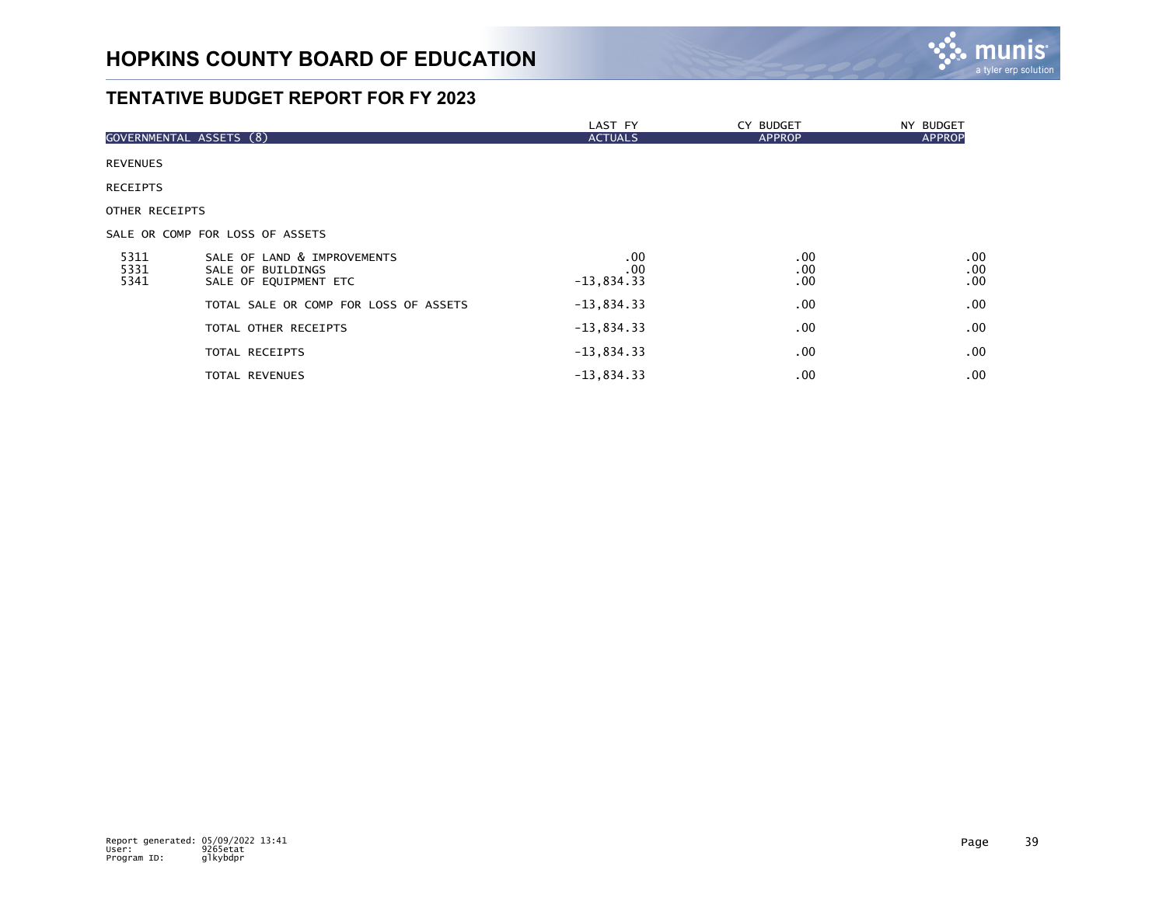

|                         |                                                                           | LAST FY                    | CY BUDGET              | NY BUDGET         |
|-------------------------|---------------------------------------------------------------------------|----------------------------|------------------------|-------------------|
| GOVERNMENTAL ASSETS (8) |                                                                           | <b>ACTUALS</b>             | <b>APPROP</b>          | <b>APPROP</b>     |
| <b>REVENUES</b>         |                                                                           |                            |                        |                   |
| <b>RECEIPTS</b>         |                                                                           |                            |                        |                   |
| OTHER RECEIPTS          |                                                                           |                            |                        |                   |
|                         | SALE OR COMP FOR LOSS OF ASSETS                                           |                            |                        |                   |
| 5311<br>5331<br>5341    | SALE OF LAND & IMPROVEMENTS<br>SALE OF BUILDINGS<br>SALE OF EQUIPMENT ETC | .00<br>.00<br>$-13,834.33$ | .00<br>.00<br>$.00 \,$ | .00<br>.00<br>.00 |
|                         | TOTAL SALE OR COMP FOR LOSS OF ASSETS                                     | $-13,834.33$               | $.00 \,$               | .00               |
|                         | TOTAL OTHER RECEIPTS                                                      | $-13,834.33$               | $.00 \,$               | .00               |
|                         | TOTAL RECEIPTS                                                            | $-13,834.33$               | $.00 \,$               | $.00 \,$          |
|                         | <b>TOTAL REVENUES</b>                                                     | $-13,834.33$               | .00                    | .00               |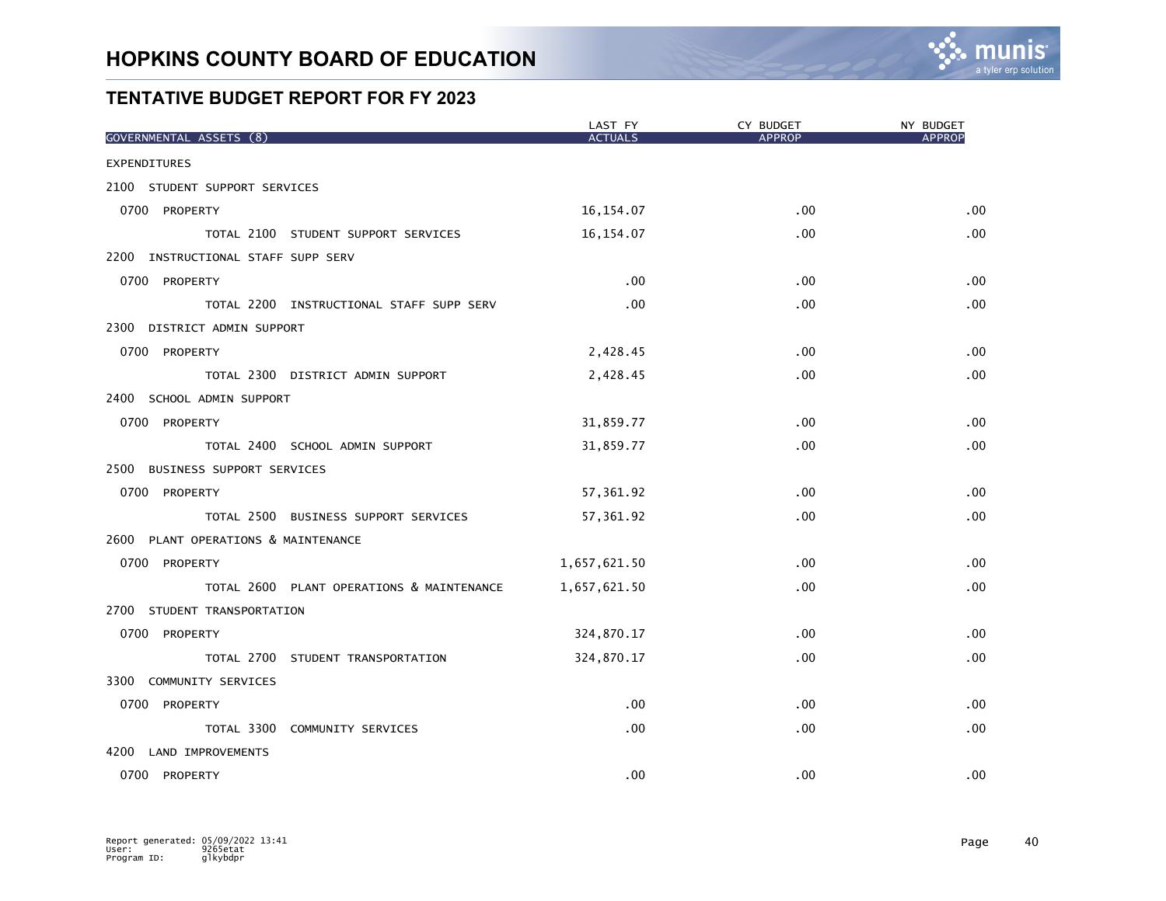

| GOVERNMENTAL ASSETS (8)                   | LAST FY<br><b>ACTUALS</b> | CY BUDGET<br><b>APPROP</b> | NY BUDGET<br><b>APPROP</b> |
|-------------------------------------------|---------------------------|----------------------------|----------------------------|
| <b>EXPENDITURES</b>                       |                           |                            |                            |
| 2100 STUDENT SUPPORT SERVICES             |                           |                            |                            |
| 0700 PROPERTY                             | 16, 154.07                | .00                        | .00                        |
| TOTAL 2100 STUDENT SUPPORT SERVICES       | 16, 154.07                | .00                        | .00                        |
| 2200 INSTRUCTIONAL STAFF SUPP SERV        |                           |                            |                            |
| 0700 PROPERTY                             | .00                       | .00                        | .00                        |
| TOTAL 2200 INSTRUCTIONAL STAFF SUPP SERV  | .00                       | .00                        | .00                        |
| 2300 DISTRICT ADMIN SUPPORT               |                           |                            |                            |
| 0700 PROPERTY                             | 2,428.45                  | .00                        | .00                        |
| TOTAL 2300 DISTRICT ADMIN SUPPORT         | 2,428.45                  | .00                        | .00                        |
| 2400 SCHOOL ADMIN SUPPORT                 |                           |                            |                            |
| 0700 PROPERTY                             | 31,859.77                 | .00                        | .00                        |
| TOTAL 2400 SCHOOL ADMIN SUPPORT           | 31,859.77                 | .00                        | .00                        |
| 2500 BUSINESS SUPPORT SERVICES            |                           |                            |                            |
| 0700 PROPERTY                             | 57,361.92                 | .00                        | .00                        |
| TOTAL 2500 BUSINESS SUPPORT SERVICES      | 57,361.92                 | .00                        | .00                        |
| 2600 PLANT OPERATIONS & MAINTENANCE       |                           |                            |                            |
| 0700 PROPERTY                             | 1,657,621.50              | .00                        | .00                        |
| TOTAL 2600 PLANT OPERATIONS & MAINTENANCE | 1,657,621.50              | .00                        | .00                        |
| 2700 STUDENT TRANSPORTATION               |                           |                            |                            |
| 0700 PROPERTY                             | 324,870.17                | .00                        | .00                        |
| TOTAL 2700 STUDENT TRANSPORTATION         | 324,870.17                | .00                        | .00                        |
| 3300 COMMUNITY SERVICES                   |                           |                            |                            |
| 0700 PROPERTY                             | .00                       | .00                        | .00                        |
| TOTAL 3300 COMMUNITY SERVICES             | .00                       | .00                        | .00                        |
| 4200 LAND IMPROVEMENTS                    |                           |                            |                            |
| 0700 PROPERTY                             | .00                       | .00                        | .00                        |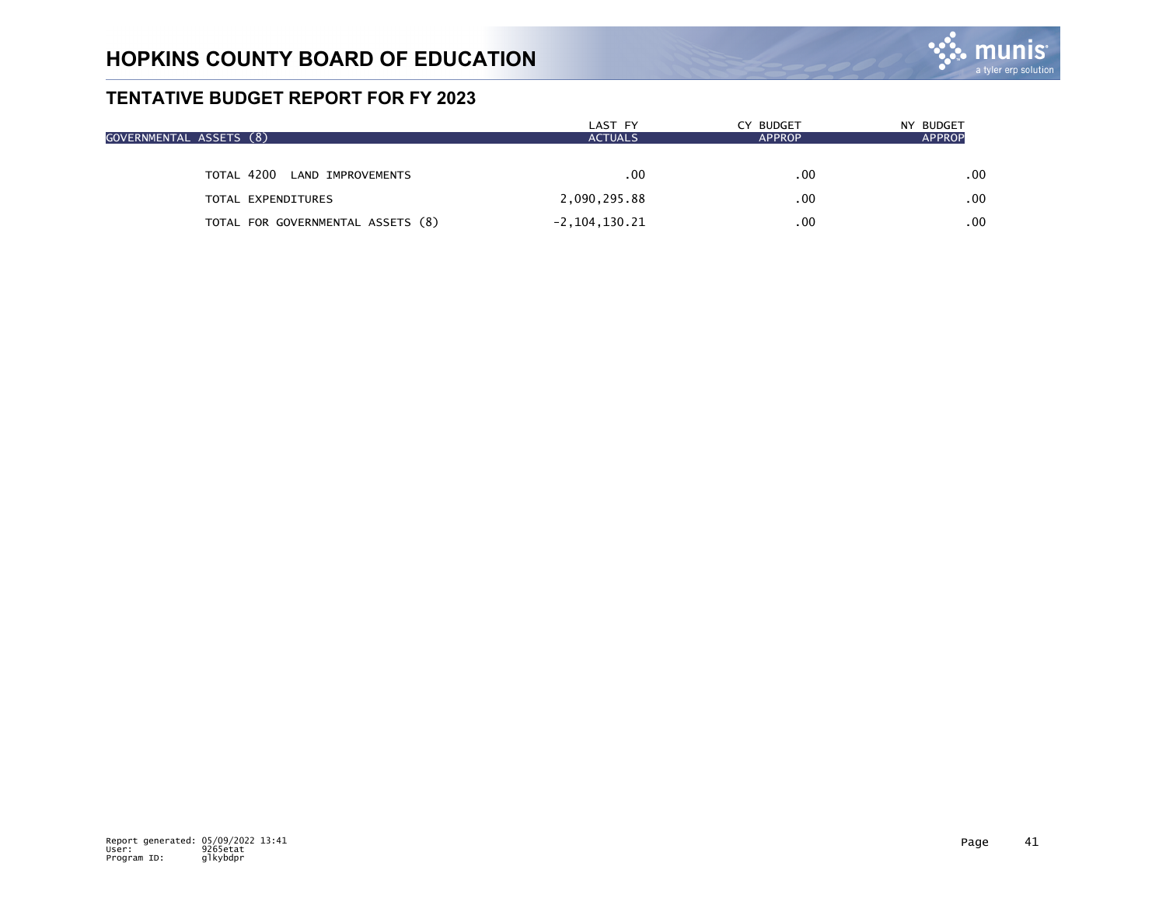

| GOVERNMENTAL ASSETS (8) |                                   | LAST FY<br><b>ACTUALS</b> | CY BUDGET<br><b>APPROP</b> | NY BUDGET<br><b>APPROP</b> |
|-------------------------|-----------------------------------|---------------------------|----------------------------|----------------------------|
|                         | TOTAL 4200 LAND IMPROVEMENTS      | .00                       | .00                        | .00                        |
|                         | TOTAL EXPENDITURES                | 2,090,295.88              | .00                        | .00                        |
|                         | TOTAL FOR GOVERNMENTAL ASSETS (8) | $-2, 104, 130.21$         | .00                        | .00                        |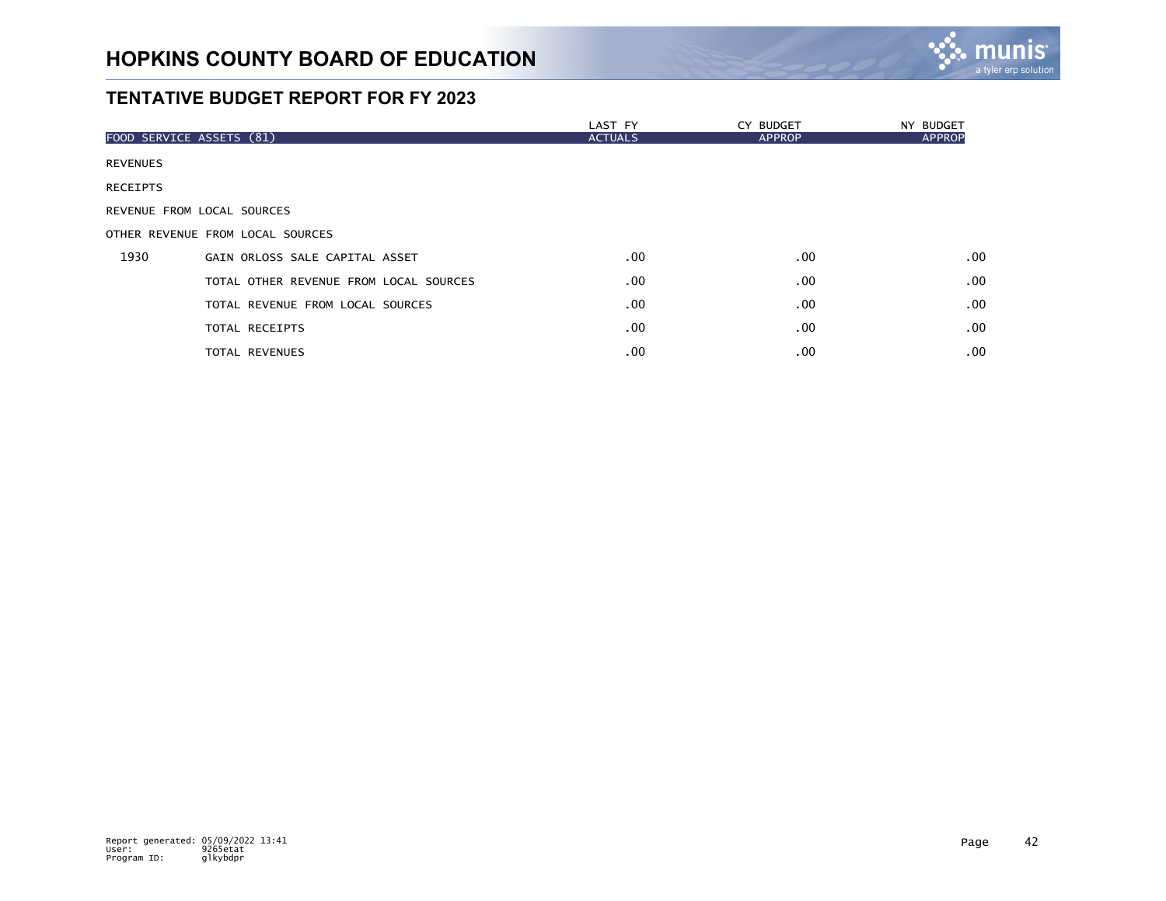

|                            |                                        | LAST FY        | CY BUDGET     | NY BUDGET        |
|----------------------------|----------------------------------------|----------------|---------------|------------------|
| FOOD SERVICE ASSETS (81)   |                                        | <b>ACTUALS</b> | <b>APPROP</b> | <b>APPROP</b>    |
| <b>REVENUES</b>            |                                        |                |               |                  |
| <b>RECEIPTS</b>            |                                        |                |               |                  |
| REVENUE FROM LOCAL SOURCES |                                        |                |               |                  |
|                            | OTHER REVENUE FROM LOCAL SOURCES       |                |               |                  |
| 1930                       | GAIN ORLOSS SALE CAPITAL ASSET         | $.00 \,$       | .00           | .00 <sub>1</sub> |
|                            | TOTAL OTHER REVENUE FROM LOCAL SOURCES | .00            | $.00 \,$      | .00 <sub>1</sub> |
|                            | TOTAL REVENUE FROM LOCAL SOURCES       | .00            | $.00 \,$      | .00 <sub>1</sub> |
|                            | TOTAL RECEIPTS                         | $.00 \,$       | $.00 \,$      | .00 <sub>1</sub> |
|                            | TOTAL REVENUES                         | .00            | $.00 \,$      | .00              |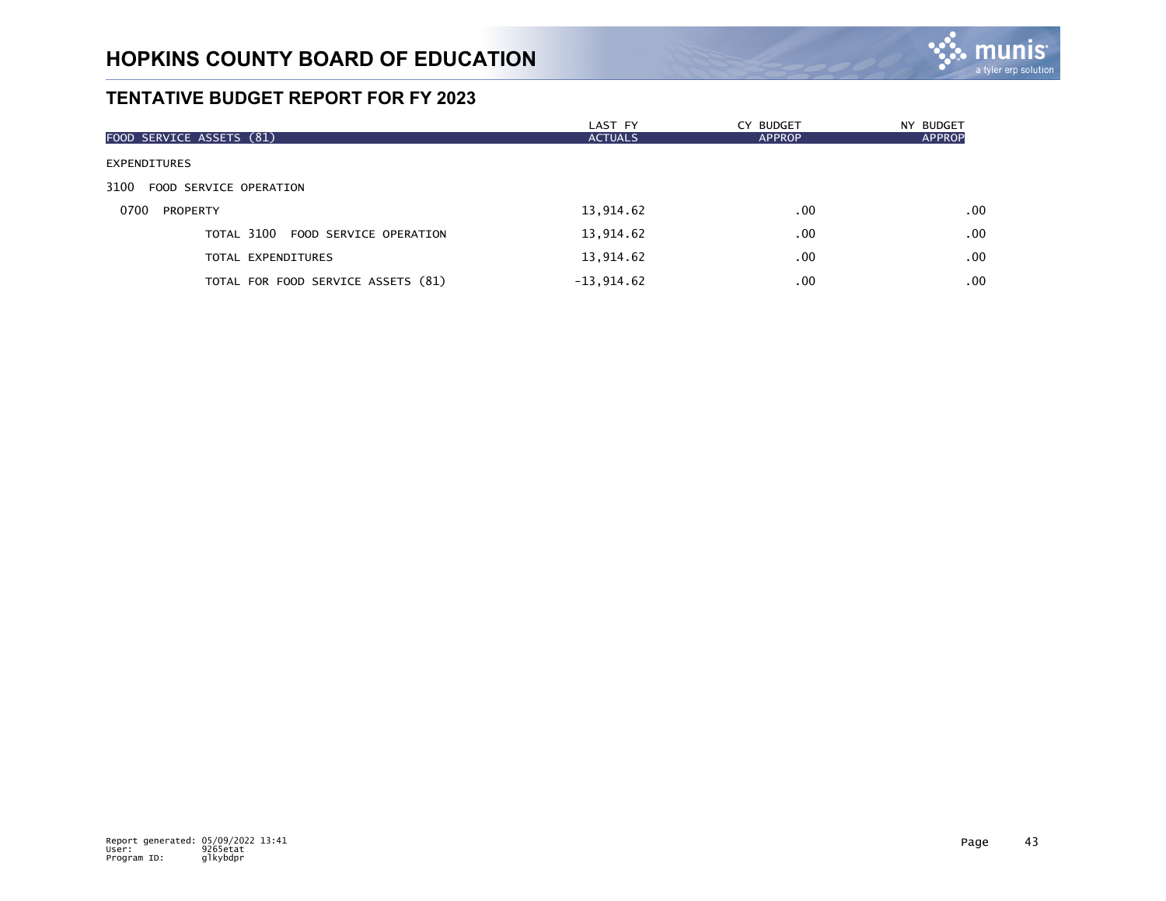

| FOOD SERVICE ASSETS (81)           | LAST FY<br><b>ACTUALS</b> | CY BUDGET<br><b>APPROP</b> | NY BUDGET<br><b>APPROP</b> |
|------------------------------------|---------------------------|----------------------------|----------------------------|
| <b>EXPENDITURES</b>                |                           |                            |                            |
| 3100 FOOD SERVICE OPERATION        |                           |                            |                            |
| 0700<br>PROPERTY                   | 13,914.62                 | .00                        | .00                        |
| TOTAL 3100 FOOD SERVICE OPERATION  | 13,914.62                 | .00                        | .00                        |
| TOTAL EXPENDITURES                 | 13,914.62                 | .00                        | .00                        |
| TOTAL FOR FOOD SERVICE ASSETS (81) | $-13,914.62$              | .00                        | .00                        |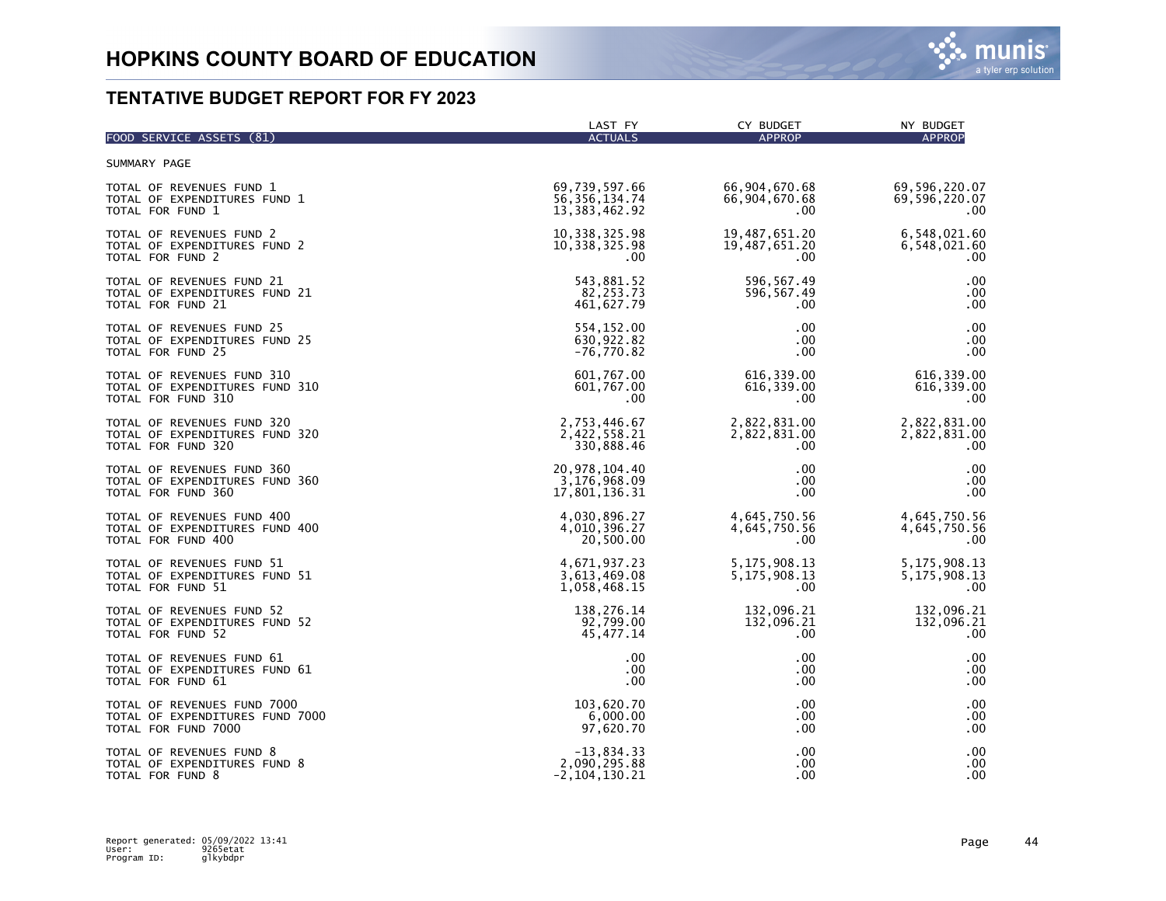| FOOD SERVICE ASSETS (81)        | LAST FY           | CY BUDGET       | NY BUDGET       |
|---------------------------------|-------------------|-----------------|-----------------|
|                                 | <b>ACTUALS</b>    | <b>APPROP</b>   | <b>APPROP</b>   |
| SUMMARY PAGE                    |                   |                 |                 |
| TOTAL OF REVENUES FUND 1        | 69,739,597.66     | 66,904,670.68   | 69,596,220.07   |
| TOTAL OF EXPENDITURES FUND 1    | 56, 356, 134.74   | 66,904,670.68   | 69,596,220.07   |
| TOTAL FOR FUND 1                | 13, 383, 462. 92  | .00.            | $.00 \,$        |
| TOTAL OF REVENUES FUND 2        | 10, 338, 325.98   | 19,487,651.20   | 6,548,021.60    |
| TOTAL OF EXPENDITURES FUND 2    | 10, 338, 325.98   | 19,487,651.20   | 6,548,021.60    |
| TOTAL FOR FUND 2                | $.00 \,$          | $.00 \,$        | .00             |
| TOTAL OF REVENUES FUND 21       | 543,881.52        | 596, 567.49     | .00             |
| TOTAL OF EXPENDITURES FUND 21   | 82, 253. 73       | 596,567.49      | .00             |
| TOTAL FOR FUND 21               | 461,627.79        | .00             | .00             |
| TOTAL OF REVENUES FUND 25       | 554,152.00        | .00             | .00             |
| TOTAL OF EXPENDITURES FUND 25   | 630,922.82        | .00             | .00             |
| TOTAL FOR FUND 25               | $-76,770.82$      | .00.            | .00             |
| TOTAL OF REVENUES FUND 310      | 601,767.00        | 616,339.00      | 616, 339.00     |
| TOTAL OF EXPENDITURES FUND 310  | 601,767.00        | 616, 339.00     | 616, 339.00     |
| TOTAL FOR FUND 310              | .00               | $.00 \,$        | .00             |
| TOTAL OF REVENUES FUND 320      | 2,753,446.67      | 2,822,831.00    | 2,822,831.00    |
| TOTAL OF EXPENDITURES FUND 320  | 2,422,558.21      | 2,822,831.00    | 2,822,831.00    |
| TOTAL FOR FUND 320              | 330,888.46        | .00.            | .00             |
| TOTAL OF REVENUES FUND 360      | 20, 978, 104.40   | .00             | .00             |
| TOTAL OF EXPENDITURES FUND 360  | 3,176,968.09      | .00             | .00             |
| TOTAL FOR FUND 360              | 17,801,136.31     | .00             | .00             |
| TOTAL OF REVENUES FUND 400      | 4,030,896.27      | 4,645,750.56    | 4,645,750.56    |
| TOTAL OF EXPENDITURES FUND 400  | 4,010,396.27      | 4,645,750.56    | 4,645,750.56    |
| TOTAL FOR FUND 400              | 20,500.00         | .00             | .00             |
| TOTAL OF REVENUES FUND 51       | 4,671,937.23      | 5, 175, 908. 13 | 5, 175, 908. 13 |
| TOTAL OF EXPENDITURES FUND 51   | 3,613,469.08      | 5, 175, 908. 13 | 5, 175, 908. 13 |
| TOTAL FOR FUND 51               | 1,058,468.15      | .00.            | $.00 \,$        |
| TOTAL OF REVENUES FUND 52       | 138,276.14        | 132,096.21      | 132,096.21      |
| TOTAL OF EXPENDITURES FUND 52   | 92,799.00         | 132,096.21      | 132,096.21      |
| TOTAL FOR FUND 52               | 45, 477. 14       | .00.            | .00             |
| TOTAL OF REVENUES FUND 61       | .00               | .00             | .00             |
| TOTAL OF EXPENDITURES FUND 61   | .00               | .00.            | .00             |
| TOTAL FOR FUND 61               | .00               | .00.            | .00             |
| TOTAL OF REVENUES FUND 7000     | 103,620.70        | .00             | .00             |
| TOTAL OF EXPENDITURES FUND 7000 | 6,000.00          | .00.            | .00             |
| TOTAL FOR FUND 7000             | 97,620.70         | .00             | .00             |
| TOTAL OF REVENUES FUND 8        | $-13,834.33$      | .00             | .00             |
| TOTAL OF EXPENDITURES FUND 8    | 2,090,295.88      | .00             | .00             |
| TOTAL FOR FUND 8                | $-2, 104, 130.21$ | .00             | .00             |

m

IS a tyler erp solutior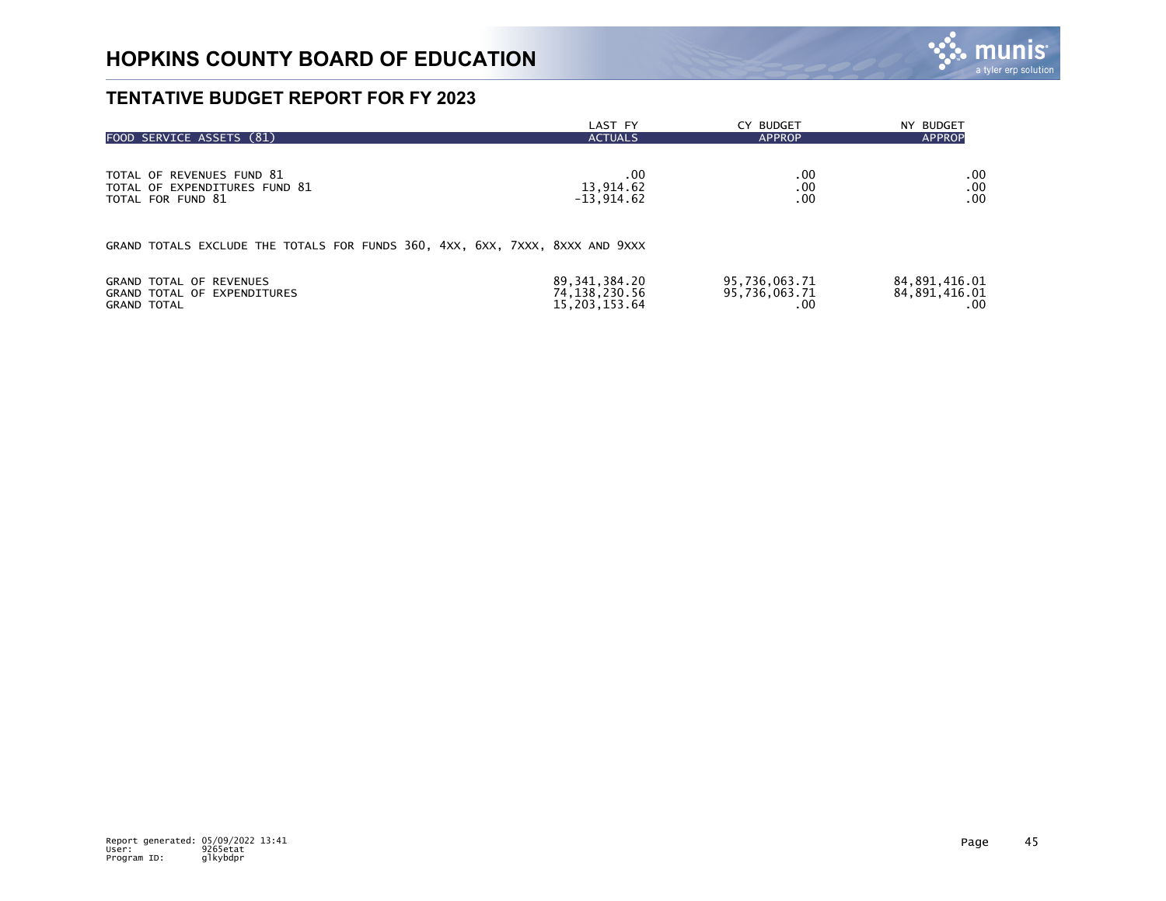

| FOOD SERVICE ASSETS (81)                                                     | LAST FY          | CY BUDGET     | NY BUDGET        |
|------------------------------------------------------------------------------|------------------|---------------|------------------|
|                                                                              | <b>ACTUALS</b>   | <b>APPROP</b> | <b>APPROP</b>    |
| TOTAL OF REVENUES FUND 81                                                    | .00              | .00           | $.00 \,$         |
| TOTAL OF EXPENDITURES FUND 81                                                | 13,914.62        | .00           | .00              |
| TOTAL FOR FUND 81                                                            | $-13,914.62$     | .00           | .00 <sub>1</sub> |
| GRAND TOTALS EXCLUDE THE TOTALS FOR FUNDS 360, 4XX, 6XX, 7XXX, 8XXX AND 9XXX |                  |               |                  |
| <b>GRAND TOTAL OF REVENUES</b>                                               | 89, 341, 384, 20 | 95,736,063.71 | 84,891,416.01    |
| GRAND TOTAL OF EXPENDITURES                                                  | 74, 138, 230. 56 | 95,736,063.71 | 84, 891, 416.01  |
| <b>GRAND TOTAL</b>                                                           | 15, 203, 153.64  | .00           | .00.             |